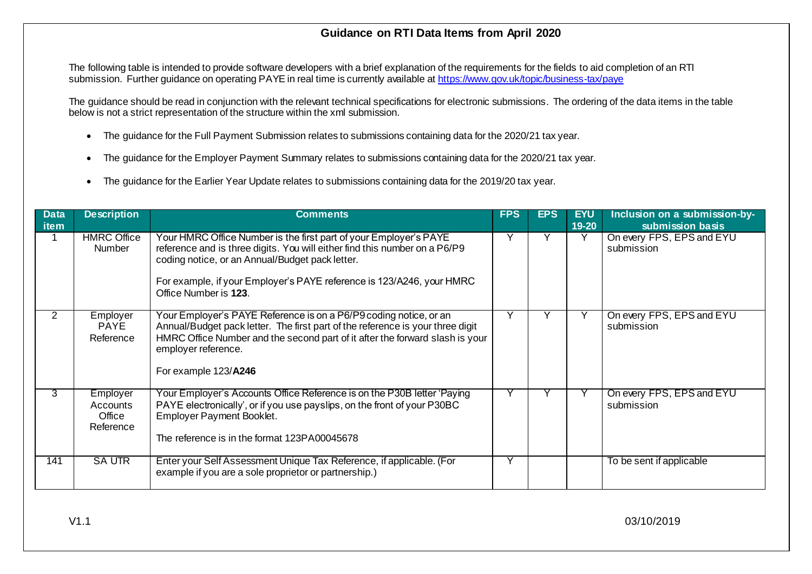## **Guidance on RTI Data Items from April 2020**

The following table is intended to provide software developers with a brief explanation of the requirements for the fields to aid completion of an RTI submission. Further quidance on operating PAYE in real time is currently available a[t https://www.gov.uk/topic/business-tax/paye](https://www.gov.uk/topic/business-tax/paye)

The guidance should be read in conjunction with the relevant technical specifications for electronic submissions. The ordering of the data items in the table below is not a strict representation of the structure within the xml submission.

- The quidance for the Full Payment Submission relates to submissions containing data for the 2020/21 tax year.
- The guidance for the Employer Payment Summary relates to submissions containing data for the 2020/21 tax year.
- The guidance for the Earlier Year Update relates to submissions containing data for the 2019/20 tax year.

| <b>Data</b> | <b>Description</b>                          | <b>Comments</b>                                                                                                                                                                                                                                                                                      | <b>FPS</b>   | <b>EPS</b> | <b>EYU</b> | Inclusion on a submission-by-           |
|-------------|---------------------------------------------|------------------------------------------------------------------------------------------------------------------------------------------------------------------------------------------------------------------------------------------------------------------------------------------------------|--------------|------------|------------|-----------------------------------------|
| item        |                                             |                                                                                                                                                                                                                                                                                                      |              |            | 19-20      | submission basis                        |
|             | <b>HMRC Office</b><br>Number                | Your HMRC Office Number is the first part of your Employer's PAYE<br>reference and is three digits. You will either find this number on a P6/P9<br>coding notice, or an Annual/Budget pack letter.<br>For example, if your Employer's PAYE reference is 123/A246, your HMRC<br>Office Number is 123. | $\checkmark$ |            | Y          | On every FPS, EPS and EYU<br>submission |
| 2           | Employer<br><b>PAYE</b><br>Reference        | Your Employer's PAYE Reference is on a P6/P9 coding notice, or an<br>Annual/Budget pack letter. The first part of the reference is your three digit<br>HMRC Office Number and the second part of it after the forward slash is your<br>employer reference.<br>For example 123/A246                   | Υ            |            |            | On every FPS, EPS and EYU<br>submission |
| 3           | Employer<br>Accounts<br>Office<br>Reference | Your Employer's Accounts Office Reference is on the P30B letter 'Paying<br>PAYE electronically', or if you use payslips, on the front of your P30BC<br>Employer Payment Booklet.<br>The reference is in the format 123PA00045678                                                                     |              |            |            | On every FPS, EPS and EYU<br>submission |
| 141         | <b>SAUTR</b>                                | Enter your Self Assessment Unique Tax Reference, if applicable. (For<br>example if you are a sole proprietor or partnership.)                                                                                                                                                                        | Υ            |            |            | To be sent if applicable                |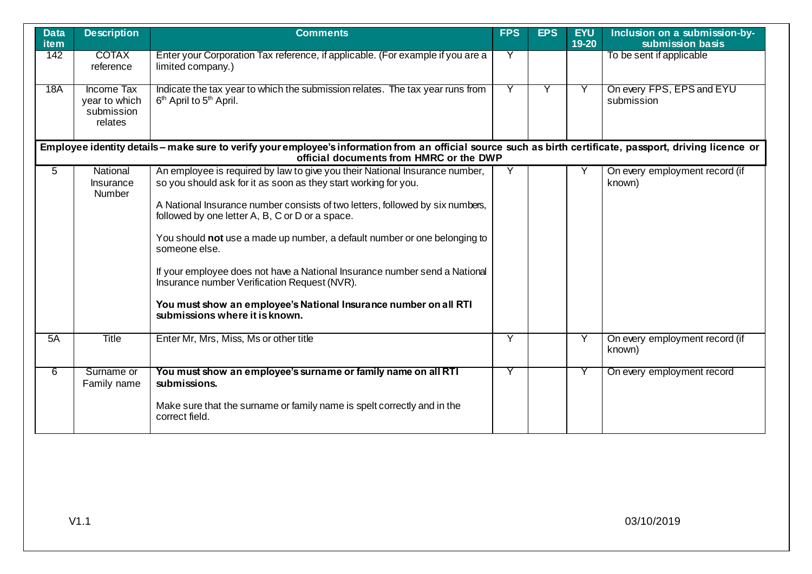| <b>Data</b><br><b>item</b> | <b>Description</b>                                   | <b>Comments</b>                                                                                                                                                                                                                                                                                                                                                                                                                                                                                                                                                                                                      | <b>FPS</b> | <b>EPS</b> | <b>EYU</b><br>19-20 | Inclusion on a submission-by-<br>submission basis |
|----------------------------|------------------------------------------------------|----------------------------------------------------------------------------------------------------------------------------------------------------------------------------------------------------------------------------------------------------------------------------------------------------------------------------------------------------------------------------------------------------------------------------------------------------------------------------------------------------------------------------------------------------------------------------------------------------------------------|------------|------------|---------------------|---------------------------------------------------|
| 142                        | <b>COTAX</b><br>reference                            | Enter your Corporation Tax reference, if applicable. (For example if you are a<br>limited company.)                                                                                                                                                                                                                                                                                                                                                                                                                                                                                                                  | Y          |            |                     | To be sent if applicable                          |
| 18A                        | Income Tax<br>year to which<br>submission<br>relates | Indicate the tax year to which the submission relates. The tax year runs from<br>6 <sup>th</sup> April to 5 <sup>th</sup> April.                                                                                                                                                                                                                                                                                                                                                                                                                                                                                     |            |            |                     | On every FPS, EPS and EYU<br>submission           |
|                            |                                                      | Employee identity details - make sure to verify your employee's information from an official source such as birth certificate, passport, driving licence or<br>official documents from HMRC or the DWP                                                                                                                                                                                                                                                                                                                                                                                                               |            |            |                     |                                                   |
| $\overline{5}$             | National<br>Insurance<br><b>Number</b>               | An employee is required by law to give you their National Insurance number,<br>so you should ask for it as soon as they start working for you.<br>A National Insurance number consists of two letters, followed by six numbers,<br>followed by one letter A, B, C or D or a space.<br>You should not use a made up number, a default number or one belonging to<br>someone else.<br>If your employee does not have a National Insurance number send a National<br>Insurance number Verification Request (NVR).<br>You must show an employee's National Insurance number on all RTI<br>submissions where it is known. | Y          |            |                     | On every employment record (if<br>known)          |
| 5A                         | <b>Title</b>                                         | Enter Mr, Mrs, Miss, Ms or other title                                                                                                                                                                                                                                                                                                                                                                                                                                                                                                                                                                               | Y          |            | Y                   | On every employment record (if<br>known)          |
| 6                          | Surname or<br>Family name                            | You must show an employee's surname or family name on all RTI<br>submissions.<br>Make sure that the surname or family name is spelt correctly and in the<br>correct field.                                                                                                                                                                                                                                                                                                                                                                                                                                           | Y          |            |                     | On every employment record                        |
|                            |                                                      |                                                                                                                                                                                                                                                                                                                                                                                                                                                                                                                                                                                                                      |            |            |                     |                                                   |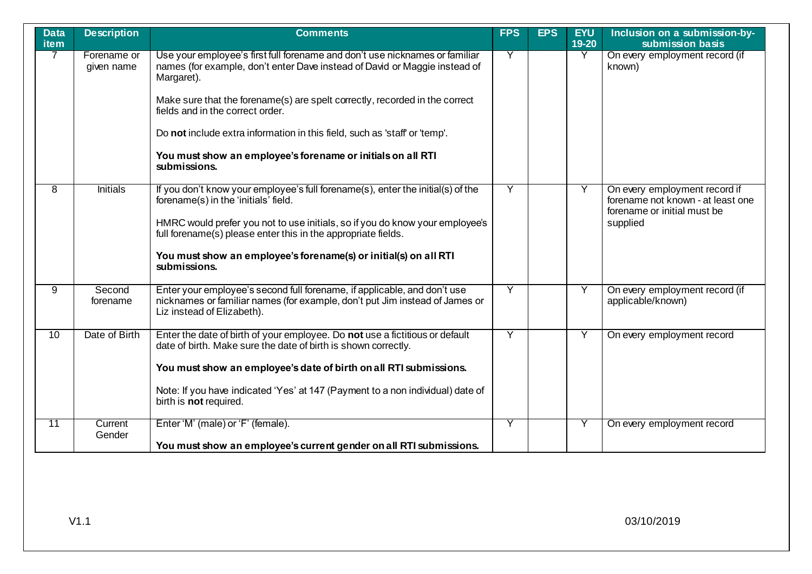| <b>Data</b><br>item | <b>Description</b>        | <b>Comments</b>                                                                                                                                                                       | <b>FPS</b> | <b>EPS</b> | <b>EYU</b><br>19-20 | Inclusion on a submission-by-<br>submission basis                                                 |
|---------------------|---------------------------|---------------------------------------------------------------------------------------------------------------------------------------------------------------------------------------|------------|------------|---------------------|---------------------------------------------------------------------------------------------------|
| $\overline{7}$      | Forename or<br>given name | Use your employee's first full forename and don't use nicknames or familiar<br>names (for example, don't enter Dave instead of David or Maggie instead of<br>Margaret).               | Υ          |            | Y                   | On every employment record (if<br>known)                                                          |
|                     |                           | Make sure that the forename(s) are spelt correctly, recorded in the correct<br>fields and in the correct order.                                                                       |            |            |                     |                                                                                                   |
|                     |                           | Do not include extra information in this field, such as 'staff' or 'temp'.                                                                                                            |            |            |                     |                                                                                                   |
|                     |                           | You must show an employee's forename or initials on all RTI<br>submissions.                                                                                                           |            |            |                     |                                                                                                   |
| 8                   | <b>Initials</b>           | If you don't know your employee's full forename(s), enter the initial(s) of the<br>forename(s) in the 'initials' field.                                                               | Ÿ          |            | Y                   | On every employment record if<br>forename not known - at least one<br>forename or initial must be |
|                     |                           | HMRC would prefer you not to use initials, so if you do know your employee's<br>full forename(s) please enter this in the appropriate fields.                                         |            |            |                     | supplied                                                                                          |
|                     |                           | You must show an employee's forename(s) or initial(s) on all RTI<br>submissions.                                                                                                      |            |            |                     |                                                                                                   |
| 9                   | Second<br>forename        | Enter your employee's second full forename, if applicable, and don't use<br>nicknames or familiar names (for example, don't put Jim instead of James or<br>Liz instead of Elizabeth). | Ÿ          |            | Y                   | On every employment record (if<br>applicable/known)                                               |
| 10                  | Date of Birth             | Enter the date of birth of your employee. Do not use a fictitious or default<br>date of birth. Make sure the date of birth is shown correctly.                                        | Y          |            | Y                   | On every employment record                                                                        |
|                     |                           | You must show an employee's date of birth on all RTI submissions.                                                                                                                     |            |            |                     |                                                                                                   |
|                     |                           | Note: If you have indicated 'Yes' at 147 (Payment to a non individual) date of<br>birth is not required.                                                                              |            |            |                     |                                                                                                   |
| 11                  | Current<br>Gender         | Enter 'M' (male) or 'F' (female).                                                                                                                                                     | Y          |            | Y                   | On every employment record                                                                        |
|                     |                           | You must show an employee's current gender on all RTI submissions.                                                                                                                    |            |            |                     |                                                                                                   |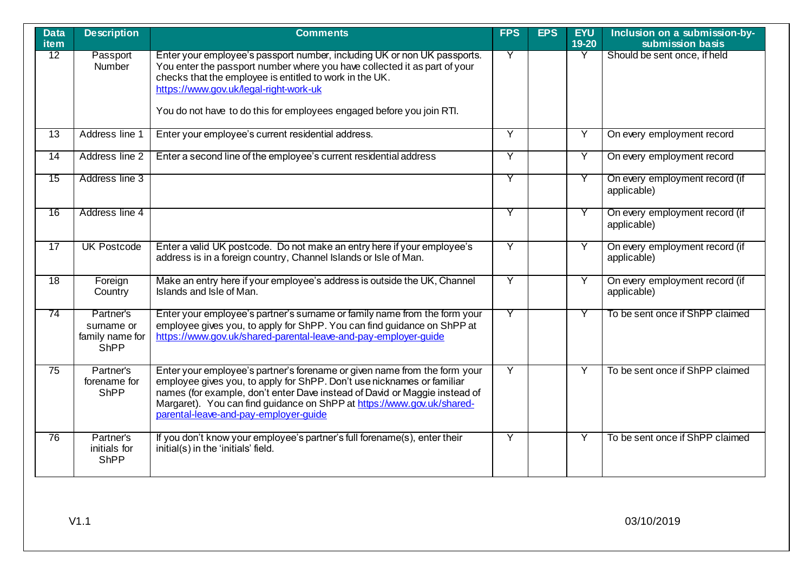| <b>Data</b><br>item | <b>Description</b>                                        | <b>Comments</b>                                                                                                                                                                                                                                                                                                                                      | <b>FPS</b>              | <b>EPS</b> | <b>EYU</b><br>19-20 | Inclusion on a submission-by-<br>submission basis |
|---------------------|-----------------------------------------------------------|------------------------------------------------------------------------------------------------------------------------------------------------------------------------------------------------------------------------------------------------------------------------------------------------------------------------------------------------------|-------------------------|------------|---------------------|---------------------------------------------------|
| 12                  | Passport<br>Number                                        | Enter your employee's passport number, including UK or non UK passports.<br>You enter the passport number where you have collected it as part of your<br>checks that the employee is entitled to work in the UK.<br>https://www.gov.uk/legal-right-work-uk<br>You do not have to do this for employees engaged before you join RTI.                  | Y                       |            | Y                   | Should be sent once, if held                      |
|                     |                                                           |                                                                                                                                                                                                                                                                                                                                                      |                         |            |                     |                                                   |
| 13                  | Address line 1                                            | Enter your employee's current residential address.                                                                                                                                                                                                                                                                                                   | Y                       |            | Y                   | On every employment record                        |
| $\overline{14}$     | Address line 2                                            | Enter a second line of the employee's current residential address                                                                                                                                                                                                                                                                                    | $\overline{\mathsf{Y}}$ |            | Ÿ                   | On every employment record                        |
| $\overline{15}$     | Address line 3                                            |                                                                                                                                                                                                                                                                                                                                                      | Y                       |            | Y                   | On every employment record (if<br>applicable)     |
| 16                  | Address line 4                                            |                                                                                                                                                                                                                                                                                                                                                      | Y                       |            | Y                   | On every employment record (if<br>applicable)     |
| $\overline{17}$     | <b>UK Postcode</b>                                        | Enter a valid UK postcode. Do not make an entry here if your employee's<br>address is in a foreign country, Channel Islands or Isle of Man.                                                                                                                                                                                                          | $\overline{Y}$          |            | Ÿ                   | On every employment record (if<br>applicable)     |
| 18                  | Foreign<br>Country                                        | Make an entry here if your employee's address is outside the UK, Channel<br>Islands and Isle of Man.                                                                                                                                                                                                                                                 | Y                       |            | Y                   | On every employment record (if<br>applicable)     |
| 74                  | Partner's<br>surname or<br>family name for<br><b>ShPP</b> | Enter your employee's partner's surname or family name from the form your<br>employee gives you, to apply for ShPP. You can find quidance on ShPP at<br>https://www.gov.uk/shared-parental-leave-and-pay-employer-guide                                                                                                                              | Y                       |            | Y                   | To be sent once if ShPP claimed                   |
| $\overline{75}$     | Partner's<br>forename for<br><b>ShPP</b>                  | Enter your employee's partner's forename or given name from the form your<br>employee gives you, to apply for ShPP. Don't use nicknames or familiar<br>names (for example, don't enter Dave instead of David or Maggie instead of<br>Margaret). You can find guidance on ShPP at https://www.gov.uk/shared-<br>parental-leave-and-pay-employer-quide | $\overline{Y}$          |            | Ÿ                   | To be sent once if ShPP claimed                   |
| 76                  | Partner's<br>initials for<br><b>ShPP</b>                  | If you don't know your employee's partner's full forename(s), enter their<br>initial(s) in the 'initials' field.                                                                                                                                                                                                                                     | Y                       |            | Y                   | To be sent once if ShPP claimed                   |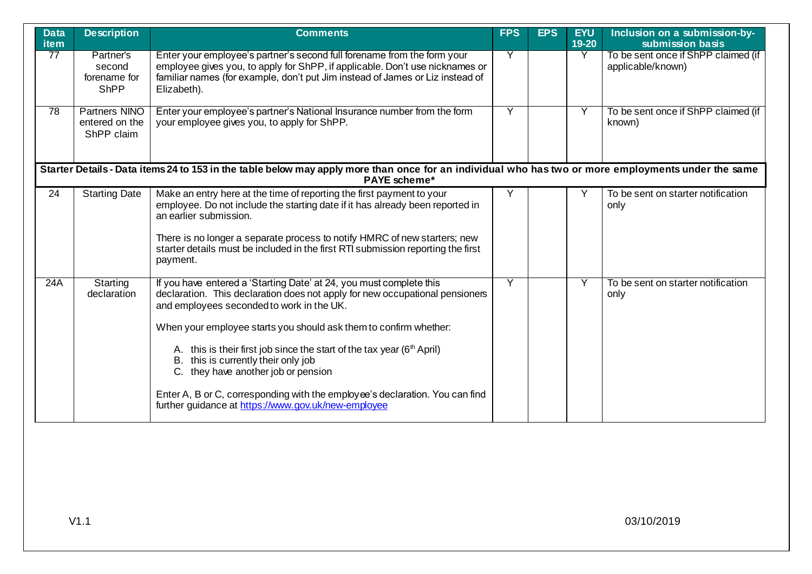| <b>Data</b><br><b>item</b> | <b>Description</b>                                   | <b>Comments</b>                                                                                                                                                                                                                                                                                                                                                                                                                                                                                                                                                         | <b>FPS</b> | <b>EPS</b> | <b>EYU</b><br>19-20 | Inclusion on a submission-by-<br>submission basis        |
|----------------------------|------------------------------------------------------|-------------------------------------------------------------------------------------------------------------------------------------------------------------------------------------------------------------------------------------------------------------------------------------------------------------------------------------------------------------------------------------------------------------------------------------------------------------------------------------------------------------------------------------------------------------------------|------------|------------|---------------------|----------------------------------------------------------|
| 77                         | Partner's<br>second<br>forename for<br><b>ShPP</b>   | Enter your employee's partner's second full forename from the form your<br>employee gives you, to apply for ShPP, if applicable. Don't use nicknames or<br>familiar names (for example, don't put Jim instead of James or Liz instead of<br>Elizabeth).                                                                                                                                                                                                                                                                                                                 | Y          |            | Y                   | To be sent once if ShPP claimed (if<br>applicable/known) |
| 78                         | <b>Partners NINO</b><br>entered on the<br>ShPP claim | Enter your employee's partner's National Insurance number from the form<br>your employee gives you, to apply for ShPP.                                                                                                                                                                                                                                                                                                                                                                                                                                                  | Ÿ          |            | Y                   | To be sent once if ShPP claimed (if<br>known)            |
|                            |                                                      | Starter Details - Data items 24 to 153 in the table below may apply more than once for an individual who has two or more employments under the same<br><b>PAYE</b> scheme*                                                                                                                                                                                                                                                                                                                                                                                              |            |            |                     |                                                          |
| 24                         | <b>Starting Date</b>                                 | Make an entry here at the time of reporting the first payment to your<br>employee. Do not include the starting date if it has already been reported in<br>an earlier submission.<br>There is no longer a separate process to notify HMRC of new starters; new<br>starter details must be included in the first RTI submission reporting the first<br>payment.                                                                                                                                                                                                           | Υ          |            |                     | To be sent on starter notification<br>only               |
| 24A                        | Starting<br>declaration                              | If you have entered a 'Starting Date' at 24, you must complete this<br>declaration. This declaration does not apply for new occupational pensioners<br>and employees seconded to work in the UK.<br>When your employee starts you should ask them to confirm whether:<br>A. this is their first job since the start of the tax year ( $6th$ April)<br>B. this is currently their only job<br>C. they have another job or pension<br>Enter A, B or C, corresponding with the employee's declaration. You can find<br>further guidance at https://www.gov.uk/new-employee | Y          |            | Y                   | To be sent on starter notification<br>only               |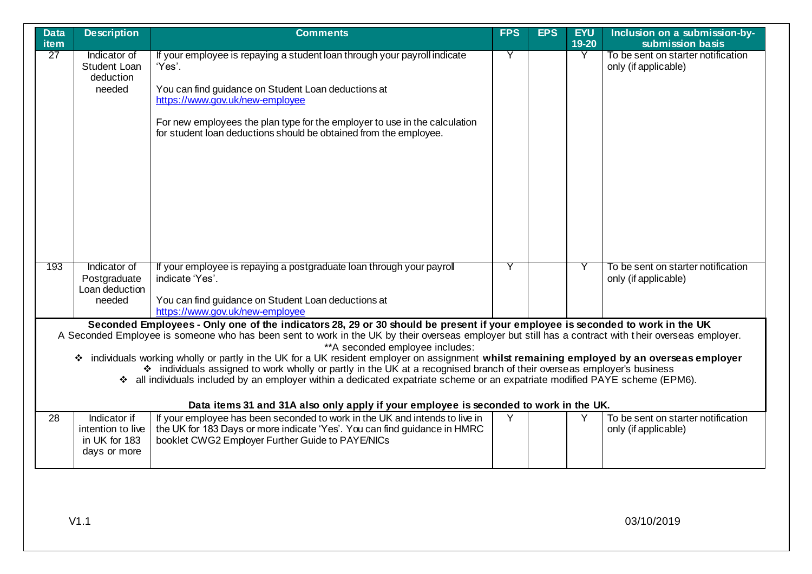| <b>Data</b><br>item | <b>Description</b>                                                 | <b>Comments</b>                                                                                                                                                                                                                                                                                                                                                                                                                                                                                                                                                                                                                                                                                                                                                                                                             | <b>FPS</b> | <b>EPS</b> | <b>EYU</b><br>19-20 | Inclusion on a submission-by-<br>submission basis          |
|---------------------|--------------------------------------------------------------------|-----------------------------------------------------------------------------------------------------------------------------------------------------------------------------------------------------------------------------------------------------------------------------------------------------------------------------------------------------------------------------------------------------------------------------------------------------------------------------------------------------------------------------------------------------------------------------------------------------------------------------------------------------------------------------------------------------------------------------------------------------------------------------------------------------------------------------|------------|------------|---------------------|------------------------------------------------------------|
| $\overline{27}$     | Indicator of<br>Student Loan<br>deduction<br>needed                | If your employee is repaying a student loan through your payroll indicate<br>'Yes'.<br>You can find guidance on Student Loan deductions at<br>https://www.gov.uk/new-employee<br>For new employees the plan type for the employer to use in the calculation<br>for student loan deductions should be obtained from the employee.                                                                                                                                                                                                                                                                                                                                                                                                                                                                                            | Y          |            | Y                   | To be sent on starter notification<br>only (if applicable) |
| 193                 | Indicator of<br>Postgraduate<br>Loan deduction<br>needed           | If your employee is repaying a postgraduate loan through your payroll<br>indicate 'Yes'.<br>You can find guidance on Student Loan deductions at<br>https://www.gov.uk/new-employee                                                                                                                                                                                                                                                                                                                                                                                                                                                                                                                                                                                                                                          | Y          |            | Y                   | To be sent on starter notification<br>only (if applicable) |
|                     |                                                                    | Seconded Employees - Only one of the indicators 28, 29 or 30 should be present if your employee is seconded to work in the UK<br>A Seconded Employee is someone who has been sent to work in the UK by their overseas employer but still has a contract with their overseas employer.<br>** A seconded employee includes:<br>* individuals working wholly or partly in the UK for a UK resident employer on assignment whilst remaining employed by an overseas employer<br>* individuals assigned to work wholly or partly in the UK at a recognised branch of their overseas employer's business<br>* all individuals included by an employer within a dedicated expatriate scheme or an expatriate modified PAYE scheme (EPM6).<br>Data items 31 and 31A also only apply if your employee is seconded to work in the UK. |            |            |                     |                                                            |
| 28                  | Indicator if<br>intention to live<br>in UK for 183<br>days or more | If your employee has been seconded to work in the UK and intends to live in<br>the UK for 183 Days or more indicate 'Yes'. You can find guidance in HMRC<br>booklet CWG2 Employer Further Guide to PAYE/NICs                                                                                                                                                                                                                                                                                                                                                                                                                                                                                                                                                                                                                | Y          |            | Y                   | To be sent on starter notification<br>only (if applicable) |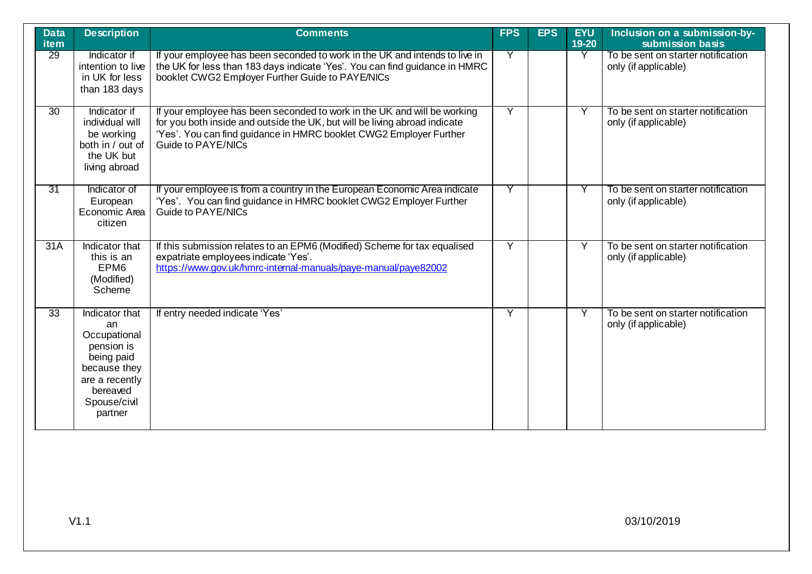| <b>Data</b><br><b>item</b> | <b>Description</b>                                                                                                                        | <b>Comments</b>                                                                                                                                                                                                                                    | <b>FPS</b>     | <b>EPS</b> | <b>EYU</b><br>19-20 | Inclusion on a submission-by-<br>submission basis          |
|----------------------------|-------------------------------------------------------------------------------------------------------------------------------------------|----------------------------------------------------------------------------------------------------------------------------------------------------------------------------------------------------------------------------------------------------|----------------|------------|---------------------|------------------------------------------------------------|
| 29                         | Indicator if<br>intention to live<br>in UK for less<br>than 183 days                                                                      | If your employee has been seconded to work in the UK and intends to live in<br>the UK for less than 183 days indicate 'Yes'. You can find guidance in HMRC<br>booklet CWG2 Employer Further Guide to PAYE/NICs                                     | Y              |            | Y                   | To be sent on starter notification<br>only (if applicable) |
| $\overline{30}$            | Indicator if<br>individual will<br>be working<br>both in / out of<br>the UK but<br>living abroad                                          | If your employee has been seconded to work in the UK and will be working<br>for you both inside and outside the UK, but will be living abroad indicate<br>'Yes'. You can find guidance in HMRC booklet CWG2 Employer Further<br>Guide to PAYE/NICs | $\overline{Y}$ |            | Y                   | To be sent on starter notification<br>only (if applicable) |
| 31                         | Indicator of<br>European<br>Economic Area<br>citizen                                                                                      | If your employee is from a country in the European Economic Area indicate<br>'Yes'. You can find guidance in HMRC booklet CWG2 Employer Further<br>Guide to PAYE/NICs                                                                              | Y              |            |                     | To be sent on starter notification<br>only (if applicable) |
| 31A                        | Indicator that<br>this is an<br>EPM <sub>6</sub><br>(Modified)<br>Scheme                                                                  | If this submission relates to an EPM6 (Modified) Scheme for tax equalised<br>expatriate employees indicate 'Yes'.<br>https://www.gov.uk/hmrc-internal-manuals/paye-manual/paye82002                                                                | Ÿ              |            | Y                   | To be sent on starter notification<br>only (if applicable) |
| $\overline{33}$            | Indicator that<br>an<br>Occupational<br>pension is<br>being paid<br>because they<br>are a recently<br>bereaved<br>Spouse/civil<br>partner | If entry needed indicate 'Yes'                                                                                                                                                                                                                     | Ÿ              |            | Y                   | To be sent on starter notification<br>only (if applicable) |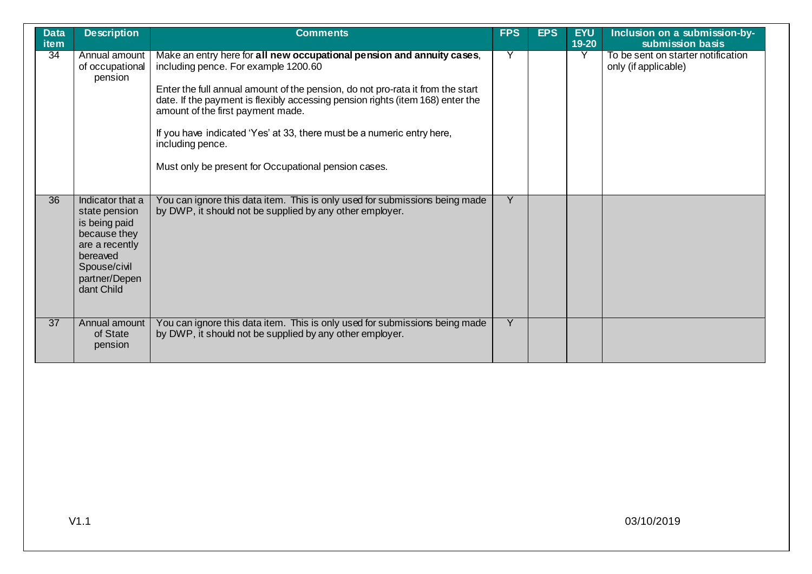| <b>Data</b><br><b>item</b> | <b>Description</b>                                                                                                                              | <b>Comments</b>                                                                                                                                                                                                                                                                                                                                                                                                                                                               | <b>FPS</b>     | <b>EPS</b> | <b>EYU</b><br>$19 - 20$ | Inclusion on a submission-by-<br>submission basis          |
|----------------------------|-------------------------------------------------------------------------------------------------------------------------------------------------|-------------------------------------------------------------------------------------------------------------------------------------------------------------------------------------------------------------------------------------------------------------------------------------------------------------------------------------------------------------------------------------------------------------------------------------------------------------------------------|----------------|------------|-------------------------|------------------------------------------------------------|
| 34                         | Annual amount<br>of occupational<br>pension                                                                                                     | Make an entry here for all new occupational pension and annuity cases,<br>including pence. For example 1200.60<br>Enter the full annual amount of the pension, do not pro-rata it from the start<br>date. If the payment is flexibly accessing pension rights (item 168) enter the<br>amount of the first payment made.<br>If you have indicated 'Yes' at 33, there must be a numeric entry here,<br>including pence.<br>Must only be present for Occupational pension cases. | Y              |            |                         | To be sent on starter notification<br>only (if applicable) |
| $\overline{36}$            | Indicator that a<br>state pension<br>is being paid<br>because they<br>are a recently<br>bereaved<br>Spouse/civil<br>partner/Depen<br>dant Child | You can ignore this data item. This is only used for submissions being made<br>by DWP, it should not be supplied by any other employer.                                                                                                                                                                                                                                                                                                                                       | $\overline{Y}$ |            |                         |                                                            |
| 37                         | Annual amount<br>of State<br>pension                                                                                                            | You can ignore this data item. This is only used for submissions being made<br>by DWP, it should not be supplied by any other employer.                                                                                                                                                                                                                                                                                                                                       | Y              |            |                         |                                                            |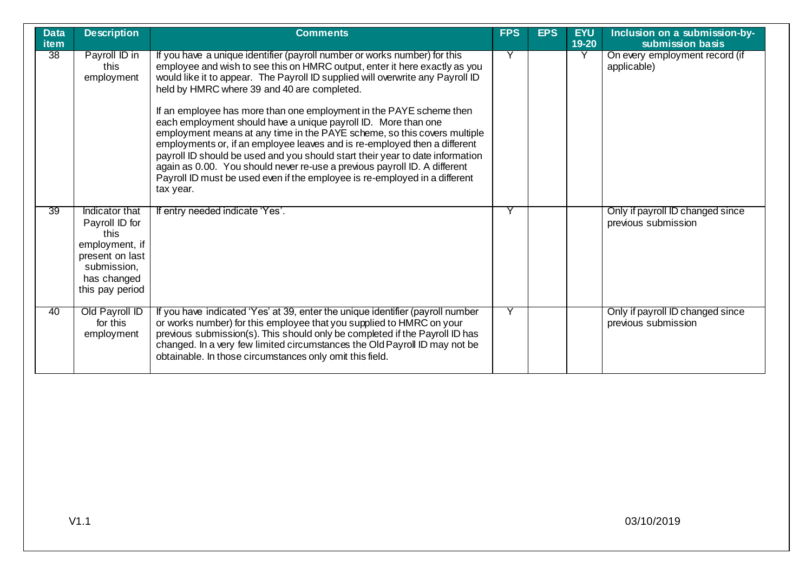| <b>Data</b><br><b>item</b> | <b>Description</b>                                                                                                             | <b>Comments</b>                                                                                                                                                                                                                                                                                                                                                                                                                                                                                                                                                                                                                                                                                                                                                                                                                                     | <b>FPS</b> | <b>EPS</b> | <b>EYU</b><br>$19 - 20$ | Inclusion on a submission-by-<br>submission basis       |
|----------------------------|--------------------------------------------------------------------------------------------------------------------------------|-----------------------------------------------------------------------------------------------------------------------------------------------------------------------------------------------------------------------------------------------------------------------------------------------------------------------------------------------------------------------------------------------------------------------------------------------------------------------------------------------------------------------------------------------------------------------------------------------------------------------------------------------------------------------------------------------------------------------------------------------------------------------------------------------------------------------------------------------------|------------|------------|-------------------------|---------------------------------------------------------|
| 38                         | Payroll ID in<br>this<br>employment                                                                                            | If you have a unique identifier (payroll number or works number) for this<br>employee and wish to see this on HMRC output, enter it here exactly as you<br>would like it to appear. The Payroll ID supplied will overwrite any Payroll ID<br>held by HMRC where 39 and 40 are completed.<br>If an employee has more than one employment in the PAYE scheme then<br>each employment should have a unique payroll ID. More than one<br>employment means at any time in the PAYE scheme, so this covers multiple<br>employments or, if an employee leaves and is re-employed then a different<br>payroll ID should be used and you should start their year to date information<br>again as 0.00. You should never re-use a previous payroll ID. A different<br>Payroll ID must be used even if the employee is re-employed in a different<br>tax year. | Y          |            |                         | On every employment record (if<br>applicable)           |
| 39                         | Indicator that<br>Payroll ID for<br>this<br>employment, if<br>present on last<br>submission,<br>has changed<br>this pay period | If entry needed indicate 'Yes'.                                                                                                                                                                                                                                                                                                                                                                                                                                                                                                                                                                                                                                                                                                                                                                                                                     | γ          |            |                         | Only if payroll ID changed since<br>previous submission |
| 40                         | Old Payroll ID<br>for this<br>employment                                                                                       | If you have indicated 'Yes' at 39, enter the unique identifier (payroll number<br>or works number) for this employee that you supplied to HMRC on your<br>previous submission(s). This should only be completed if the Payroll ID has<br>changed. In a very few limited circumstances the Old Payroll ID may not be<br>obtainable. In those circumstances only omit this field.                                                                                                                                                                                                                                                                                                                                                                                                                                                                     | Y          |            |                         | Only if payroll ID changed since<br>previous submission |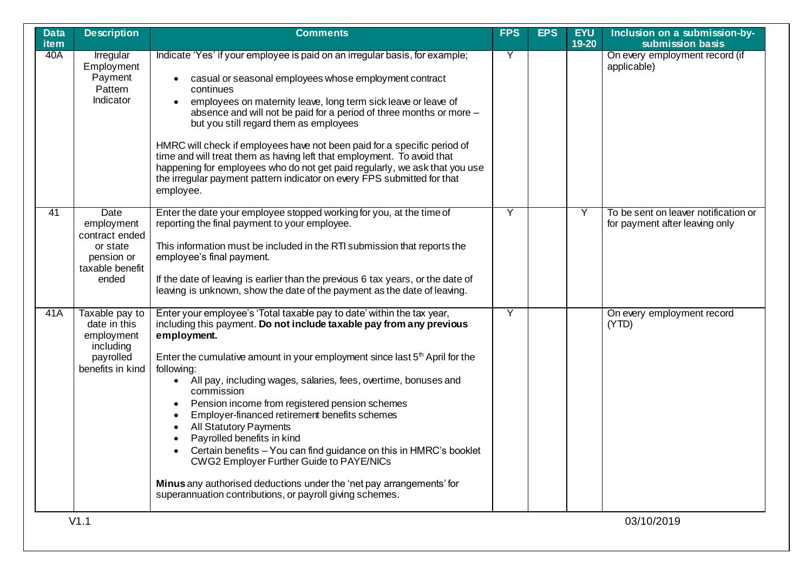| <b>Data</b><br>item | <b>Description</b>                                                                         | <b>Comments</b>                                                                                                                                                                                                                                                                                                                                                                                                                                                                                                                                                                                                                                                                                                                                                                                        | <b>FPS</b> | <b>EPS</b> | <b>EYU</b><br>19-20 | Inclusion on a submission-by-<br>submission basis                      |
|---------------------|--------------------------------------------------------------------------------------------|--------------------------------------------------------------------------------------------------------------------------------------------------------------------------------------------------------------------------------------------------------------------------------------------------------------------------------------------------------------------------------------------------------------------------------------------------------------------------------------------------------------------------------------------------------------------------------------------------------------------------------------------------------------------------------------------------------------------------------------------------------------------------------------------------------|------------|------------|---------------------|------------------------------------------------------------------------|
| 40A                 | Irregular<br>Employment<br>Payment<br>Pattern<br>Indicator                                 | Indicate 'Yes' if your employee is paid on an irregular basis, for example;<br>casual or seasonal employees whose employment contract<br>continues<br>employees on maternity leave, long term sick leave or leave of<br>$\bullet$<br>absence and will not be paid for a period of three months or more -<br>but you still regard them as employees<br>HMRC will check if employees have not been paid for a specific period of<br>time and will treat them as having left that employment. To avoid that<br>happening for employees who do not get paid regularly, we ask that you use<br>the irregular payment pattern indicator on every FPS submitted for that<br>employee.                                                                                                                         | Y          |            |                     | On every employment record (if<br>applicable)                          |
| $\overline{41}$     | Date<br>employment<br>contract ended<br>or state<br>pension or<br>taxable benefit<br>ended | Enter the date your employee stopped working for you, at the time of<br>reporting the final payment to your employee.<br>This information must be included in the RTI submission that reports the<br>employee's final payment.<br>If the date of leaving is earlier than the previous 6 tax years, or the date of<br>leaving is unknown, show the date of the payment as the date of leaving.                                                                                                                                                                                                                                                                                                                                                                                                          | Y          |            | Υ                   | To be sent on leaver notification or<br>for payment after leaving only |
| 41A                 | Taxable pay to<br>date in this<br>employment<br>including<br>payrolled<br>benefits in kind | Enter your employee's 'Total taxable pay to date' within the tax year,<br>including this payment. Do not include taxable pay from any previous<br>employment.<br>Enter the cumulative amount in your employment since last $5th$ April for the<br>following:<br>All pay, including wages, salaries, fees, overtime, bonuses and<br>$\bullet$<br>commission<br>Pension income from registered pension schemes<br>Employer-financed retirement benefits schemes<br><b>All Statutory Payments</b><br>Payrolled benefits in kind<br>Certain benefits - You can find guidance on this in HMRC's booklet<br>$\bullet$<br><b>CWG2 Employer Further Guide to PAYE/NICs</b><br>Minus any authorised deductions under the 'net pay arrangements' for<br>superannuation contributions, or payroll giving schemes. | Y          |            |                     | On every employment record<br>(YTD)                                    |
|                     | V1.1                                                                                       |                                                                                                                                                                                                                                                                                                                                                                                                                                                                                                                                                                                                                                                                                                                                                                                                        |            |            |                     | 03/10/2019                                                             |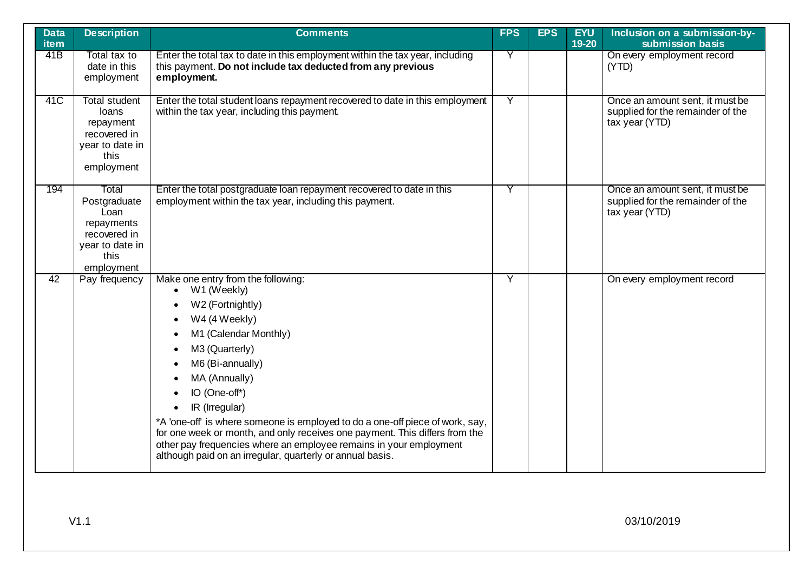| <b>Data</b><br>item | <b>Description</b>                                                                                   | <b>Comments</b>                                                                                                                                                                                                                                                                                                                                                                                                                                                                                                                        | <b>FPS</b>     | <b>EPS</b> | <b>EYU</b><br>19-20 | Inclusion on a submission-by-<br>submission basis                                      |
|---------------------|------------------------------------------------------------------------------------------------------|----------------------------------------------------------------------------------------------------------------------------------------------------------------------------------------------------------------------------------------------------------------------------------------------------------------------------------------------------------------------------------------------------------------------------------------------------------------------------------------------------------------------------------------|----------------|------------|---------------------|----------------------------------------------------------------------------------------|
| 41B                 | Total tax to<br>date in this<br>employment                                                           | Enter the total tax to date in this employment within the tax year, including<br>this payment. Do not include tax deducted from any previous<br>employment.                                                                                                                                                                                                                                                                                                                                                                            | Y              |            |                     | On every employment record<br>(YTD)                                                    |
| 41C                 | <b>Total student</b><br>loans<br>repayment<br>recovered in<br>year to date in<br>this<br>employment  | Enter the total student loans repayment recovered to date in this employment<br>within the tax year, including this payment.                                                                                                                                                                                                                                                                                                                                                                                                           | $\overline{Y}$ |            |                     | Once an amount sent, it must be<br>supplied for the remainder of the<br>tax year (YTD) |
| 194                 | Total<br>Postgraduate<br>Loan<br>repayments<br>recovered in<br>year to date in<br>this<br>employment | Enter the total postgraduate loan repayment recovered to date in this<br>employment within the tax year, including this payment.                                                                                                                                                                                                                                                                                                                                                                                                       | Y              |            |                     | Once an amount sent, it must be<br>supplied for the remainder of the<br>tax year (YTD) |
| $\overline{42}$     | Pay frequency                                                                                        | Make one entry from the following:<br>W1 (Weekly)<br>$\bullet$<br>W2 (Fortnightly)<br>W4 (4 Weekly)<br>M1 (Calendar Monthly)<br>M3 (Quarterly)<br>M6 (Bi-annually)<br>MA (Annually)<br>IO (One-off*)<br>IR (Irregular)<br>$\bullet$<br>*A 'one-off' is where someone is employed to do a one-off piece of work, say,<br>for one week or month, and only receives one payment. This differs from the<br>other pay frequencies where an employee remains in your employment<br>although paid on an irregular, quarterly or annual basis. | Ÿ              |            |                     | On every employment record                                                             |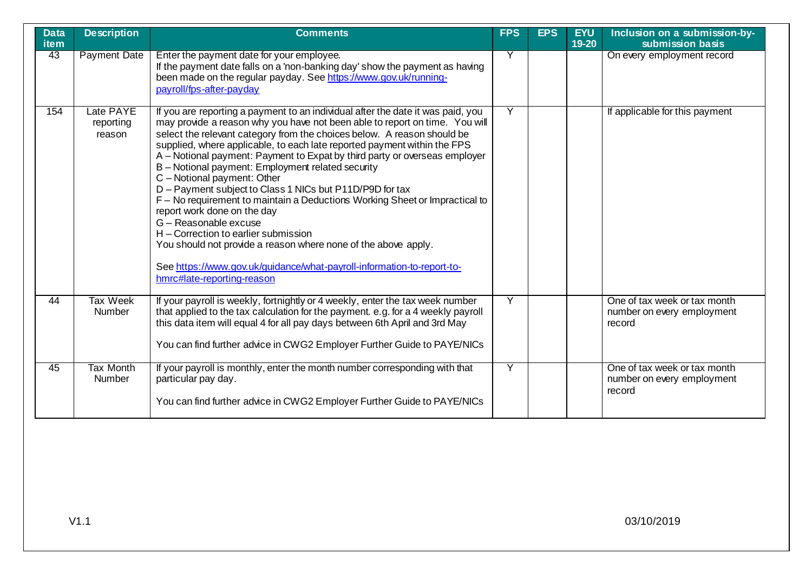| <b>Data</b><br>item | <b>Description</b>                | <b>Comments</b>                                                                                                                                                                                                                                                                                                                                                                                                                                                                                                                                                                                                                                                                                                                                                                                                                                                                                            | <b>FPS</b> | <b>EPS</b> | <b>EYU</b><br>19-20 | Inclusion on a submission-by-<br>submission basis                    |
|---------------------|-----------------------------------|------------------------------------------------------------------------------------------------------------------------------------------------------------------------------------------------------------------------------------------------------------------------------------------------------------------------------------------------------------------------------------------------------------------------------------------------------------------------------------------------------------------------------------------------------------------------------------------------------------------------------------------------------------------------------------------------------------------------------------------------------------------------------------------------------------------------------------------------------------------------------------------------------------|------------|------------|---------------------|----------------------------------------------------------------------|
| 43                  | <b>Payment Date</b>               | Enter the payment date for your employee.<br>If the payment date falls on a 'non-banking day' show the payment as having<br>been made on the regular payday. See https://www.gov.uk/running-<br>payroll/fps-after-payday                                                                                                                                                                                                                                                                                                                                                                                                                                                                                                                                                                                                                                                                                   | Y          |            |                     | On every employment record                                           |
| 154                 | Late PAYE<br>reporting<br>reason  | If you are reporting a payment to an individual after the date it was paid, you<br>may provide a reason why you have not been able to report on time. You will<br>select the relevant category from the choices below. A reason should be<br>supplied, where applicable, to each late reported payment within the FPS<br>A - Notional payment: Payment to Expat by third party or overseas employer<br>B-Notional payment: Employment related security<br>C - Notional payment: Other<br>D - Payment subject to Class 1 NICs but P11D/P9D for tax<br>F - No requirement to maintain a Deductions Working Sheet or Impractical to<br>report work done on the day<br>G - Reasonable excuse<br>H - Correction to earlier submission<br>You should not provide a reason where none of the above apply.<br>See https://www.gov.uk/guidance/what-payroll-information-to-report-to-<br>hmrc#late-reporting-reason | Y          |            |                     | If applicable for this payment                                       |
| 44                  | <b>Tax Week</b><br>Number         | If your payroll is weekly, fortnightly or 4 weekly, enter the tax week number<br>that applied to the tax calculation for the payment. e.g. for a 4 weekly payroll<br>this data item will equal 4 for all pay days between 6th April and 3rd May<br>You can find further advice in CWG2 Employer Further Guide to PAYE/NICs                                                                                                                                                                                                                                                                                                                                                                                                                                                                                                                                                                                 | Y          |            |                     | One of tax week or tax month<br>number on every employment<br>record |
| 45                  | <b>Tax Month</b><br><b>Number</b> | If your payroll is monthly, enter the month number corresponding with that<br>particular pay day.<br>You can find further advice in CWG2 Employer Further Guide to PAYE/NICs                                                                                                                                                                                                                                                                                                                                                                                                                                                                                                                                                                                                                                                                                                                               | Y          |            |                     | One of tax week or tax month<br>number on every employment<br>record |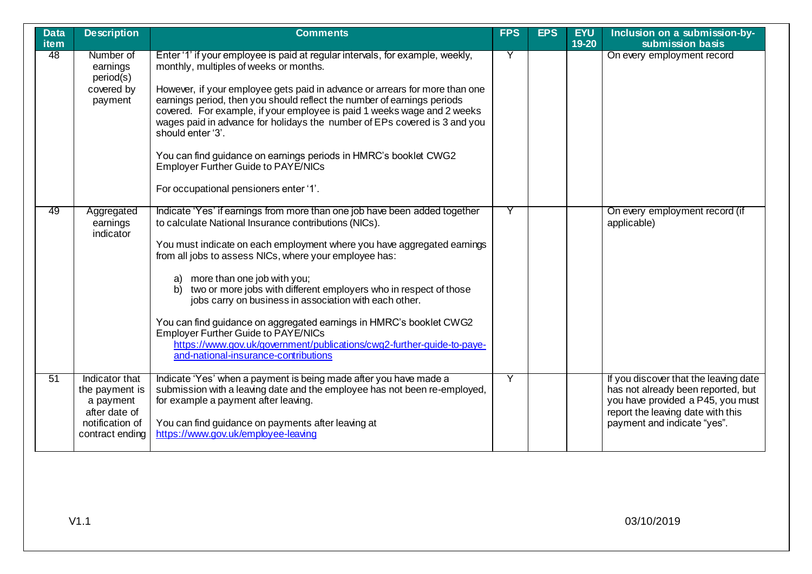| <b>Data</b><br><b>item</b> | <b>Description</b>                                                                                   | <b>Comments</b>                                                                                                                                                                                                                                                                                                                                                                                                                                                                                                                                                                                                                                                                           | <b>FPS</b> | <b>EPS</b> | <b>EYU</b><br>19-20 | Inclusion on a submission-by-<br>submission basis                                                                                                                                    |
|----------------------------|------------------------------------------------------------------------------------------------------|-------------------------------------------------------------------------------------------------------------------------------------------------------------------------------------------------------------------------------------------------------------------------------------------------------------------------------------------------------------------------------------------------------------------------------------------------------------------------------------------------------------------------------------------------------------------------------------------------------------------------------------------------------------------------------------------|------------|------------|---------------------|--------------------------------------------------------------------------------------------------------------------------------------------------------------------------------------|
| 48                         | Number of<br>earnings<br>period(s)<br>covered by<br>payment                                          | Enter '1' if your employee is paid at regular intervals, for example, weekly,<br>monthly, multiples of weeks or months.<br>However, if your employee gets paid in advance or arrears for more than one<br>earnings period, then you should reflect the number of earnings periods<br>covered. For example, if your employee is paid 1 weeks wage and 2 weeks<br>wages paid in advance for holidays the number of EPs covered is 3 and you<br>should enter '3'.<br>You can find guidance on earnings periods in HMRC's booklet CWG2<br><b>Employer Further Guide to PAYE/NICs</b><br>For occupational pensioners enter '1'.                                                                | Y          |            |                     | On every employment record                                                                                                                                                           |
| 49                         | Aggregated<br>earnings<br>indicator                                                                  | Indicate 'Yes' if earnings from more than one job have been added together<br>to calculate National Insurance contributions (NICs).<br>You must indicate on each employment where you have aggregated earnings<br>from all jobs to assess NICs, where your employee has:<br>more than one job with you;<br>a)<br>two or more jobs with different employers who in respect of those<br>b)<br>jobs carry on business in association with each other.<br>You can find guidance on aggregated earnings in HMRC's booklet CWG2<br><b>Employer Further Guide to PAYE/NICs</b><br>https://www.gov.uk/government/publications/cwg2-further-guide-to-paye-<br>and-national-insurance-contributions | Y          |            |                     | On every employment record (if<br>applicable)                                                                                                                                        |
| 51                         | Indicator that<br>the payment is<br>a payment<br>after date of<br>notification of<br>contract ending | Indicate 'Yes' when a payment is being made after you have made a<br>submission with a leaving date and the employee has not been re-employed,<br>for example a payment after leaving.<br>You can find guidance on payments after leaving at<br>https://www.gov.uk/employee-leaving                                                                                                                                                                                                                                                                                                                                                                                                       | Y          |            |                     | If you discover that the leaving date<br>has not already been reported, but<br>you have provided a P45, you must<br>report the leaving date with this<br>payment and indicate "yes". |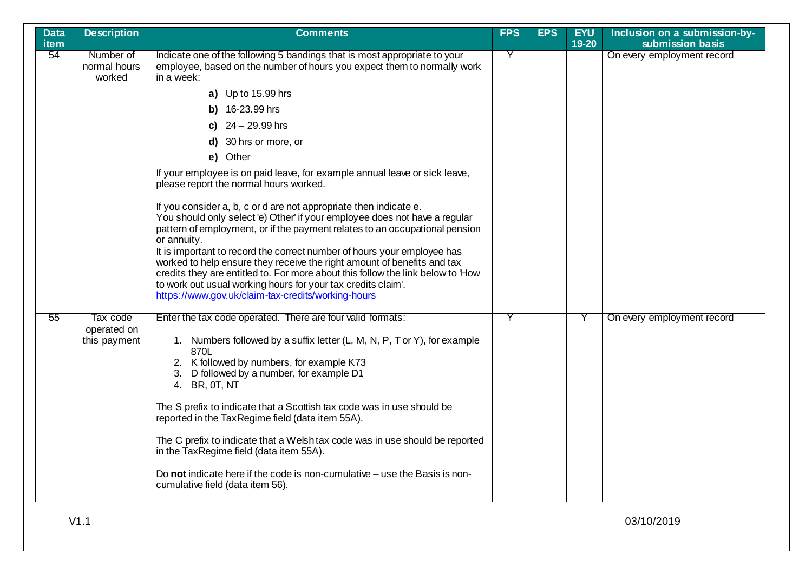| <b>Data</b><br><b>item</b> | <b>Description</b>                      | <b>Comments</b>                                                                                                                                                                                                                                                                                                                                                                                                                                                                                                                                                                                                                                                                                                                                                                                                                                                                                                                                                                                                 | <b>FPS</b> | <b>EPS</b> | <b>EYU</b><br>$19 - 20$ | Inclusion on a submission-by-<br>submission basis |
|----------------------------|-----------------------------------------|-----------------------------------------------------------------------------------------------------------------------------------------------------------------------------------------------------------------------------------------------------------------------------------------------------------------------------------------------------------------------------------------------------------------------------------------------------------------------------------------------------------------------------------------------------------------------------------------------------------------------------------------------------------------------------------------------------------------------------------------------------------------------------------------------------------------------------------------------------------------------------------------------------------------------------------------------------------------------------------------------------------------|------------|------------|-------------------------|---------------------------------------------------|
| 54                         | Number of<br>normal hours<br>worked     | Indicate one of the following 5 bandings that is most appropriate to your<br>employee, based on the number of hours you expect them to normally work<br>in a week:<br>a) Up to 15.99 hrs<br>b) 16-23.99 hrs<br>c) $24 - 29.99$ hrs<br>d) 30 hrs or more, or<br>e) Other<br>If your employee is on paid leave, for example annual leave or sick leave,<br>please report the normal hours worked.<br>If you consider a, b, c or d are not appropriate then indicate e.<br>You should only select 'e) Other' if your employee does not have a regular<br>pattern of employment, or if the payment relates to an occupational pension<br>or annuity.<br>It is important to record the correct number of hours your employee has<br>worked to help ensure they receive the right amount of benefits and tax<br>credits they are entitled to. For more about this follow the link below to 'How<br>to work out usual working hours for your tax credits claim'.<br>https://www.gov.uk/claim-tax-credits/working-hours | Y          |            |                         | On every employment record                        |
| 55                         | Tax code<br>operated on<br>this payment | Enter the tax code operated. There are four valid formats:<br>1. Numbers followed by a suffix letter (L, M, N, P, T or Y), for example<br>870L<br>2. K followed by numbers, for example K73<br>3. D followed by a number, for example D1<br>4. BR, 0T, NT<br>The S prefix to indicate that a Scottish tax code was in use should be<br>reported in the TaxRegime field (data item 55A).<br>The C prefix to indicate that a Welsh tax code was in use should be reported<br>in the TaxRegime field (data item 55A).<br>Do not indicate here if the code is non-cumulative – use the Basis is non-<br>cumulative field (data item 56).                                                                                                                                                                                                                                                                                                                                                                            | Y          |            |                         | On every employment record                        |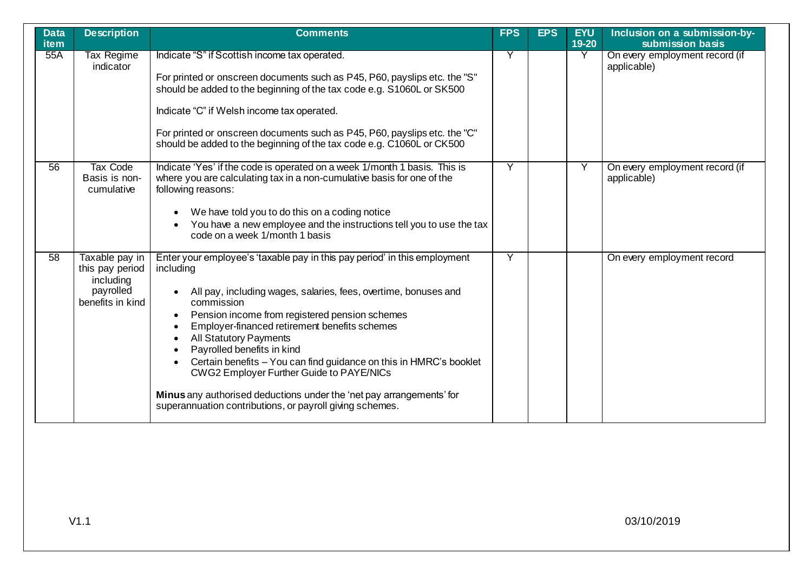| <b>Data</b><br><b>item</b> | <b>Description</b>                                                              | <b>Comments</b>                                                                                                                                                                                                                                                                                                                                                                                                                                                                                                                                                                                                                                     | <b>FPS</b> | <b>EPS</b> | <b>EYU</b><br>19-20 | Inclusion on a submission-by-<br>submission basis |
|----------------------------|---------------------------------------------------------------------------------|-----------------------------------------------------------------------------------------------------------------------------------------------------------------------------------------------------------------------------------------------------------------------------------------------------------------------------------------------------------------------------------------------------------------------------------------------------------------------------------------------------------------------------------------------------------------------------------------------------------------------------------------------------|------------|------------|---------------------|---------------------------------------------------|
| 55A                        | Tax Regime<br>indicator                                                         | Indicate "S" if Scottish income tax operated.<br>For printed or onscreen documents such as P45, P60, payslips etc. the "S"<br>should be added to the beginning of the tax code e.g. S1060L or SK500<br>Indicate "C" if Welsh income tax operated.<br>For printed or onscreen documents such as P45, P60, payslips etc. the "C"<br>should be added to the beginning of the tax code e.g. C1060L or CK500                                                                                                                                                                                                                                             | Y          |            | Y                   | On every employment record (if<br>applicable)     |
| $\overline{56}$            | Tax Code<br>Basis is non-<br>cumulative                                         | Indicate 'Yes' if the code is operated on a week 1/month 1 basis. This is<br>where you are calculating tax in a non-cumulative basis for one of the<br>following reasons:<br>We have told you to do this on a coding notice<br>You have a new employee and the instructions tell you to use the tax<br>code on a week 1/month 1 basis                                                                                                                                                                                                                                                                                                               | Y          |            | Ÿ                   | On every employment record (if<br>applicable)     |
| $\overline{58}$            | Taxable pay in<br>this pay period<br>including<br>payrolled<br>benefits in kind | Enter your employee's 'taxable pay in this pay period' in this employment<br>including<br>All pay, including wages, salaries, fees, overtime, bonuses and<br>$\bullet$<br>commission<br>Pension income from registered pension schemes<br>$\bullet$<br>Employer-financed retirement benefits schemes<br>All Statutory Payments<br>Payrolled benefits in kind<br>$\bullet$<br>Certain benefits - You can find guidance on this in HMRC's booklet<br>$\bullet$<br><b>CWG2 Employer Further Guide to PAYE/NICs</b><br>Minus any authorised deductions under the 'net pay arrangements' for<br>superannuation contributions, or payroll giving schemes. | Ÿ          |            |                     | On every employment record                        |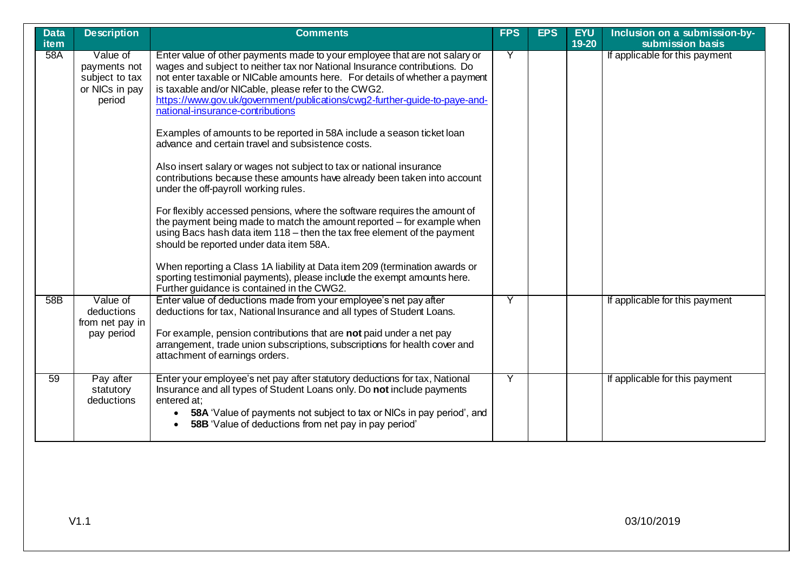| <b>Data</b><br><b>item</b> | <b>Description</b>                                                     | <b>Comments</b>                                                                                                                                                                                                                                                                                                                                                                                                                                                                                                                                                                                                                                                                                                                                                                                                          | <b>FPS</b> | <b>EPS</b> | <b>EYU</b><br>$19-20$ | Inclusion on a submission-by-<br>submission basis |
|----------------------------|------------------------------------------------------------------------|--------------------------------------------------------------------------------------------------------------------------------------------------------------------------------------------------------------------------------------------------------------------------------------------------------------------------------------------------------------------------------------------------------------------------------------------------------------------------------------------------------------------------------------------------------------------------------------------------------------------------------------------------------------------------------------------------------------------------------------------------------------------------------------------------------------------------|------------|------------|-----------------------|---------------------------------------------------|
| 58A                        | Value of<br>payments not<br>subject to tax<br>or NICs in pay<br>period | Enter value of other payments made to your employee that are not salary or<br>wages and subject to neither tax nor National Insurance contributions. Do<br>not enter taxable or NICable amounts here. For details of whether a payment<br>is taxable and/or NICable, please refer to the CWG2.<br>https://www.gov.uk/government/publications/cwg2-further-guide-to-paye-and-<br>national-insurance-contributions<br>Examples of amounts to be reported in 58A include a season ticket loan<br>advance and certain travel and subsistence costs.<br>Also insert salary or wages not subject to tax or national insurance<br>contributions because these amounts have already been taken into account<br>under the off-payroll working rules.<br>For flexibly accessed pensions, where the software requires the amount of | Y          |            |                       | If applicable for this payment                    |
|                            |                                                                        | the payment being made to match the amount reported – for example when<br>using Bacs hash data item 118 - then the tax free element of the payment<br>should be reported under data item 58A.<br>When reporting a Class 1A liability at Data item 209 (termination awards or<br>sporting testimonial payments), please include the exempt amounts here.<br>Further guidance is contained in the CWG2.                                                                                                                                                                                                                                                                                                                                                                                                                    |            |            |                       |                                                   |
| 58B                        | Value of<br>deductions<br>from net pay in<br>pay period                | Enter value of deductions made from your employee's net pay after<br>deductions for tax, National Insurance and all types of Student Loans.<br>For example, pension contributions that are not paid under a net pay<br>arrangement, trade union subscriptions, subscriptions for health cover and<br>attachment of earnings orders.                                                                                                                                                                                                                                                                                                                                                                                                                                                                                      | Y          |            |                       | If applicable for this payment                    |
| 59                         | Pay after<br>statutory<br>deductions                                   | Enter your employee's net pay after statutory deductions for tax, National<br>Insurance and all types of Student Loans only. Do not include payments<br>entered at:<br>58A 'Value of payments not subject to tax or NICs in pay period', and<br>$\bullet$<br><b>58B</b> 'Value of deductions from net pay in pay period'<br>$\bullet$                                                                                                                                                                                                                                                                                                                                                                                                                                                                                    | Y          |            |                       | If applicable for this payment                    |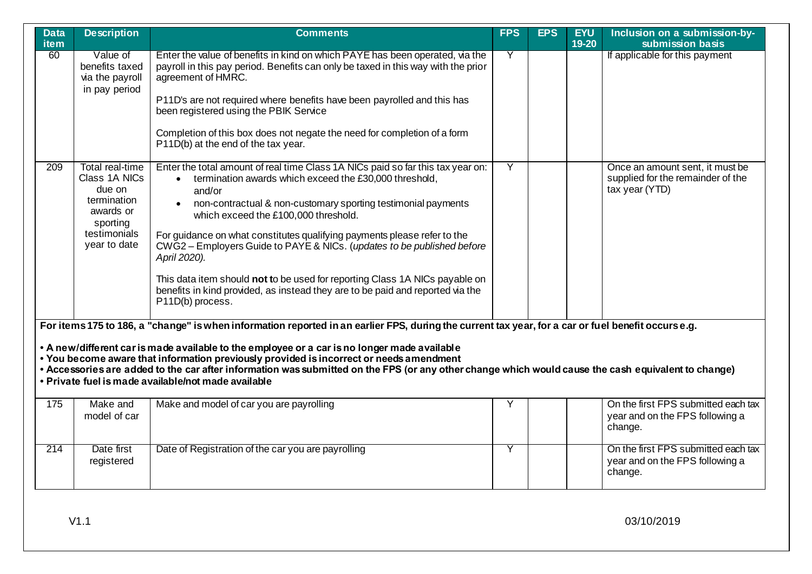| <b>Data</b><br><b>item</b> | <b>Description</b>                                                                                                                                                                                                                                                                                                                                                                                                                                                                                                                                          | <b>Comments</b>                                                                                                                                                                                                                                                                                                                                                                                                                                                                                                                                                                                                                      | <b>FPS</b> | <b>EPS</b> | <b>EYU</b><br>$19 - 20$ | Inclusion on a submission-by-<br>submission basis                                      |  |  |  |
|----------------------------|-------------------------------------------------------------------------------------------------------------------------------------------------------------------------------------------------------------------------------------------------------------------------------------------------------------------------------------------------------------------------------------------------------------------------------------------------------------------------------------------------------------------------------------------------------------|--------------------------------------------------------------------------------------------------------------------------------------------------------------------------------------------------------------------------------------------------------------------------------------------------------------------------------------------------------------------------------------------------------------------------------------------------------------------------------------------------------------------------------------------------------------------------------------------------------------------------------------|------------|------------|-------------------------|----------------------------------------------------------------------------------------|--|--|--|
| 60                         | Value of<br>benefits taxed<br>via the payroll<br>in pay period                                                                                                                                                                                                                                                                                                                                                                                                                                                                                              | Enter the value of benefits in kind on which PAYE has been operated, via the<br>payroll in this pay period. Benefits can only be taxed in this way with the prior<br>agreement of HMRC.<br>P11D's are not required where benefits have been payrolled and this has<br>been registered using the PBIK Service<br>Completion of this box does not negate the need for completion of a form<br>P11D(b) at the end of the tax year.                                                                                                                                                                                                      | Y          |            |                         | If applicable for this payment                                                         |  |  |  |
| 209                        | Total real-time<br>Class 1A NICs<br>due on<br>termination<br>awards or<br>sporting<br>testimonials<br>year to date                                                                                                                                                                                                                                                                                                                                                                                                                                          | Enter the total amount of real time Class 1A NICs paid so far this tax year on:<br>termination awards which exceed the £30,000 threshold,<br>and/or<br>non-contractual & non-customary sporting testimonial payments<br>$\bullet$<br>which exceed the £100,000 threshold.<br>For guidance on what constitutes qualifying payments please refer to the<br>CWG2 - Employers Guide to PAYE & NICs. (updates to be published before<br>April 2020).<br>This data item should not to be used for reporting Class 1A NICs payable on<br>benefits in kind provided, as instead they are to be paid and reported via the<br>P11D(b) process. | Ÿ          |            |                         | Once an amount sent, it must be<br>supplied for the remainder of the<br>tax year (YTD) |  |  |  |
|                            | For items 175 to 186, a "change" is when information reported in an earlier FPS, during the current tax year, for a car or fuel benefit occurse.g.<br>• A new/different car is made available to the employee or a car is no longer made available<br>• You become aware that information previously provided is incorrect or needs amendment<br>• Accessories are added to the car after information was submitted on the FPS (or any other change which would cause the cash equivalent to change)<br>• Private fuel is made available/not made available |                                                                                                                                                                                                                                                                                                                                                                                                                                                                                                                                                                                                                                      |            |            |                         |                                                                                        |  |  |  |
| 175                        | Make and<br>model of car                                                                                                                                                                                                                                                                                                                                                                                                                                                                                                                                    | Make and model of car you are payrolling                                                                                                                                                                                                                                                                                                                                                                                                                                                                                                                                                                                             | Y          |            |                         | On the first FPS submitted each tax<br>year and on the FPS following a<br>change.      |  |  |  |
| 214                        | Date first<br>registered                                                                                                                                                                                                                                                                                                                                                                                                                                                                                                                                    | Date of Registration of the car you are payrolling                                                                                                                                                                                                                                                                                                                                                                                                                                                                                                                                                                                   | Y          |            |                         | On the first FPS submitted each tax<br>year and on the FPS following a<br>change.      |  |  |  |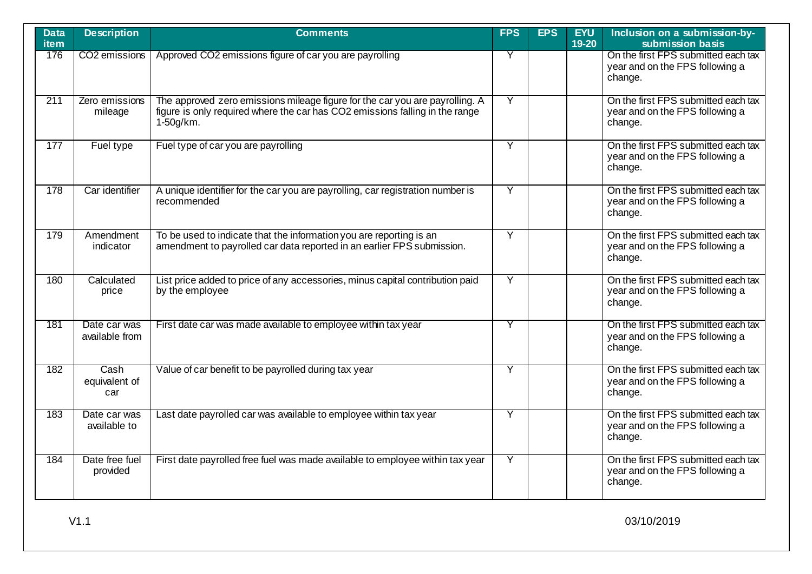| <b>Data</b><br><b>item</b> | <b>Description</b>             | <b>Comments</b>                                                                                                                                                              | <b>FPS</b> | <b>EPS</b> | <b>EYU</b><br>19-20 | Inclusion on a submission-by-<br>submission basis                                 |
|----------------------------|--------------------------------|------------------------------------------------------------------------------------------------------------------------------------------------------------------------------|------------|------------|---------------------|-----------------------------------------------------------------------------------|
| 176                        | CO <sub>2</sub> emissions      | Approved CO2 emissions figure of car you are payrolling                                                                                                                      | Y          |            |                     | On the first FPS submitted each tax<br>year and on the FPS following a<br>change. |
| $\overline{211}$           | Zero emissions<br>mileage      | The approved zero emissions mileage figure for the car you are payrolling. A<br>figure is only required where the car has CO2 emissions falling in the range<br>$1-50g/km$ . | Ÿ          |            |                     | On the first FPS submitted each tax<br>year and on the FPS following a<br>change. |
| 177                        | Fuel type                      | Fuel type of car you are payrolling                                                                                                                                          | Ÿ          |            |                     | On the first FPS submitted each tax<br>year and on the FPS following a<br>change. |
| 178                        | Car identifier                 | A unique identifier for the car you are payrolling, car registration number is<br>recommended                                                                                | Ÿ          |            |                     | On the first FPS submitted each tax<br>year and on the FPS following a<br>change. |
| 179                        | Amendment<br>indicator         | To be used to indicate that the information you are reporting is an<br>amendment to payrolled car data reported in an earlier FPS submission.                                | Y          |            |                     | On the first FPS submitted each tax<br>year and on the FPS following a<br>change. |
| 180                        | Calculated<br>price            | List price added to price of any accessories, minus capital contribution paid<br>by the employee                                                                             | Y          |            |                     | On the first FPS submitted each tax<br>year and on the FPS following a<br>change. |
| 181                        | Date car was<br>available from | First date car was made available to employee within tax year                                                                                                                | Y          |            |                     | On the first FPS submitted each tax<br>year and on the FPS following a<br>change. |
| 182                        | Cash<br>equivalent of<br>car   | Value of car benefit to be payrolled during tax year                                                                                                                         | Y          |            |                     | On the first FPS submitted each tax<br>year and on the FPS following a<br>change. |
| 183                        | Date car was<br>available to   | Last date payrolled car was available to employee within tax year                                                                                                            | Y          |            |                     | On the first FPS submitted each tax<br>year and on the FPS following a<br>change. |
| 184                        | Date free fuel<br>provided     | First date payrolled free fuel was made available to employee within tax year                                                                                                | Y          |            |                     | On the first FPS submitted each tax<br>year and on the FPS following a<br>change. |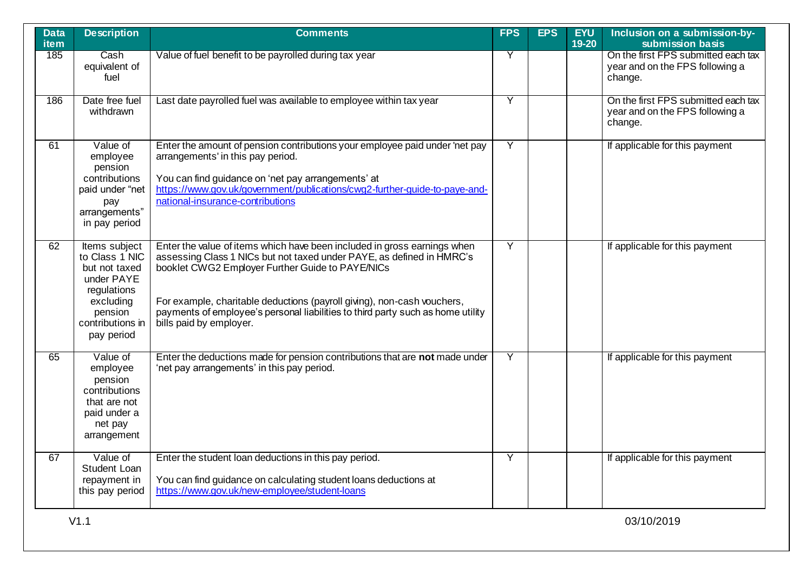| <b>Data</b><br><b>item</b> | <b>Description</b>                                                                                                                      | <b>Comments</b>                                                                                                                                                                                                                                                                                                                                                                                | <b>FPS</b>     | <b>EPS</b> | <b>EYU</b><br>19-20 | Inclusion on a submission-by-<br>submission basis                                 |
|----------------------------|-----------------------------------------------------------------------------------------------------------------------------------------|------------------------------------------------------------------------------------------------------------------------------------------------------------------------------------------------------------------------------------------------------------------------------------------------------------------------------------------------------------------------------------------------|----------------|------------|---------------------|-----------------------------------------------------------------------------------|
| 185                        | Cash<br>equivalent of<br>fuel                                                                                                           | Value of fuel benefit to be payrolled during tax year                                                                                                                                                                                                                                                                                                                                          | Y              |            |                     | On the first FPS submitted each tax<br>year and on the FPS following a<br>change. |
| 186                        | Date free fuel<br>withdrawn                                                                                                             | Last date payrolled fuel was available to employee within tax year                                                                                                                                                                                                                                                                                                                             | $\overline{Y}$ |            |                     | On the first FPS submitted each tax<br>year and on the FPS following a<br>change. |
| 61                         | Value of<br>employee<br>pension<br>contributions<br>paid under "net<br>pay<br>arrangements"<br>in pay period                            | Enter the amount of pension contributions your employee paid under 'net pay<br>arrangements' in this pay period.<br>You can find guidance on 'net pay arrangements' at<br>https://www.gov.uk/government/publications/cwg2-further-guide-to-paye-and-<br>national-insurance-contributions                                                                                                       | Ÿ              |            |                     | If applicable for this payment                                                    |
| 62                         | Items subject<br>to Class 1 NIC<br>but not taxed<br>under PAYE<br>regulations<br>excluding<br>pension<br>contributions in<br>pay period | Enter the value of items which have been included in gross earnings when<br>assessing Class 1 NICs but not taxed under PAYE, as defined in HMRC's<br>booklet CWG2 Employer Further Guide to PAYE/NICs<br>For example, charitable deductions (payroll giving), non-cash vouchers,<br>payments of employee's personal liabilities to third party such as home utility<br>bills paid by employer. | Y              |            |                     | If applicable for this payment                                                    |
| 65                         | Value of<br>employee<br>pension<br>contributions<br>that are not<br>paid under a<br>net pay<br>arrangement                              | Enter the deductions made for pension contributions that are not made under<br>'net pay arrangements' in this pay period.                                                                                                                                                                                                                                                                      | Y              |            |                     | If applicable for this payment                                                    |
| 67                         | Value of<br><b>Student Loan</b><br>repayment in<br>this pay period                                                                      | Enter the student loan deductions in this pay period.<br>You can find guidance on calculating student loans deductions at<br>https://www.gov.uk/new-employee/student-loans                                                                                                                                                                                                                     | Y              |            |                     | If applicable for this payment                                                    |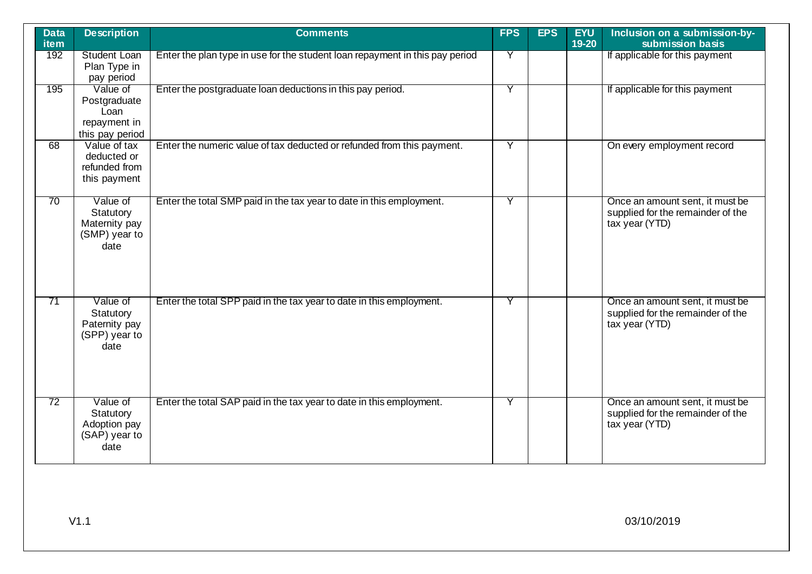| <b>Data</b><br><b>item</b> | <b>Description</b>                                                  | <b>Comments</b>                                                              | <b>FPS</b> | <b>EPS</b> | <b>EYU</b><br>$19-20$ | Inclusion on a submission-by-<br>submission basis                                      |
|----------------------------|---------------------------------------------------------------------|------------------------------------------------------------------------------|------------|------------|-----------------------|----------------------------------------------------------------------------------------|
| 192                        | <b>Student Loan</b><br>Plan Type in<br>pay period                   | Enter the plan type in use for the student loan repayment in this pay period | Y          |            |                       | If applicable for this payment                                                         |
| 195                        | Value of<br>Postgraduate<br>Loan<br>repayment in<br>this pay period | Enter the postgraduate loan deductions in this pay period.                   | Y          |            |                       | If applicable for this payment                                                         |
| 68                         | Value of tax<br>deducted or<br>refunded from<br>this payment        | Enter the numeric value of tax deducted or refunded from this payment.       | Y          |            |                       | On every employment record                                                             |
| 70                         | Value of<br>Statutory<br>Maternity pay<br>(SMP) year to<br>date     | Enter the total SMP paid in the tax year to date in this employment.         | Y          |            |                       | Once an amount sent, it must be<br>supplied for the remainder of the<br>tax year (YTD) |
| 71                         | Value of<br>Statutory<br>Paternity pay<br>(SPP) year to<br>date     | Enter the total SPP paid in the tax year to date in this employment.         | Y          |            |                       | Once an amount sent, it must be<br>supplied for the remainder of the<br>tax year (YTD) |
| 72                         | Value of<br>Statutory<br>Adoption pay<br>(SAP) year to<br>date      | Enter the total SAP paid in the tax year to date in this employment.         | Y          |            |                       | Once an amount sent, it must be<br>supplied for the remainder of the<br>tax year (YTD) |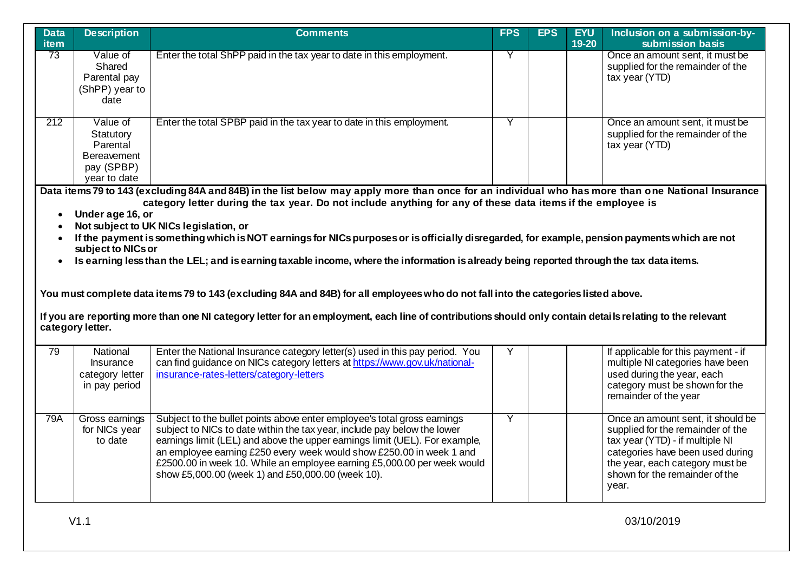| <b>Data</b><br>item                                                                                                                                      | <b>Description</b>                                                                                                                                                                                                                                                                                                                                                                                                                                                                                                                                                                                                                                                                                                                                                                       | <b>Comments</b>                                                                                                                                                                                                                                                                                                                                                                                                                             | <b>FPS</b> | <b>EPS</b> | <b>EYU</b><br>$19 - 20$ | Inclusion on a submission-by-<br>submission basis                                                                                                                                                                           |  |  |  |
|----------------------------------------------------------------------------------------------------------------------------------------------------------|------------------------------------------------------------------------------------------------------------------------------------------------------------------------------------------------------------------------------------------------------------------------------------------------------------------------------------------------------------------------------------------------------------------------------------------------------------------------------------------------------------------------------------------------------------------------------------------------------------------------------------------------------------------------------------------------------------------------------------------------------------------------------------------|---------------------------------------------------------------------------------------------------------------------------------------------------------------------------------------------------------------------------------------------------------------------------------------------------------------------------------------------------------------------------------------------------------------------------------------------|------------|------------|-------------------------|-----------------------------------------------------------------------------------------------------------------------------------------------------------------------------------------------------------------------------|--|--|--|
| 73                                                                                                                                                       | Value of<br>Shared<br>Parental pay<br>(ShPP) year to<br>date                                                                                                                                                                                                                                                                                                                                                                                                                                                                                                                                                                                                                                                                                                                             | Enter the total ShPP paid in the tax year to date in this employment.                                                                                                                                                                                                                                                                                                                                                                       | Y          |            |                         | Once an amount sent, it must be<br>supplied for the remainder of the<br>tax year (YTD)                                                                                                                                      |  |  |  |
| 212                                                                                                                                                      | Value of<br>Statutory<br>Parental<br><b>Bereavement</b><br>pay (SPBP)<br>year to date                                                                                                                                                                                                                                                                                                                                                                                                                                                                                                                                                                                                                                                                                                    | Enter the total SPBP paid in the tax year to date in this employment.                                                                                                                                                                                                                                                                                                                                                                       | Y          |            |                         | Once an amount sent, it must be<br>supplied for the remainder of the<br>tax year (YTD)                                                                                                                                      |  |  |  |
| If you are reporting more than one NI category letter for an employment, each line of contributions should only contain details relating to the relevant | Data items 79 to 143 (excluding 84A and 84B) in the list below may apply more than once for an individual who has more than one National Insurance<br>category letter during the tax year. Do not include anything for any of these data items if the employee is<br>Under age 16, or<br>Not subject to UK NICs legislation, or<br>If the payment is something which is NOT earnings for NICs purposes or is officially disregarded, for example, pension payments which are not<br>subject to NICs or<br>Is earning less than the LEL; and is earning taxable income, where the information is already being reported through the tax data items.<br>You must complete data items 79 to 143 (excluding 84A and 84B) for all employees who do not fall into the categories listed above. |                                                                                                                                                                                                                                                                                                                                                                                                                                             |            |            |                         |                                                                                                                                                                                                                             |  |  |  |
|                                                                                                                                                          | category letter.                                                                                                                                                                                                                                                                                                                                                                                                                                                                                                                                                                                                                                                                                                                                                                         |                                                                                                                                                                                                                                                                                                                                                                                                                                             |            |            |                         |                                                                                                                                                                                                                             |  |  |  |
| 79                                                                                                                                                       | National<br>Insurance<br>category letter<br>in pay period                                                                                                                                                                                                                                                                                                                                                                                                                                                                                                                                                                                                                                                                                                                                | Enter the National Insurance category letter(s) used in this pay period. You<br>can find guidance on NICs category letters at https://www.gov.uk/national-<br>insurance-rates-letters/category-letters                                                                                                                                                                                                                                      | Y          |            |                         | If applicable for this payment - if<br>multiple NI categories have been<br>used during the year, each<br>category must be shown for the<br>remainder of the year                                                            |  |  |  |
| 79A                                                                                                                                                      | Gross earnings<br>for NICs year<br>to date                                                                                                                                                                                                                                                                                                                                                                                                                                                                                                                                                                                                                                                                                                                                               | Subject to the bullet points above enter employee's total gross earnings<br>subject to NICs to date within the tax year, include pay below the lower<br>earnings limit (LEL) and above the upper earnings limit (UEL). For example,<br>an employee earning £250 every week would show £250.00 in week 1 and<br>£2500.00 in week 10. While an employee earning £5,000.00 per week would<br>show £5,000.00 (week 1) and £50,000.00 (week 10). | Y          |            |                         | Once an amount sent, it should be<br>supplied for the remainder of the<br>tax year (YTD) - if multiple NI<br>categories have been used during<br>the year, each category must be<br>shown for the remainder of the<br>year. |  |  |  |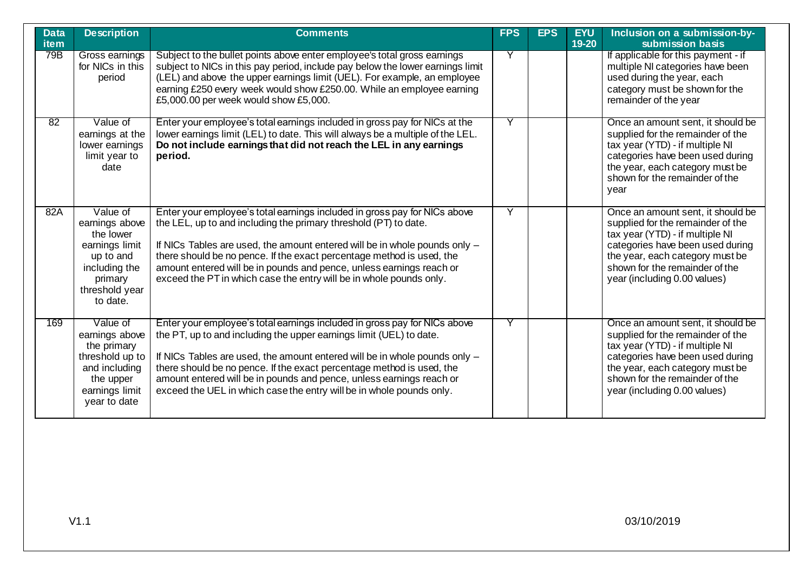| <b>Data</b><br><b>item</b> | <b>Description</b>                                                                                                               | <b>Comments</b>                                                                                                                                                                                                                                                                                                                                                                                                                                         | <b>FPS</b> | <b>EPS</b> | <b>EYU</b><br>19-20 | Inclusion on a submission-by-<br>submission basis                                                                                                                                                                                                  |
|----------------------------|----------------------------------------------------------------------------------------------------------------------------------|---------------------------------------------------------------------------------------------------------------------------------------------------------------------------------------------------------------------------------------------------------------------------------------------------------------------------------------------------------------------------------------------------------------------------------------------------------|------------|------------|---------------------|----------------------------------------------------------------------------------------------------------------------------------------------------------------------------------------------------------------------------------------------------|
| 79B                        | Gross earnings<br>for NICs in this<br>period                                                                                     | Subject to the bullet points above enter employee's total gross earnings<br>subject to NICs in this pay period, include pay below the lower earnings limit<br>(LEL) and above the upper earnings limit (UEL). For example, an employee<br>earning £250 every week would show £250.00. While an employee earning<br>£5,000.00 per week would show £5,000.                                                                                                | Y          |            |                     | If applicable for this payment - if<br>multiple NI categories have been<br>used during the year, each<br>category must be shown for the<br>remainder of the year                                                                                   |
| 82                         | Value of<br>earnings at the<br>lower earnings<br>limit year to<br>date                                                           | Enter your employee's total earnings included in gross pay for NICs at the<br>lower earnings limit (LEL) to date. This will always be a multiple of the LEL.<br>Do not include earnings that did not reach the LEL in any earnings<br>period.                                                                                                                                                                                                           | Y          |            |                     | Once an amount sent, it should be<br>supplied for the remainder of the<br>tax year (YTD) - if multiple NI<br>categories have been used during<br>the year, each category must be<br>shown for the remainder of the<br>year                         |
| 82A                        | Value of<br>earnings above<br>the lower<br>earnings limit<br>up to and<br>including the<br>primary<br>threshold year<br>to date. | Enter your employee's total earnings included in gross pay for NICs above<br>the LEL, up to and including the primary threshold (PT) to date.<br>If NICs Tables are used, the amount entered will be in whole pounds only -<br>there should be no pence. If the exact percentage method is used, the<br>amount entered will be in pounds and pence, unless earnings reach or<br>exceed the PT in which case the entry will be in whole pounds only.     | Ÿ          |            |                     | Once an amount sent, it should be<br>supplied for the remainder of the<br>tax year (YTD) - if multiple NI<br>categories have been used during<br>the year, each category must be<br>shown for the remainder of the<br>year (including 0.00 values) |
| 169                        | Value of<br>earnings above<br>the primary<br>threshold up to<br>and including<br>the upper<br>earnings limit<br>year to date     | Enter your employee's total earnings included in gross pay for NICs above<br>the PT, up to and including the upper earnings limit (UEL) to date.<br>If NICs Tables are used, the amount entered will be in whole pounds only -<br>there should be no pence. If the exact percentage method is used, the<br>amount entered will be in pounds and pence, unless earnings reach or<br>exceed the UEL in which case the entry will be in whole pounds only. | Υ          |            |                     | Once an amount sent, it should be<br>supplied for the remainder of the<br>tax year (YTD) - if multiple NI<br>categories have been used during<br>the year, each category must be<br>shown for the remainder of the<br>year (including 0.00 values) |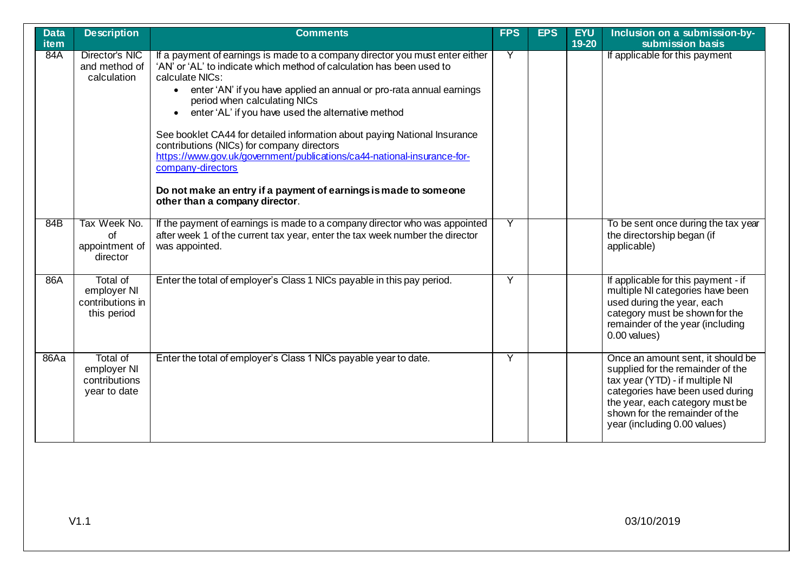| <b>Data</b><br><b>item</b> | <b>Description</b>                                         | <b>Comments</b>                                                                                                                                                                                                                                                                                                                                                                                                                                                                                                                                                                                                                                                                        | <b>FPS</b> | <b>EPS</b> | <b>EYU</b><br>19-20 | Inclusion on a submission-by-<br>submission basis                                                                                                                                                                                                  |
|----------------------------|------------------------------------------------------------|----------------------------------------------------------------------------------------------------------------------------------------------------------------------------------------------------------------------------------------------------------------------------------------------------------------------------------------------------------------------------------------------------------------------------------------------------------------------------------------------------------------------------------------------------------------------------------------------------------------------------------------------------------------------------------------|------------|------------|---------------------|----------------------------------------------------------------------------------------------------------------------------------------------------------------------------------------------------------------------------------------------------|
| 84A                        | Director's NIC<br>and method of<br>calculation             | If a payment of earnings is made to a company director you must enter either<br>'AN' or 'AL' to indicate which method of calculation has been used to<br>calculate NICs:<br>• enter 'AN' if you have applied an annual or pro-rata annual earnings<br>period when calculating NICs<br>enter 'AL' if you have used the alternative method<br>$\bullet$<br>See booklet CA44 for detailed information about paying National Insurance<br>contributions (NICs) for company directors<br>https://www.gov.uk/government/publications/ca44-national-insurance-for-<br>company-directors<br>Do not make an entry if a payment of earnings is made to someone<br>other than a company director. | Y          |            |                     | If applicable for this payment                                                                                                                                                                                                                     |
| 84B                        | Tax Week No.<br>of<br>appointment of<br>director           | If the payment of earnings is made to a company director who was appointed<br>after week 1 of the current tax year, enter the tax week number the director<br>was appointed.                                                                                                                                                                                                                                                                                                                                                                                                                                                                                                           | Y          |            |                     | To be sent once during the tax year<br>the directorship began (if<br>applicable)                                                                                                                                                                   |
| 86A                        | Total of<br>employer NI<br>contributions in<br>this period | Enter the total of employer's Class 1 NICs payable in this pay period.                                                                                                                                                                                                                                                                                                                                                                                                                                                                                                                                                                                                                 | Ÿ          |            |                     | If applicable for this payment - if<br>multiple NI categories have been<br>used during the year, each<br>category must be shown for the<br>remainder of the year (including<br>$0.00$ values)                                                      |
| 86Aa                       | Total of<br>employer NI<br>contributions<br>year to date   | Enter the total of employer's Class 1 NICs payable year to date.                                                                                                                                                                                                                                                                                                                                                                                                                                                                                                                                                                                                                       | Ÿ          |            |                     | Once an amount sent, it should be<br>supplied for the remainder of the<br>tax year (YTD) - if multiple NI<br>categories have been used during<br>the year, each category must be<br>shown for the remainder of the<br>year (including 0.00 values) |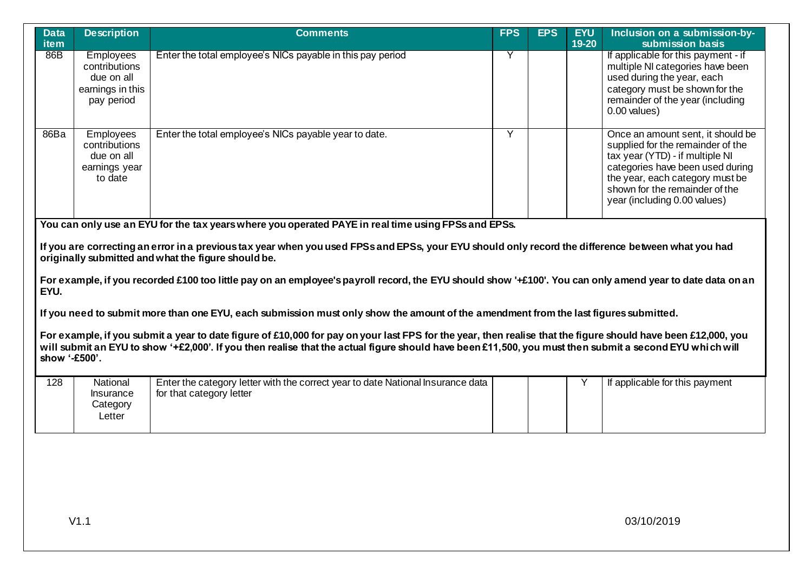| <b>Data</b><br>item                                                                                                                                                                                                                                                                                                                                                                                                                                                                                                                                                                                                           | <b>Description</b>                                                                | <b>Comments</b>                                                                                                                                                                                                                                                                                                          | <b>FPS</b> | <b>EPS</b> | <b>EYU</b><br>$19 - 20$ | Inclusion on a submission-by-<br>submission basis                                                                                                                                                                                                  |  |  |
|-------------------------------------------------------------------------------------------------------------------------------------------------------------------------------------------------------------------------------------------------------------------------------------------------------------------------------------------------------------------------------------------------------------------------------------------------------------------------------------------------------------------------------------------------------------------------------------------------------------------------------|-----------------------------------------------------------------------------------|--------------------------------------------------------------------------------------------------------------------------------------------------------------------------------------------------------------------------------------------------------------------------------------------------------------------------|------------|------------|-------------------------|----------------------------------------------------------------------------------------------------------------------------------------------------------------------------------------------------------------------------------------------------|--|--|
| 86B                                                                                                                                                                                                                                                                                                                                                                                                                                                                                                                                                                                                                           | <b>Employees</b><br>contributions<br>due on all<br>earnings in this<br>pay period | Enter the total employee's NICs payable in this pay period                                                                                                                                                                                                                                                               | Y          |            |                         | If applicable for this payment - if<br>multiple NI categories have been<br>used during the year, each<br>category must be shown for the<br>remainder of the year (including<br>$0.00$ values)                                                      |  |  |
| 86Ba                                                                                                                                                                                                                                                                                                                                                                                                                                                                                                                                                                                                                          | Employees<br>contributions<br>due on all<br>earnings year<br>to date              | Enter the total employee's NICs payable year to date.                                                                                                                                                                                                                                                                    | Y          |            |                         | Once an amount sent, it should be<br>supplied for the remainder of the<br>tax year (YTD) - if multiple NI<br>categories have been used during<br>the year, each category must be<br>shown for the remainder of the<br>year (including 0.00 values) |  |  |
| You can only use an EYU for the tax years where you operated PAYE in real time using FPSs and EPSs.<br>If you are correcting an error in a previous tax year when you used FPSs and EPSs, your EYU should only record the difference between what you had<br>originally submitted and what the figure should be.<br>For example, if you recorded £100 too little pay on an employee's payroll record, the EYU should show '+£100'. You can only amend year to date data on an<br>EYU.<br>If you need to submit more than one EYU, each submission must only show the amount of the amendment from the last figures submitted. |                                                                                   |                                                                                                                                                                                                                                                                                                                          |            |            |                         |                                                                                                                                                                                                                                                    |  |  |
| show '-£500'.                                                                                                                                                                                                                                                                                                                                                                                                                                                                                                                                                                                                                 |                                                                                   | For example, if you submit a year to date figure of £10,000 for pay on your last FPS for the year, then realise that the figure should have been £12,000, you<br>will submit an EYU to show '+£2,000'. If you then realise that the actual figure should have been £11,500, you must then submit a second EYU which will |            |            |                         |                                                                                                                                                                                                                                                    |  |  |
| 128                                                                                                                                                                                                                                                                                                                                                                                                                                                                                                                                                                                                                           | National<br>Insurance<br>Category<br>Letter                                       | Enter the category letter with the correct year to date National Insurance data<br>for that category letter                                                                                                                                                                                                              |            |            | Υ                       | If applicable for this payment                                                                                                                                                                                                                     |  |  |
|                                                                                                                                                                                                                                                                                                                                                                                                                                                                                                                                                                                                                               |                                                                                   |                                                                                                                                                                                                                                                                                                                          |            |            |                         |                                                                                                                                                                                                                                                    |  |  |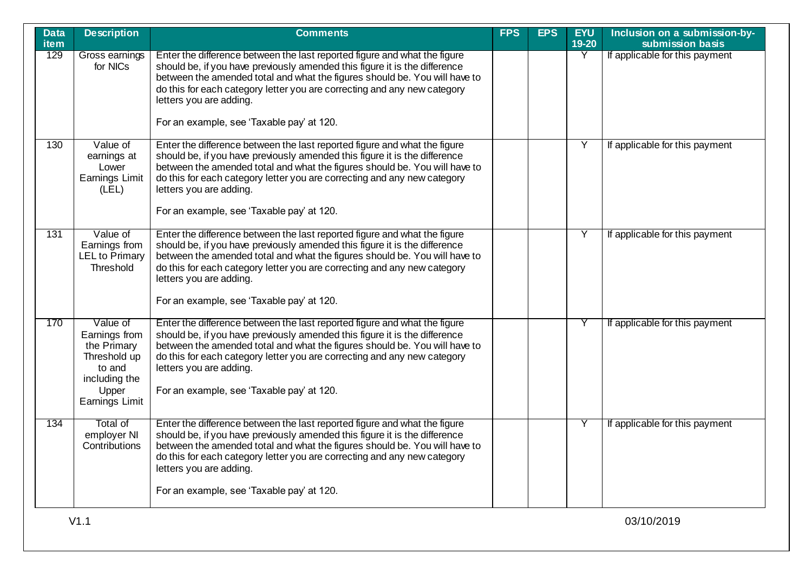| <b>Data</b><br><b>item</b> | <b>Description</b>                                                                                                    | <b>Comments</b>                                                                                                                                                                                                                                                                                                                                                                           | <b>FPS</b> | <b>EPS</b> | <b>EYU</b><br>19-20 | Inclusion on a submission-by-<br>submission basis |
|----------------------------|-----------------------------------------------------------------------------------------------------------------------|-------------------------------------------------------------------------------------------------------------------------------------------------------------------------------------------------------------------------------------------------------------------------------------------------------------------------------------------------------------------------------------------|------------|------------|---------------------|---------------------------------------------------|
| 129                        | Gross earnings<br>for NICs                                                                                            | Enter the difference between the last reported figure and what the figure<br>should be, if you have previously amended this figure it is the difference<br>between the amended total and what the figures should be. You will have to<br>do this for each category letter you are correcting and any new category<br>letters you are adding.                                              |            |            | Y                   | If applicable for this payment                    |
|                            |                                                                                                                       | For an example, see 'Taxable pay' at 120.                                                                                                                                                                                                                                                                                                                                                 |            |            |                     |                                                   |
| 130                        | Value of<br>earnings at<br>Lower<br>Earnings Limit<br>(LEL)                                                           | Enter the difference between the last reported figure and what the figure<br>should be, if you have previously amended this figure it is the difference<br>between the amended total and what the figures should be. You will have to<br>do this for each category letter you are correcting and any new category<br>letters you are adding.<br>For an example, see 'Taxable pay' at 120. |            |            | Y                   | If applicable for this payment                    |
| 131                        | Value of<br>Earnings from<br><b>LEL</b> to Primary<br>Threshold                                                       | Enter the difference between the last reported figure and what the figure<br>should be, if you have previously amended this figure it is the difference<br>between the amended total and what the figures should be. You will have to<br>do this for each category letter you are correcting and any new category<br>letters you are adding.<br>For an example, see 'Taxable pay' at 120. |            |            | Υ                   | If applicable for this payment                    |
| 170                        | Value of<br>Earnings from<br>the Primary<br>Threshold up<br>to and<br>including the<br>Upper<br><b>Earnings Limit</b> | Enter the difference between the last reported figure and what the figure<br>should be, if you have previously amended this figure it is the difference<br>between the amended total and what the figures should be. You will have to<br>do this for each category letter you are correcting and any new category<br>letters you are adding.<br>For an example, see 'Taxable pay' at 120. |            |            | Y                   | If applicable for this payment                    |
| 134                        | Total of<br>employer NI<br>Contributions                                                                              | Enter the difference between the last reported figure and what the figure<br>should be, if you have previously amended this figure it is the difference<br>between the amended total and what the figures should be. You will have to<br>do this for each category letter you are correcting and any new category<br>letters you are adding.<br>For an example, see 'Taxable pay' at 120. |            |            | Y                   | If applicable for this payment                    |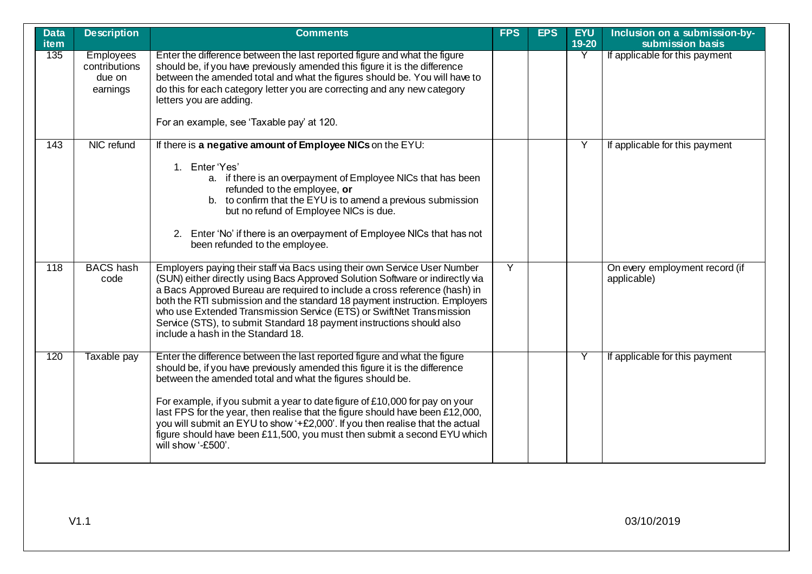| <b>Data</b><br><b>item</b> | <b>Description</b>                                      | <b>Comments</b>                                                                                                                                                                                                                                                                                                                                                                                                                                                                                                                                                         | <b>FPS</b>     | <b>EPS</b> | <b>EYU</b><br>$19-20$ | Inclusion on a submission-by-<br>submission basis |
|----------------------------|---------------------------------------------------------|-------------------------------------------------------------------------------------------------------------------------------------------------------------------------------------------------------------------------------------------------------------------------------------------------------------------------------------------------------------------------------------------------------------------------------------------------------------------------------------------------------------------------------------------------------------------------|----------------|------------|-----------------------|---------------------------------------------------|
| 135                        | <b>Employees</b><br>contributions<br>due on<br>earnings | Enter the difference between the last reported figure and what the figure<br>should be, if you have previously amended this figure it is the difference<br>between the amended total and what the figures should be. You will have to<br>do this for each category letter you are correcting and any new category<br>letters you are adding.<br>For an example, see 'Taxable pay' at 120.                                                                                                                                                                               |                |            | Y                     | If applicable for this payment                    |
| 143                        | NIC refund                                              | If there is a negative amount of Employee NICs on the EYU:<br>1. Enter 'Yes'<br>a. if there is an overpayment of Employee NICs that has been<br>refunded to the employee, or<br>b. to confirm that the EYU is to amend a previous submission<br>but no refund of Employee NICs is due.<br>2. Enter 'No' if there is an overpayment of Employee NICs that has not<br>been refunded to the employee.                                                                                                                                                                      |                |            | Y                     | If applicable for this payment                    |
| $\overline{118}$           | <b>BACS</b> hash<br>code                                | Employers paying their staff via Bacs using their own Service User Number<br>(SUN) either directly using Bacs Approved Solution Software or indirectly via<br>a Bacs Approved Bureau are required to include a cross reference (hash) in<br>both the RTI submission and the standard 18 payment instruction. Employers<br>who use Extended Transmission Service (ETS) or SwiftNet Transmission<br>Service (STS), to submit Standard 18 payment instructions should also<br>include a hash in the Standard 18.                                                           | $\overline{Y}$ |            |                       | On every employment record (if<br>applicable)     |
| 120                        | Taxable pay                                             | Enter the difference between the last reported figure and what the figure<br>should be, if you have previously amended this figure it is the difference<br>between the amended total and what the figures should be.<br>For example, if you submit a year to date figure of £10,000 for pay on your<br>last FPS for the year, then realise that the figure should have been £12,000,<br>you will submit an EYU to show '+£2,000'. If you then realise that the actual<br>figure should have been £11,500, you must then submit a second EYU which<br>will show '-£500'. |                |            | Y                     | If applicable for this payment                    |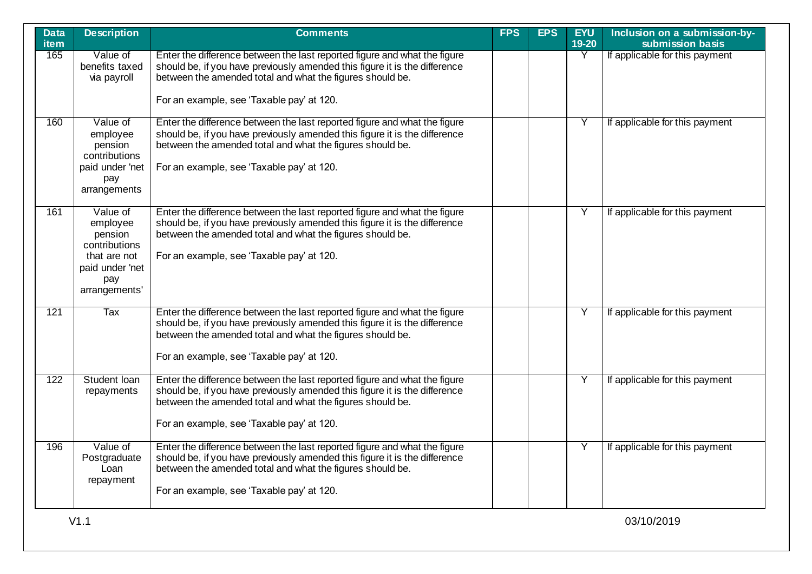| Data<br>item | <b>Description</b>                                                                                          | <b>Comments</b>                                                                                                                                                                                                                                                   | <b>FPS</b> | <b>EPS</b> | <b>EYU</b><br>19-20     | Inclusion on a submission-by-<br>submission basis |
|--------------|-------------------------------------------------------------------------------------------------------------|-------------------------------------------------------------------------------------------------------------------------------------------------------------------------------------------------------------------------------------------------------------------|------------|------------|-------------------------|---------------------------------------------------|
| 165          | Value of<br>benefits taxed<br>via payroll                                                                   | Enter the difference between the last reported figure and what the figure<br>should be, if you have previously amended this figure it is the difference<br>between the amended total and what the figures should be.<br>For an example, see 'Taxable pay' at 120. |            |            | $\overline{\mathsf{Y}}$ | If applicable for this payment                    |
| 160          | Value of<br>employee<br>pension<br>contributions<br>paid under 'net<br>pay<br>arrangements                  | Enter the difference between the last reported figure and what the figure<br>should be, if you have previously amended this figure it is the difference<br>between the amended total and what the figures should be.<br>For an example, see 'Taxable pay' at 120. |            |            | Y                       | If applicable for this payment                    |
| 161          | Value of<br>employee<br>pension<br>contributions<br>that are not<br>paid under 'net<br>pay<br>arrangements' | Enter the difference between the last reported figure and what the figure<br>should be, if you have previously amended this figure it is the difference<br>between the amended total and what the figures should be.<br>For an example, see 'Taxable pay' at 120. |            |            | Y                       | If applicable for this payment                    |
| 121          | Tax                                                                                                         | Enter the difference between the last reported figure and what the figure<br>should be, if you have previously amended this figure it is the difference<br>between the amended total and what the figures should be.<br>For an example, see 'Taxable pay' at 120. |            |            | Y                       | If applicable for this payment                    |
| 122          | Student Ioan<br>repayments                                                                                  | Enter the difference between the last reported figure and what the figure<br>should be, if you have previously amended this figure it is the difference<br>between the amended total and what the figures should be.<br>For an example, see 'Taxable pay' at 120. |            |            | Y                       | If applicable for this payment                    |
| 196          | Value of<br>Postgraduate<br>Loan<br>repayment                                                               | Enter the difference between the last reported figure and what the figure<br>should be, if you have previously amended this figure it is the difference<br>between the amended total and what the figures should be.<br>For an example, see 'Taxable pay' at 120. |            |            | Y                       | If applicable for this payment                    |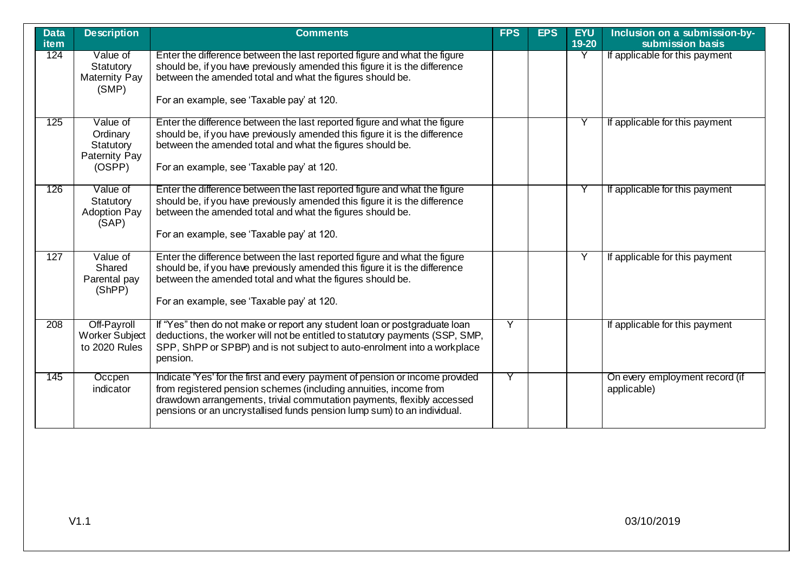| <b>Data</b><br>item | <b>Description</b>                                                  | <b>Comments</b>                                                                                                                                                                                                                                                                                        | <b>FPS</b> | <b>EPS</b> | <b>EYU</b><br>19-20 | Inclusion on a submission-by-<br>submission basis |
|---------------------|---------------------------------------------------------------------|--------------------------------------------------------------------------------------------------------------------------------------------------------------------------------------------------------------------------------------------------------------------------------------------------------|------------|------------|---------------------|---------------------------------------------------|
| 124                 | Value of<br>Statutory<br><b>Maternity Pay</b><br>(SMP)              | Enter the difference between the last reported figure and what the figure<br>should be, if you have previously amended this figure it is the difference<br>between the amended total and what the figures should be.<br>For an example, see 'Taxable pay' at 120.                                      |            |            | Y                   | If applicable for this payment                    |
| 125                 | Value of<br>Ordinary<br>Statutory<br><b>Paternity Pay</b><br>(OSPP) | Enter the difference between the last reported figure and what the figure<br>should be, if you have previously amended this figure it is the difference<br>between the amended total and what the figures should be.<br>For an example, see 'Taxable pay' at 120.                                      |            |            |                     | If applicable for this payment                    |
| 126                 | Value of<br>Statutory<br><b>Adoption Pay</b><br>(SAP)               | Enter the difference between the last reported figure and what the figure<br>should be, if you have previously amended this figure it is the difference<br>between the amended total and what the figures should be.<br>For an example, see 'Taxable pay' at 120.                                      |            |            | Y                   | If applicable for this payment                    |
| 127                 | Value of<br>Shared<br>Parental pay<br>(ShPP)                        | Enter the difference between the last reported figure and what the figure<br>should be, if you have previously amended this figure it is the difference<br>between the amended total and what the figures should be.<br>For an example, see 'Taxable pay' at 120.                                      |            |            | Y                   | If applicable for this payment                    |
| 208                 | Off-Payroll<br><b>Worker Subject</b><br>to 2020 Rules               | If "Yes" then do not make or report any student loan or postgraduate loan<br>deductions, the worker will not be entitled to statutory payments (SSP, SMP,<br>SPP, ShPP or SPBP) and is not subject to auto-enrolment into a workplace<br>pension.                                                      | Y          |            |                     | If applicable for this payment                    |
| 145                 | Occpen<br>indicator                                                 | Indicate 'Yes' for the first and every payment of pension or income provided<br>from registered pension schemes (including annuities, income from<br>drawdown arrangements, trivial commutation payments, flexibly accessed<br>pensions or an uncrystallised funds pension lump sum) to an individual. | Υ          |            |                     | On every employment record (if<br>applicable)     |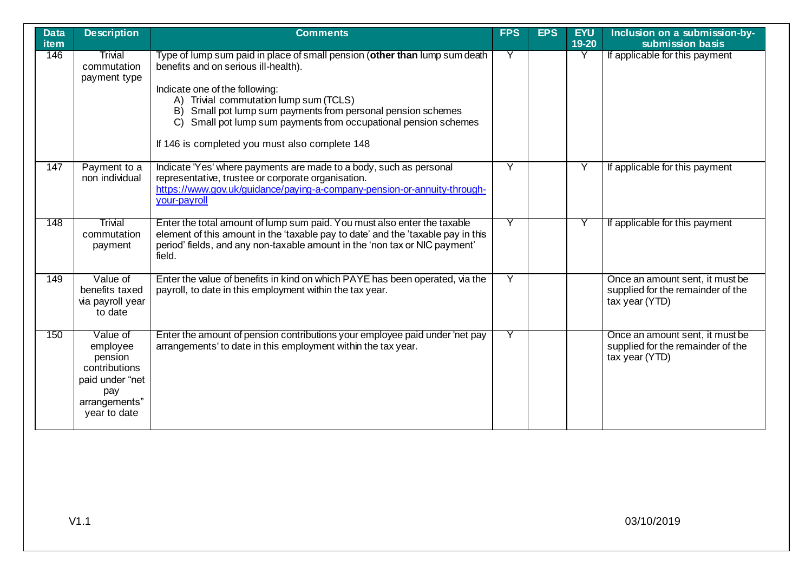| <b>Data</b><br><b>item</b> | <b>Description</b>                                                                                          | <b>Comments</b>                                                                                                                                                                                                                                                                                                                                                                            | <b>FPS</b> | <b>EPS</b> | <b>EYU</b><br>$19-20$ | Inclusion on a submission-by-<br>submission basis                                      |
|----------------------------|-------------------------------------------------------------------------------------------------------------|--------------------------------------------------------------------------------------------------------------------------------------------------------------------------------------------------------------------------------------------------------------------------------------------------------------------------------------------------------------------------------------------|------------|------------|-----------------------|----------------------------------------------------------------------------------------|
| 146                        | Trivial<br>commutation<br>payment type                                                                      | Type of lump sum paid in place of small pension (other than lump sum death<br>benefits and on serious ill-health).<br>Indicate one of the following:<br>A) Trivial commutation lump sum (TCLS)<br>Small pot lump sum payments from personal pension schemes<br>B)<br>Small pot lump sum payments from occupational pension schemes<br>C)<br>If 146 is completed you must also complete 148 | Y          |            | Y                     | If applicable for this payment                                                         |
| 147                        | Payment to a<br>non individual                                                                              | Indicate 'Yes' where payments are made to a body, such as personal<br>representative, trustee or corporate organisation.<br>https://www.gov.uk/guidance/paying-a-company-pension-or-annuity-through-<br>your-payroll                                                                                                                                                                       | Y          |            | Υ                     | If applicable for this payment                                                         |
| 148                        | Trivial<br>commutation<br>payment                                                                           | Enter the total amount of lump sum paid. You must also enter the taxable<br>element of this amount in the 'taxable pay to date' and the 'taxable pay in this<br>period' fields, and any non-taxable amount in the 'non tax or NIC payment'<br>field.                                                                                                                                       | Y          |            | Υ                     | If applicable for this payment                                                         |
| 149                        | Value of<br>benefits taxed<br>via payroll year<br>to date                                                   | Enter the value of benefits in kind on which PAYE has been operated, via the<br>payroll, to date in this employment within the tax year.                                                                                                                                                                                                                                                   | Ÿ          |            |                       | Once an amount sent, it must be<br>supplied for the remainder of the<br>tax year (YTD) |
| 150                        | Value of<br>employee<br>pension<br>contributions<br>paid under "net<br>pay<br>arrangements"<br>year to date | Enter the amount of pension contributions your employee paid under 'net pay<br>arrangements' to date in this employment within the tax year.                                                                                                                                                                                                                                               | Y          |            |                       | Once an amount sent, it must be<br>supplied for the remainder of the<br>tax year (YTD) |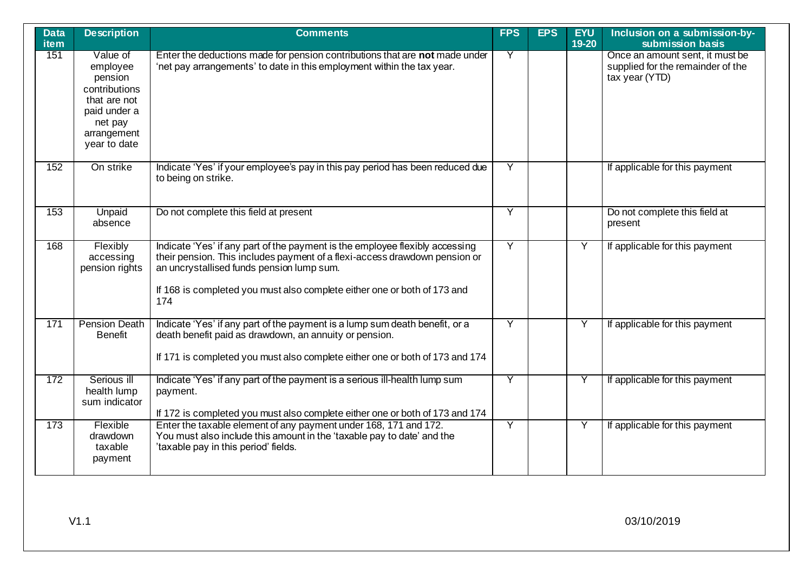| <b>Data</b><br>item | <b>Description</b>                                                                                                         | <b>Comments</b>                                                                                                                                                                                                                                                                            | <b>FPS</b> | <b>EPS</b> | <b>EYU</b><br>19-20 | Inclusion on a submission-by-<br>submission basis                                      |
|---------------------|----------------------------------------------------------------------------------------------------------------------------|--------------------------------------------------------------------------------------------------------------------------------------------------------------------------------------------------------------------------------------------------------------------------------------------|------------|------------|---------------------|----------------------------------------------------------------------------------------|
| 151                 | Value of<br>employee<br>pension<br>contributions<br>that are not<br>paid under a<br>net pay<br>arrangement<br>year to date | Enter the deductions made for pension contributions that are not made under<br>'net pay arrangements' to date in this employment within the tax year.                                                                                                                                      | Y          |            |                     | Once an amount sent, it must be<br>supplied for the remainder of the<br>tax year (YTD) |
| 152                 | On strike                                                                                                                  | Indicate 'Yes' if your employee's pay in this pay period has been reduced due<br>to being on strike.                                                                                                                                                                                       | Y          |            |                     | If applicable for this payment                                                         |
| 153                 | Unpaid<br>absence                                                                                                          | Do not complete this field at present                                                                                                                                                                                                                                                      | Y          |            |                     | Do not complete this field at<br>present                                               |
| 168                 | Flexibly<br>accessing<br>pension rights                                                                                    | Indicate 'Yes' if any part of the payment is the employee flexibly accessing<br>their pension. This includes payment of a flexi-access drawdown pension or<br>an uncrystallised funds pension lump sum.<br>If 168 is completed you must also complete either one or both of 173 and<br>174 | Y          |            | $\overline{Y}$      | If applicable for this payment                                                         |
| 171                 | <b>Pension Death</b><br><b>Benefit</b>                                                                                     | Indicate 'Yes' if any part of the payment is a lump sum death benefit, or a<br>death benefit paid as drawdown, an annuity or pension.<br>If 171 is completed you must also complete either one or both of 173 and 174                                                                      | Ÿ          |            | Y                   | If applicable for this payment                                                         |
| 172                 | Serious ill<br>health lump<br>sum indicator                                                                                | Indicate 'Yes' if any part of the payment is a serious ill-health lump sum<br>payment.<br>If 172 is completed you must also complete either one or both of 173 and 174                                                                                                                     | Y          |            |                     | If applicable for this payment                                                         |
| 173                 | Flexible<br>drawdown<br>taxable<br>payment                                                                                 | Enter the taxable element of any payment under 168, 171 and 172.<br>You must also include this amount in the 'taxable pay to date' and the<br>'taxable pay in this period' fields.                                                                                                         | Ÿ          |            | Y                   | If applicable for this payment                                                         |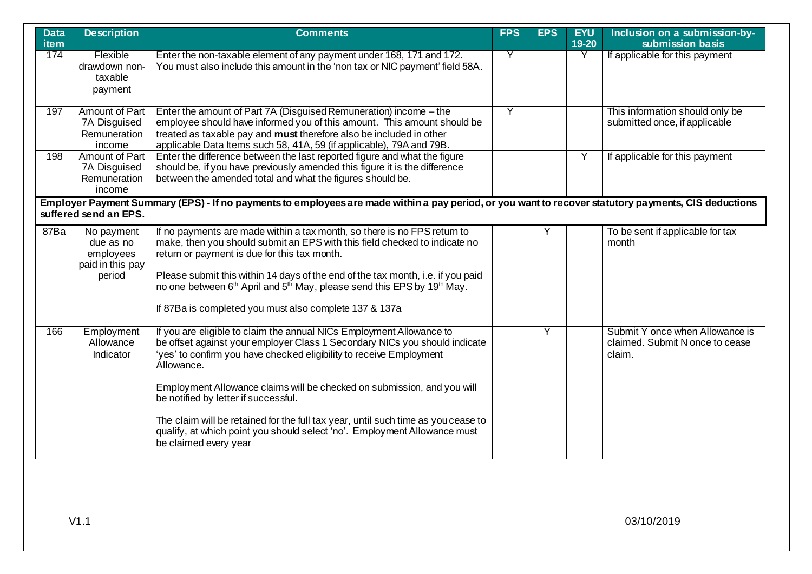| <b>Data</b><br><b>item</b> | <b>Description</b>                                                                                                                                                            | <b>Comments</b>                                                                                                                                                                                                                                                                                                                                                                                                                                                    | <b>FPS</b> | <b>EPS</b> | <b>EYU</b><br>19-20 | Inclusion on a submission-by-<br>submission basis                            |  |  |  |
|----------------------------|-------------------------------------------------------------------------------------------------------------------------------------------------------------------------------|--------------------------------------------------------------------------------------------------------------------------------------------------------------------------------------------------------------------------------------------------------------------------------------------------------------------------------------------------------------------------------------------------------------------------------------------------------------------|------------|------------|---------------------|------------------------------------------------------------------------------|--|--|--|
| 174                        | Flexible<br>drawdown non-<br>taxable<br>payment                                                                                                                               | Enter the non-taxable element of any payment under 168, 171 and 172.<br>You must also include this amount in the 'non tax or NIC payment' field 58A.                                                                                                                                                                                                                                                                                                               | Y          |            | Y                   | If applicable for this payment                                               |  |  |  |
| 197                        | Amount of Part<br>7A Disguised<br>Remuneration<br>income                                                                                                                      | Enter the amount of Part 7A (Disguised Remuneration) income - the<br>employee should have informed you of this amount. This amount should be<br>treated as taxable pay and must therefore also be included in other<br>applicable Data Items such 58, 41A, 59 (if applicable), 79A and 79B.                                                                                                                                                                        | Ÿ          |            |                     | This information should only be<br>submitted once, if applicable             |  |  |  |
| 198                        | Amount of Part<br>7A Disguised<br>Remuneration<br>income                                                                                                                      | Enter the difference between the last reported figure and what the figure<br>should be, if you have previously amended this figure it is the difference<br>between the amended total and what the figures should be.                                                                                                                                                                                                                                               |            |            | Y                   | If applicable for this payment                                               |  |  |  |
|                            | Employer Payment Summary (EPS) - If no payments to employees are made within a pay period, or you want to recover statutory payments, CIS deductions<br>suffered send an EPS. |                                                                                                                                                                                                                                                                                                                                                                                                                                                                    |            |            |                     |                                                                              |  |  |  |
| 87Ba                       | No payment<br>due as no<br>employees<br>paid in this pay<br>period                                                                                                            | If no payments are made within a tax month, so there is no FPS return to<br>make, then you should submit an EPS with this field checked to indicate no<br>return or payment is due for this tax month.<br>Please submit this within 14 days of the end of the tax month, i.e. if you paid<br>no one between 6 <sup>th</sup> April and 5 <sup>th</sup> May, please send this EPS by 19 <sup>th</sup> May.<br>If 87Ba is completed you must also complete 137 & 137a |            | Y          |                     | To be sent if applicable for tax<br>month                                    |  |  |  |
| 166                        | Employment<br>Allowance<br>Indicator                                                                                                                                          | If you are eligible to claim the annual NICs Employment Allowance to<br>be offset against your employer Class 1 Secondary NICs you should indicate<br>'yes' to confirm you have checked eligibility to receive Employment<br>Allowance.<br>Employment Allowance claims will be checked on submission, and you will<br>be notified by letter if successful.<br>The claim will be retained for the full tax year, until such time as you cease to                    |            | Y          |                     | Submit Y once when Allowance is<br>claimed. Submit N once to cease<br>claim. |  |  |  |
|                            |                                                                                                                                                                               | qualify, at which point you should select 'no'. Employment Allowance must<br>be claimed every year                                                                                                                                                                                                                                                                                                                                                                 |            |            |                     |                                                                              |  |  |  |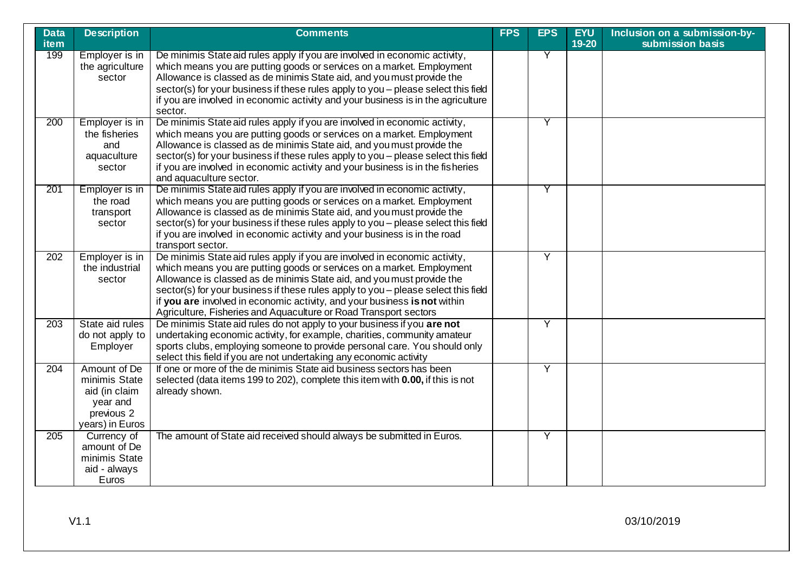| <b>Data</b><br><b>item</b> | <b>Description</b>                                                                          | <b>Comments</b>                                                                                                                                                                                                                                                                                                                                                                                                                                                      | <b>FPS</b> | <b>EPS</b> | <b>EYU</b><br>19-20 | Inclusion on a submission-by-<br>submission basis |
|----------------------------|---------------------------------------------------------------------------------------------|----------------------------------------------------------------------------------------------------------------------------------------------------------------------------------------------------------------------------------------------------------------------------------------------------------------------------------------------------------------------------------------------------------------------------------------------------------------------|------------|------------|---------------------|---------------------------------------------------|
| 199                        | Employer is in<br>the agriculture<br>sector                                                 | De minimis State aid rules apply if you are involved in economic activity,<br>which means you are putting goods or services on a market. Employment<br>Allowance is classed as de minimis State aid, and you must provide the<br>sector(s) for your business if these rules apply to you - please select this field<br>if you are involved in economic activity and your business is in the agriculture<br>sector.                                                   |            | Y          |                     |                                                   |
| 200                        | Employer is in<br>the fisheries<br>and<br>aquaculture<br>sector                             | De minimis State aid rules apply if you are involved in economic activity,<br>which means you are putting goods or services on a market. Employment<br>Allowance is classed as de minimis State aid, and you must provide the<br>sector(s) for your business if these rules apply to you - please select this field<br>if you are involved in economic activity and your business is in the fisheries<br>and aquaculture sector.                                     |            | Y          |                     |                                                   |
| 201                        | Employer is in<br>the road<br>transport<br>sector                                           | De minimis State aid rules apply if you are involved in economic activity,<br>which means you are putting goods or services on a market. Employment<br>Allowance is classed as de minimis State aid, and you must provide the<br>sector(s) for your business if these rules apply to you - please select this field<br>if you are involved in economic activity and your business is in the road<br>transport sector.                                                |            | Y          |                     |                                                   |
| 202                        | Employer is in<br>the industrial<br>sector                                                  | De minimis State aid rules apply if you are involved in economic activity,<br>which means you are putting goods or services on a market. Employment<br>Allowance is classed as de minimis State aid, and you must provide the<br>sector(s) for your business if these rules apply to you - please select this field<br>if you are involved in economic activity, and your business is not within<br>Agriculture, Fisheries and Aquaculture or Road Transport sectors |            | Ÿ          |                     |                                                   |
| $\overline{203}$           | State aid rules<br>do not apply to<br>Employer                                              | De minimis State aid rules do not apply to your business if you are not<br>undertaking economic activity, for example, charities, community amateur<br>sports clubs, employing someone to provide personal care. You should only<br>select this field if you are not undertaking any economic activity                                                                                                                                                               |            | Y          |                     |                                                   |
| 204                        | Amount of De<br>minimis State<br>aid (in claim<br>year and<br>previous 2<br>years) in Euros | If one or more of the de minimis State aid business sectors has been<br>selected (data items 199 to 202), complete this item with 0.00, if this is not<br>already shown.                                                                                                                                                                                                                                                                                             |            | Y          |                     |                                                   |
| $\overline{205}$           | Currency of<br>amount of De<br>minimis State<br>aid - always<br>Euros                       | The amount of State aid received should always be submitted in Euros.                                                                                                                                                                                                                                                                                                                                                                                                |            | Y          |                     |                                                   |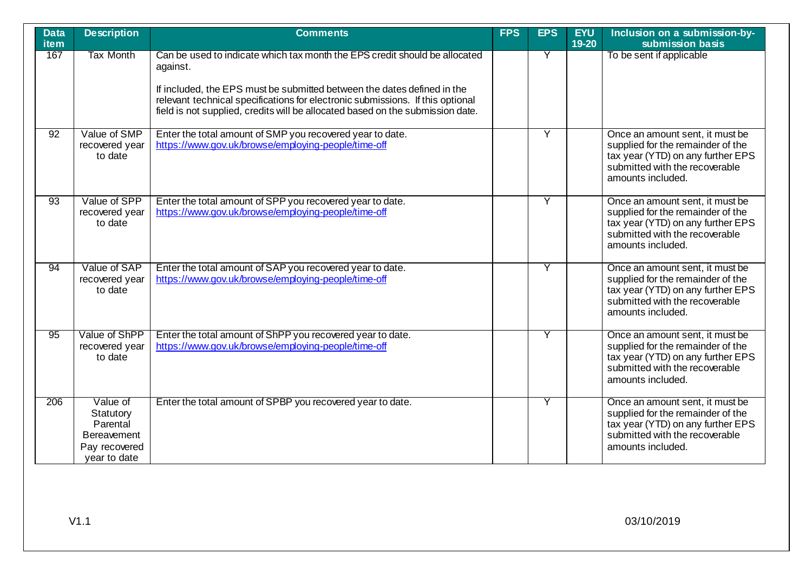| <b>Data</b><br><b>item</b> | <b>Description</b>                                                                       | <b>Comments</b>                                                                                                                                                                                                                                                                                                                       | <b>FPS</b> | <b>EPS</b> | <b>EYU</b><br>19-20 | Inclusion on a submission-by-<br>submission basis                                                                                                                |
|----------------------------|------------------------------------------------------------------------------------------|---------------------------------------------------------------------------------------------------------------------------------------------------------------------------------------------------------------------------------------------------------------------------------------------------------------------------------------|------------|------------|---------------------|------------------------------------------------------------------------------------------------------------------------------------------------------------------|
| 167                        | <b>Tax Month</b>                                                                         | Can be used to indicate which tax month the EPS credit should be allocated<br>against.<br>If included, the EPS must be submitted between the dates defined in the<br>relevant technical specifications for electronic submissions. If this optional<br>field is not supplied, credits will be allocated based on the submission date. |            | Y          |                     | To be sent if applicable                                                                                                                                         |
| $\overline{92}$            | Value of SMP<br>recovered year<br>to date                                                | Enter the total amount of SMP you recovered year to date.<br>https://www.gov.uk/browse/employing-people/time-off                                                                                                                                                                                                                      |            | Y          |                     | Once an amount sent, it must be<br>supplied for the remainder of the<br>tax year (YTD) on any further EPS<br>submitted with the recoverable<br>amounts included. |
| $\overline{93}$            | Value of SPP<br>recovered year<br>to date                                                | Enter the total amount of SPP you recovered year to date.<br>https://www.gov.uk/browse/employing-people/time-off                                                                                                                                                                                                                      |            | Y          |                     | Once an amount sent, it must be<br>supplied for the remainder of the<br>tax year (YTD) on any further EPS<br>submitted with the recoverable<br>amounts included. |
| 94                         | Value of SAP<br>recovered year<br>to date                                                | Enter the total amount of SAP you recovered year to date.<br>https://www.gov.uk/browse/employing-people/time-off                                                                                                                                                                                                                      |            |            |                     | Once an amount sent, it must be<br>supplied for the remainder of the<br>tax year (YTD) on any further EPS<br>submitted with the recoverable<br>amounts included. |
| 95                         | Value of ShPP<br>recovered year<br>to date                                               | Enter the total amount of ShPP you recovered year to date.<br>https://www.gov.uk/browse/employing-people/time-off                                                                                                                                                                                                                     |            |            |                     | Once an amount sent, it must be<br>supplied for the remainder of the<br>tax year (YTD) on any further EPS<br>submitted with the recoverable<br>amounts included. |
| 206                        | Value of<br>Statutory<br>Parental<br><b>Bereavement</b><br>Pay recovered<br>year to date | Enter the total amount of SPBP you recovered year to date.                                                                                                                                                                                                                                                                            |            |            |                     | Once an amount sent, it must be<br>supplied for the remainder of the<br>tax year (YTD) on any further EPS<br>submitted with the recoverable<br>amounts included. |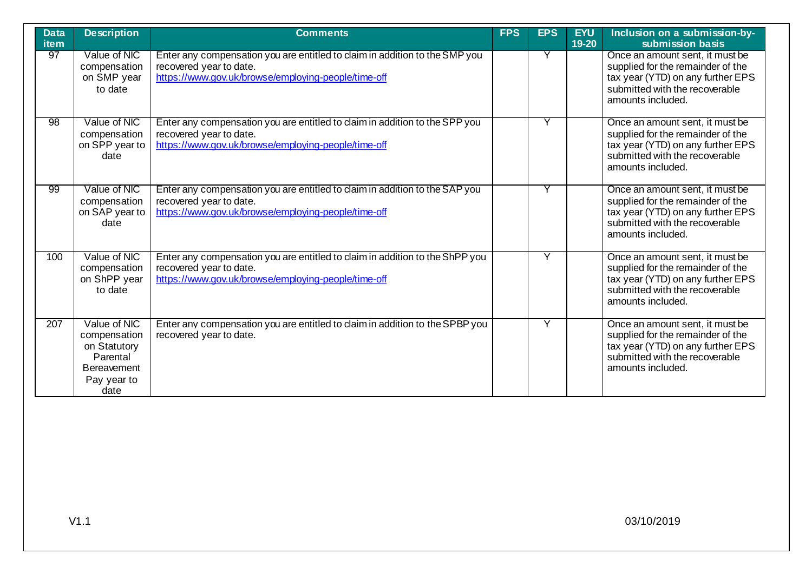| <b>Data</b><br><b>item</b> | <b>Description</b>                                                                                    | <b>Comments</b>                                                                                                                                                | <b>FPS</b> | <b>EPS</b> | <b>EYU</b><br>19-20 | Inclusion on a submission-by-<br>submission basis                                                                                                                |
|----------------------------|-------------------------------------------------------------------------------------------------------|----------------------------------------------------------------------------------------------------------------------------------------------------------------|------------|------------|---------------------|------------------------------------------------------------------------------------------------------------------------------------------------------------------|
| 97                         | Value of NIC<br>compensation<br>on SMP year<br>to date                                                | Enter any compensation you are entitled to claim in addition to the SMP you<br>recovered year to date.<br>https://www.gov.uk/browse/employing-people/time-off  |            | Υ          |                     | Once an amount sent, it must be<br>supplied for the remainder of the<br>tax year (YTD) on any further EPS<br>submitted with the recoverable<br>amounts included. |
| 98                         | Value of NIC<br>compensation<br>on SPP year to<br>date                                                | Enter any compensation you are entitled to claim in addition to the SPP you<br>recovered year to date.<br>https://www.gov.uk/browse/employing-people/time-off  |            |            |                     | Once an amount sent, it must be<br>supplied for the remainder of the<br>tax year (YTD) on any further EPS<br>submitted with the recoverable<br>amounts included. |
| 99                         | Value of NIC<br>compensation<br>on SAP year to<br>date                                                | Enter any compensation you are entitled to claim in addition to the SAP you<br>recovered year to date.<br>https://www.gov.uk/browse/employing-people/time-off  |            |            |                     | Once an amount sent, it must be<br>supplied for the remainder of the<br>tax year (YTD) on any further EPS<br>submitted with the recoverable<br>amounts included. |
| 100                        | Value of NIC<br>compensation<br>on ShPP year<br>to date                                               | Enter any compensation you are entitled to claim in addition to the ShPP you<br>recovered year to date.<br>https://www.gov.uk/browse/employing-people/time-off |            | Υ          |                     | Once an amount sent, it must be<br>supplied for the remainder of the<br>tax year (YTD) on any further EPS<br>submitted with the recoverable<br>amounts included. |
| 207                        | Value of NIC<br>compensation<br>on Statutory<br>Parental<br><b>Bereavement</b><br>Pay year to<br>date | Enter any compensation you are entitled to claim in addition to the SPBP you<br>recovered year to date.                                                        |            | Y          |                     | Once an amount sent, it must be<br>supplied for the remainder of the<br>tax year (YTD) on any further EPS<br>submitted with the recoverable<br>amounts included. |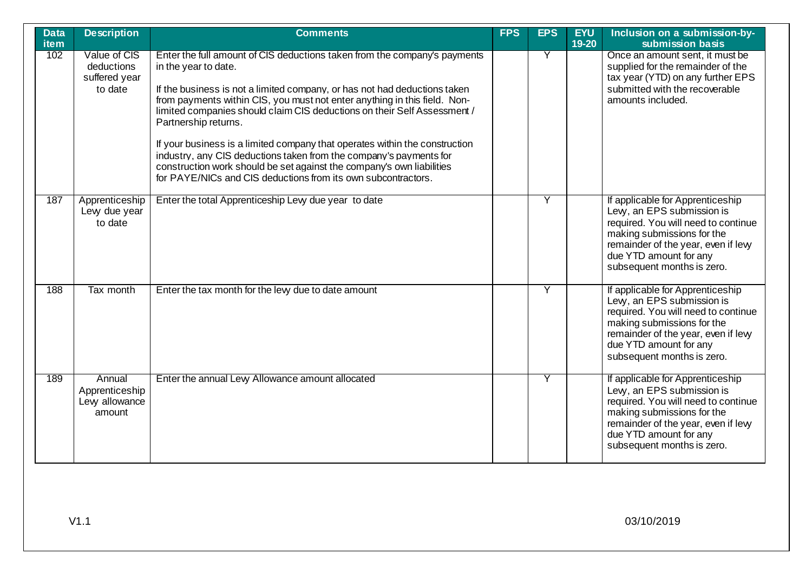| <b>Data</b><br>item | <b>Description</b>                                     | <b>Comments</b>                                                                                                                                                                                                                                                                                                                                                                                                                                                                                                                                                                                                                                                | <b>FPS</b> | <b>EPS</b> | <b>EYU</b><br>19-20 | Inclusion on a submission-by-<br>submission basis                                                                                                                                                                                  |
|---------------------|--------------------------------------------------------|----------------------------------------------------------------------------------------------------------------------------------------------------------------------------------------------------------------------------------------------------------------------------------------------------------------------------------------------------------------------------------------------------------------------------------------------------------------------------------------------------------------------------------------------------------------------------------------------------------------------------------------------------------------|------------|------------|---------------------|------------------------------------------------------------------------------------------------------------------------------------------------------------------------------------------------------------------------------------|
| 102                 | Value of CIS<br>deductions<br>suffered year<br>to date | Enter the full amount of CIS deductions taken from the company's payments<br>in the year to date.<br>If the business is not a limited company, or has not had deductions taken<br>from payments within CIS, you must not enter anything in this field. Non-<br>limited companies should claim CIS deductions on their Self Assessment /<br>Partnership returns.<br>If your business is a limited company that operates within the construction<br>industry, any CIS deductions taken from the company's payments for<br>construction work should be set against the company's own liabilities<br>for PAYE/NICs and CIS deductions from its own subcontractors. |            | Y          |                     | Once an amount sent, it must be<br>supplied for the remainder of the<br>tax year (YTD) on any further EPS<br>submitted with the recoverable<br>amounts included.                                                                   |
| 187                 | Apprenticeship<br>Levy due year<br>to date             | Enter the total Apprenticeship Levy due year to date                                                                                                                                                                                                                                                                                                                                                                                                                                                                                                                                                                                                           |            | Y          |                     | If applicable for Apprenticeship<br>Levy, an EPS submission is<br>required. You will need to continue<br>making submissions for the<br>remainder of the year, even if levy<br>due YTD amount for any<br>subsequent months is zero. |
| 188                 | Tax month                                              | Enter the tax month for the levy due to date amount                                                                                                                                                                                                                                                                                                                                                                                                                                                                                                                                                                                                            |            | Y          |                     | If applicable for Apprenticeship<br>Levy, an EPS submission is<br>required. You will need to continue<br>making submissions for the<br>remainder of the year, even if levy<br>due YTD amount for any<br>subsequent months is zero. |
| 189                 | Annual<br>Apprenticeship<br>Levy allowance<br>amount   | Enter the annual Levy Allowance amount allocated                                                                                                                                                                                                                                                                                                                                                                                                                                                                                                                                                                                                               |            | Y          |                     | If applicable for Apprenticeship<br>Levy, an EPS submission is<br>required. You will need to continue<br>making submissions for the<br>remainder of the year, even if levy<br>due YTD amount for any<br>subsequent months is zero. |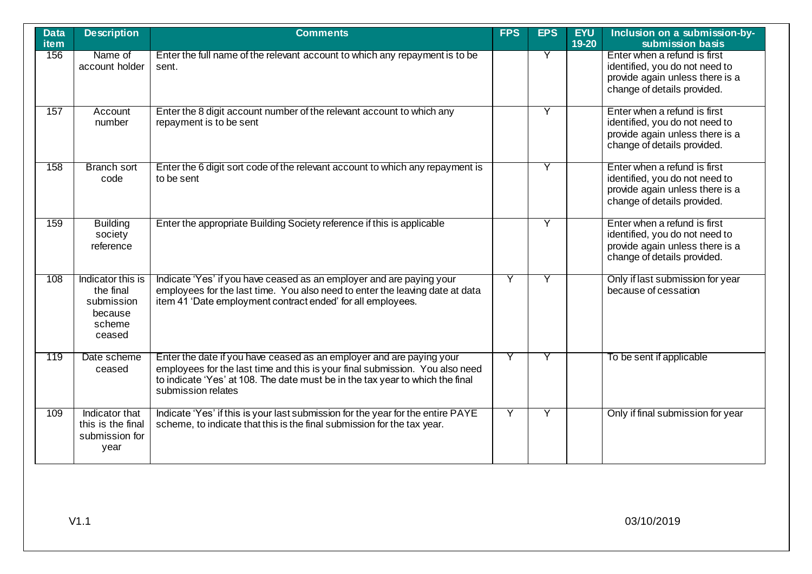| <b>Data</b><br><b>item</b> | <b>Description</b>                                                          | <b>Comments</b>                                                                                                                                                                                                                                             | <b>FPS</b> | <b>EPS</b> | <b>EYU</b><br>19-20 | Inclusion on a submission-by-<br>submission basis                                                                                |
|----------------------------|-----------------------------------------------------------------------------|-------------------------------------------------------------------------------------------------------------------------------------------------------------------------------------------------------------------------------------------------------------|------------|------------|---------------------|----------------------------------------------------------------------------------------------------------------------------------|
| 156                        | Name of<br>account holder                                                   | Enter the full name of the relevant account to which any repayment is to be<br>sent.                                                                                                                                                                        |            | Y          |                     | Enter when a refund is first<br>identified, you do not need to<br>provide again unless there is a<br>change of details provided. |
| 157                        | Account<br>number                                                           | Enter the 8 digit account number of the relevant account to which any<br>repayment is to be sent                                                                                                                                                            |            | Y          |                     | Enter when a refund is first<br>identified, you do not need to<br>provide again unless there is a<br>change of details provided. |
| 158                        | <b>Branch sort</b><br>code                                                  | Enter the 6 digit sort code of the relevant account to which any repayment is<br>to be sent                                                                                                                                                                 |            | Y          |                     | Enter when a refund is first<br>identified, you do not need to<br>provide again unless there is a<br>change of details provided. |
| 159                        | <b>Building</b><br>society<br>reference                                     | Enter the appropriate Building Society reference if this is applicable                                                                                                                                                                                      |            | Y          |                     | Enter when a refund is first<br>identified, you do not need to<br>provide again unless there is a<br>change of details provided. |
| 108                        | Indicator this is<br>the final<br>submission<br>because<br>scheme<br>ceased | Indicate 'Yes' if you have ceased as an employer and are paying your<br>employees for the last time. You also need to enter the leaving date at data<br>item 41 'Date employment contract ended' for all employees.                                         | Y          |            |                     | Only if last submission for year<br>because of cessation                                                                         |
| 119                        | Date scheme<br>ceased                                                       | Enter the date if you have ceased as an employer and are paying your<br>employees for the last time and this is your final submission. You also need<br>to indicate 'Yes' at 108. The date must be in the tax year to which the final<br>submission relates | Y          | Y          |                     | To be sent if applicable                                                                                                         |
| 109                        | Indicator that<br>this is the final<br>submission for<br>year               | Indicate 'Yes' if this is your last submission for the year for the entire PAYE<br>scheme, to indicate that this is the final submission for the tax year.                                                                                                  | Ÿ          | Y          |                     | Only if final submission for year                                                                                                |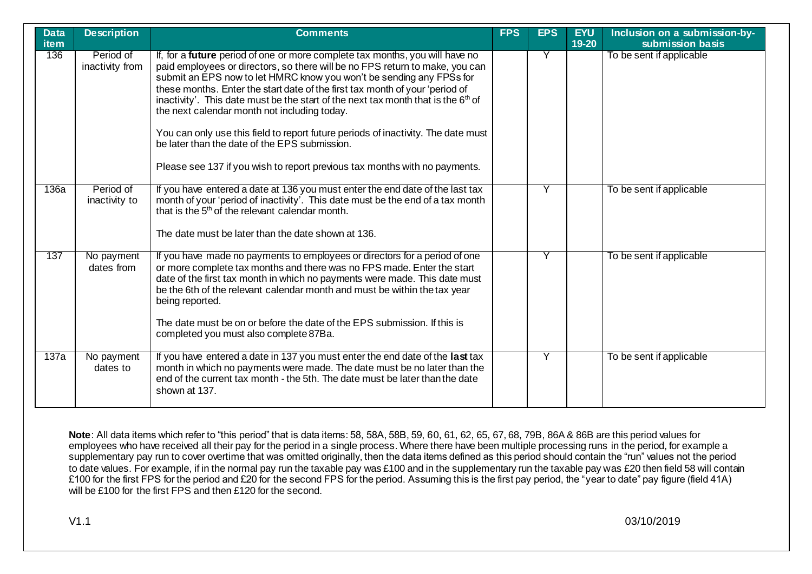| <b>Data</b><br>item | <b>Description</b>         | <b>Comments</b>                                                                                                                                                                                                                                                                                                                                                                                                                                          | <b>FPS</b> | <b>EPS</b> | <b>EYU</b><br>19-20 | Inclusion on a submission-by-<br>submission basis |
|---------------------|----------------------------|----------------------------------------------------------------------------------------------------------------------------------------------------------------------------------------------------------------------------------------------------------------------------------------------------------------------------------------------------------------------------------------------------------------------------------------------------------|------------|------------|---------------------|---------------------------------------------------|
| 136                 | Period of                  | If, for a future period of one or more complete tax months, you will have no                                                                                                                                                                                                                                                                                                                                                                             |            |            |                     | To be sent if applicable                          |
|                     | inactivity from            | paid employees or directors, so there will be no FPS return to make, you can<br>submit an EPS now to let HMRC know you won't be sending any FPSs for<br>these months. Enter the start date of the first tax month of your 'period of<br>inactivity'. This date must be the start of the next tax month that is the 6 <sup>th</sup> of<br>the next calendar month not including today.                                                                    |            |            |                     |                                                   |
|                     |                            | You can only use this field to report future periods of inactivity. The date must<br>be later than the date of the EPS submission.                                                                                                                                                                                                                                                                                                                       |            |            |                     |                                                   |
|                     |                            | Please see 137 if you wish to report previous tax months with no payments.                                                                                                                                                                                                                                                                                                                                                                               |            |            |                     |                                                   |
| 136a                | Period of<br>inactivity to | If you have entered a date at 136 you must enter the end date of the last tax<br>month of your 'period of inactivity'. This date must be the end of a tax month<br>that is the 5 <sup>th</sup> of the relevant calendar month.<br>The date must be later than the date shown at 136.                                                                                                                                                                     |            | Υ          |                     | To be sent if applicable                          |
| 137                 | No payment<br>dates from   | If you have made no payments to employees or directors for a period of one<br>or more complete tax months and there was no FPS made. Enter the start<br>date of the first tax month in which no payments were made. This date must<br>be the 6th of the relevant calendar month and must be within the tax year<br>being reported.<br>The date must be on or before the date of the EPS submission. If this is<br>completed you must also complete 87Ba. |            |            |                     | To be sent if applicable                          |
| 137a                | No payment<br>dates to     | If you have entered a date in 137 you must enter the end date of the last tax<br>month in which no payments were made. The date must be no later than the<br>end of the current tax month - the 5th. The date must be later than the date<br>shown at 137.                                                                                                                                                                                               |            |            |                     | To be sent if applicable                          |

**Note**: All data items which refer to "this period" that is data items: 58, 58A, 58B, 59, 60, 61, 62, 65, 67, 68, 79B, 86A & 86B are this period values for employees who have received all their pay for the period in a single process. Where there have been multiple processing runs in the period, for example a supplementary pay run to cover overtime that was omitted originally, then the data items defined as this period should contain the "run" values not the period to date values. For example, if in the normal pay run the taxable pay was £100 and in the supplementary run the taxable pay was £20 then field 58 will contain £100 for the first FPS for the period and £20 for the second FPS for the period. Assuming this is the first pay period, the "year to date" pay figure (field 41A) will be £100 for the first FPS and then £120 for the second.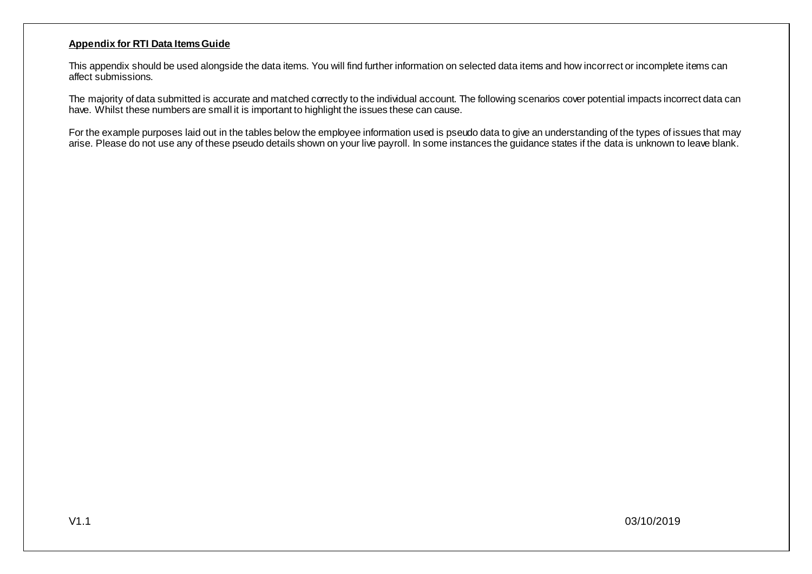## **Appendix for RTI Data Items Guide**

This appendix should be used alongside the data items. You will find further information on selected data items and how incorrect or incomplete items can affect submissions.

The majority of data submitted is accurate and matched correctly to the individual account. The following scenarios cover potential impacts incorrect data can have. Whilst these numbers are small it is important to highlight the issues these can cause.

For the example purposes laid out in the tables below the employee information used is pseudo data to give an understanding of the types of issues that may arise. Please do not use any of these pseudo details shown on your live payroll. In some instances the guidance states if the data is unknown to leave blank.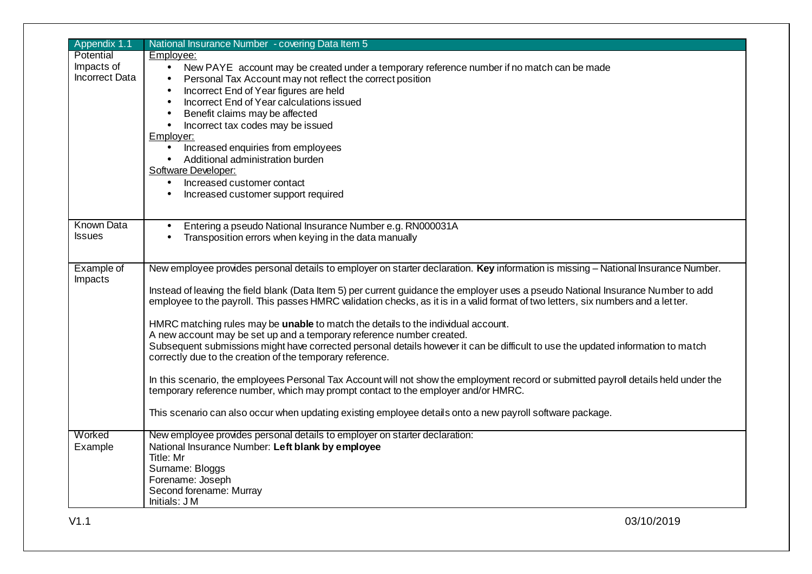| Employee:<br>New PAYE account may be created under a temporary reference number if no match can be made<br>$\bullet$<br><b>Incorrect Data</b><br>Personal Tax Account may not reflect the correct position<br>$\bullet$<br>Incorrect End of Year figures are held<br>$\bullet$<br>Incorrect End of Year calculations issued<br>Benefit claims may be affected<br>$\bullet$<br>Incorrect tax codes may be issued<br>$\bullet$<br>Employer:<br>Increased enquiries from employees<br>$\bullet$<br>Additional administration burden<br>$\bullet$<br>Software Developer:<br>Increased customer contact<br>$\bullet$<br>Increased customer support required<br>$\bullet$<br><b>Known Data</b><br>Entering a pseudo National Insurance Number e.g. RN000031A<br>$\bullet$<br>Transposition errors when keying in the data manually<br>Example of<br>New employee provides personal details to employer on starter declaration. Key information is missing - National Insurance Number.<br>Instead of leaving the field blank (Data Item 5) per current guidance the employer uses a pseudo National Insurance Number to add<br>employee to the payroll. This passes HMRC validation checks, as it is in a valid format of two letters, six numbers and a letter.<br>HMRC matching rules may be unable to match the details to the individual account.<br>A new account may be set up and a temporary reference number created.<br>Subsequent submissions might have corrected personal details however it can be difficult to use the updated information to match<br>correctly due to the creation of the temporary reference.<br>In this scenario, the employees Personal Tax Account will not show the employment record or submitted payroll details held under the<br>temporary reference number, which may prompt contact to the employer and/or HMRC.<br>This scenario can also occur when updating existing employee details onto a new payroll software package.<br>New employee provides personal details to employer on starter declaration:<br>National Insurance Number: Left blank by employee<br>Example<br>Title: Mr<br>Surname: Bloggs<br>Forename: Joseph<br>Second forename: Murray<br>Initials: JM | Appendix 1.1  | National Insurance Number - covering Data Item 5 |
|------------------------------------------------------------------------------------------------------------------------------------------------------------------------------------------------------------------------------------------------------------------------------------------------------------------------------------------------------------------------------------------------------------------------------------------------------------------------------------------------------------------------------------------------------------------------------------------------------------------------------------------------------------------------------------------------------------------------------------------------------------------------------------------------------------------------------------------------------------------------------------------------------------------------------------------------------------------------------------------------------------------------------------------------------------------------------------------------------------------------------------------------------------------------------------------------------------------------------------------------------------------------------------------------------------------------------------------------------------------------------------------------------------------------------------------------------------------------------------------------------------------------------------------------------------------------------------------------------------------------------------------------------------------------------------------------------------------------------------------------------------------------------------------------------------------------------------------------------------------------------------------------------------------------------------------------------------------------------------------------------------------------------------------------------------------------------------------------------------------------------------------------------------------------------------------------------------------|---------------|--------------------------------------------------|
|                                                                                                                                                                                                                                                                                                                                                                                                                                                                                                                                                                                                                                                                                                                                                                                                                                                                                                                                                                                                                                                                                                                                                                                                                                                                                                                                                                                                                                                                                                                                                                                                                                                                                                                                                                                                                                                                                                                                                                                                                                                                                                                                                                                                                  | Potential     |                                                  |
|                                                                                                                                                                                                                                                                                                                                                                                                                                                                                                                                                                                                                                                                                                                                                                                                                                                                                                                                                                                                                                                                                                                                                                                                                                                                                                                                                                                                                                                                                                                                                                                                                                                                                                                                                                                                                                                                                                                                                                                                                                                                                                                                                                                                                  | Impacts of    |                                                  |
|                                                                                                                                                                                                                                                                                                                                                                                                                                                                                                                                                                                                                                                                                                                                                                                                                                                                                                                                                                                                                                                                                                                                                                                                                                                                                                                                                                                                                                                                                                                                                                                                                                                                                                                                                                                                                                                                                                                                                                                                                                                                                                                                                                                                                  |               |                                                  |
|                                                                                                                                                                                                                                                                                                                                                                                                                                                                                                                                                                                                                                                                                                                                                                                                                                                                                                                                                                                                                                                                                                                                                                                                                                                                                                                                                                                                                                                                                                                                                                                                                                                                                                                                                                                                                                                                                                                                                                                                                                                                                                                                                                                                                  |               |                                                  |
|                                                                                                                                                                                                                                                                                                                                                                                                                                                                                                                                                                                                                                                                                                                                                                                                                                                                                                                                                                                                                                                                                                                                                                                                                                                                                                                                                                                                                                                                                                                                                                                                                                                                                                                                                                                                                                                                                                                                                                                                                                                                                                                                                                                                                  |               |                                                  |
|                                                                                                                                                                                                                                                                                                                                                                                                                                                                                                                                                                                                                                                                                                                                                                                                                                                                                                                                                                                                                                                                                                                                                                                                                                                                                                                                                                                                                                                                                                                                                                                                                                                                                                                                                                                                                                                                                                                                                                                                                                                                                                                                                                                                                  |               |                                                  |
|                                                                                                                                                                                                                                                                                                                                                                                                                                                                                                                                                                                                                                                                                                                                                                                                                                                                                                                                                                                                                                                                                                                                                                                                                                                                                                                                                                                                                                                                                                                                                                                                                                                                                                                                                                                                                                                                                                                                                                                                                                                                                                                                                                                                                  |               |                                                  |
|                                                                                                                                                                                                                                                                                                                                                                                                                                                                                                                                                                                                                                                                                                                                                                                                                                                                                                                                                                                                                                                                                                                                                                                                                                                                                                                                                                                                                                                                                                                                                                                                                                                                                                                                                                                                                                                                                                                                                                                                                                                                                                                                                                                                                  |               |                                                  |
|                                                                                                                                                                                                                                                                                                                                                                                                                                                                                                                                                                                                                                                                                                                                                                                                                                                                                                                                                                                                                                                                                                                                                                                                                                                                                                                                                                                                                                                                                                                                                                                                                                                                                                                                                                                                                                                                                                                                                                                                                                                                                                                                                                                                                  |               |                                                  |
|                                                                                                                                                                                                                                                                                                                                                                                                                                                                                                                                                                                                                                                                                                                                                                                                                                                                                                                                                                                                                                                                                                                                                                                                                                                                                                                                                                                                                                                                                                                                                                                                                                                                                                                                                                                                                                                                                                                                                                                                                                                                                                                                                                                                                  |               |                                                  |
|                                                                                                                                                                                                                                                                                                                                                                                                                                                                                                                                                                                                                                                                                                                                                                                                                                                                                                                                                                                                                                                                                                                                                                                                                                                                                                                                                                                                                                                                                                                                                                                                                                                                                                                                                                                                                                                                                                                                                                                                                                                                                                                                                                                                                  |               |                                                  |
|                                                                                                                                                                                                                                                                                                                                                                                                                                                                                                                                                                                                                                                                                                                                                                                                                                                                                                                                                                                                                                                                                                                                                                                                                                                                                                                                                                                                                                                                                                                                                                                                                                                                                                                                                                                                                                                                                                                                                                                                                                                                                                                                                                                                                  |               |                                                  |
|                                                                                                                                                                                                                                                                                                                                                                                                                                                                                                                                                                                                                                                                                                                                                                                                                                                                                                                                                                                                                                                                                                                                                                                                                                                                                                                                                                                                                                                                                                                                                                                                                                                                                                                                                                                                                                                                                                                                                                                                                                                                                                                                                                                                                  |               |                                                  |
|                                                                                                                                                                                                                                                                                                                                                                                                                                                                                                                                                                                                                                                                                                                                                                                                                                                                                                                                                                                                                                                                                                                                                                                                                                                                                                                                                                                                                                                                                                                                                                                                                                                                                                                                                                                                                                                                                                                                                                                                                                                                                                                                                                                                                  |               |                                                  |
|                                                                                                                                                                                                                                                                                                                                                                                                                                                                                                                                                                                                                                                                                                                                                                                                                                                                                                                                                                                                                                                                                                                                                                                                                                                                                                                                                                                                                                                                                                                                                                                                                                                                                                                                                                                                                                                                                                                                                                                                                                                                                                                                                                                                                  |               |                                                  |
|                                                                                                                                                                                                                                                                                                                                                                                                                                                                                                                                                                                                                                                                                                                                                                                                                                                                                                                                                                                                                                                                                                                                                                                                                                                                                                                                                                                                                                                                                                                                                                                                                                                                                                                                                                                                                                                                                                                                                                                                                                                                                                                                                                                                                  | <b>Issues</b> |                                                  |
|                                                                                                                                                                                                                                                                                                                                                                                                                                                                                                                                                                                                                                                                                                                                                                                                                                                                                                                                                                                                                                                                                                                                                                                                                                                                                                                                                                                                                                                                                                                                                                                                                                                                                                                                                                                                                                                                                                                                                                                                                                                                                                                                                                                                                  |               |                                                  |
|                                                                                                                                                                                                                                                                                                                                                                                                                                                                                                                                                                                                                                                                                                                                                                                                                                                                                                                                                                                                                                                                                                                                                                                                                                                                                                                                                                                                                                                                                                                                                                                                                                                                                                                                                                                                                                                                                                                                                                                                                                                                                                                                                                                                                  |               |                                                  |
|                                                                                                                                                                                                                                                                                                                                                                                                                                                                                                                                                                                                                                                                                                                                                                                                                                                                                                                                                                                                                                                                                                                                                                                                                                                                                                                                                                                                                                                                                                                                                                                                                                                                                                                                                                                                                                                                                                                                                                                                                                                                                                                                                                                                                  | Impacts       |                                                  |
|                                                                                                                                                                                                                                                                                                                                                                                                                                                                                                                                                                                                                                                                                                                                                                                                                                                                                                                                                                                                                                                                                                                                                                                                                                                                                                                                                                                                                                                                                                                                                                                                                                                                                                                                                                                                                                                                                                                                                                                                                                                                                                                                                                                                                  |               |                                                  |
|                                                                                                                                                                                                                                                                                                                                                                                                                                                                                                                                                                                                                                                                                                                                                                                                                                                                                                                                                                                                                                                                                                                                                                                                                                                                                                                                                                                                                                                                                                                                                                                                                                                                                                                                                                                                                                                                                                                                                                                                                                                                                                                                                                                                                  |               |                                                  |
|                                                                                                                                                                                                                                                                                                                                                                                                                                                                                                                                                                                                                                                                                                                                                                                                                                                                                                                                                                                                                                                                                                                                                                                                                                                                                                                                                                                                                                                                                                                                                                                                                                                                                                                                                                                                                                                                                                                                                                                                                                                                                                                                                                                                                  |               |                                                  |
|                                                                                                                                                                                                                                                                                                                                                                                                                                                                                                                                                                                                                                                                                                                                                                                                                                                                                                                                                                                                                                                                                                                                                                                                                                                                                                                                                                                                                                                                                                                                                                                                                                                                                                                                                                                                                                                                                                                                                                                                                                                                                                                                                                                                                  |               |                                                  |
|                                                                                                                                                                                                                                                                                                                                                                                                                                                                                                                                                                                                                                                                                                                                                                                                                                                                                                                                                                                                                                                                                                                                                                                                                                                                                                                                                                                                                                                                                                                                                                                                                                                                                                                                                                                                                                                                                                                                                                                                                                                                                                                                                                                                                  |               |                                                  |
|                                                                                                                                                                                                                                                                                                                                                                                                                                                                                                                                                                                                                                                                                                                                                                                                                                                                                                                                                                                                                                                                                                                                                                                                                                                                                                                                                                                                                                                                                                                                                                                                                                                                                                                                                                                                                                                                                                                                                                                                                                                                                                                                                                                                                  |               |                                                  |
|                                                                                                                                                                                                                                                                                                                                                                                                                                                                                                                                                                                                                                                                                                                                                                                                                                                                                                                                                                                                                                                                                                                                                                                                                                                                                                                                                                                                                                                                                                                                                                                                                                                                                                                                                                                                                                                                                                                                                                                                                                                                                                                                                                                                                  |               |                                                  |
|                                                                                                                                                                                                                                                                                                                                                                                                                                                                                                                                                                                                                                                                                                                                                                                                                                                                                                                                                                                                                                                                                                                                                                                                                                                                                                                                                                                                                                                                                                                                                                                                                                                                                                                                                                                                                                                                                                                                                                                                                                                                                                                                                                                                                  | Worked        |                                                  |
|                                                                                                                                                                                                                                                                                                                                                                                                                                                                                                                                                                                                                                                                                                                                                                                                                                                                                                                                                                                                                                                                                                                                                                                                                                                                                                                                                                                                                                                                                                                                                                                                                                                                                                                                                                                                                                                                                                                                                                                                                                                                                                                                                                                                                  |               |                                                  |
|                                                                                                                                                                                                                                                                                                                                                                                                                                                                                                                                                                                                                                                                                                                                                                                                                                                                                                                                                                                                                                                                                                                                                                                                                                                                                                                                                                                                                                                                                                                                                                                                                                                                                                                                                                                                                                                                                                                                                                                                                                                                                                                                                                                                                  |               |                                                  |
|                                                                                                                                                                                                                                                                                                                                                                                                                                                                                                                                                                                                                                                                                                                                                                                                                                                                                                                                                                                                                                                                                                                                                                                                                                                                                                                                                                                                                                                                                                                                                                                                                                                                                                                                                                                                                                                                                                                                                                                                                                                                                                                                                                                                                  |               |                                                  |
|                                                                                                                                                                                                                                                                                                                                                                                                                                                                                                                                                                                                                                                                                                                                                                                                                                                                                                                                                                                                                                                                                                                                                                                                                                                                                                                                                                                                                                                                                                                                                                                                                                                                                                                                                                                                                                                                                                                                                                                                                                                                                                                                                                                                                  |               |                                                  |
|                                                                                                                                                                                                                                                                                                                                                                                                                                                                                                                                                                                                                                                                                                                                                                                                                                                                                                                                                                                                                                                                                                                                                                                                                                                                                                                                                                                                                                                                                                                                                                                                                                                                                                                                                                                                                                                                                                                                                                                                                                                                                                                                                                                                                  |               |                                                  |
|                                                                                                                                                                                                                                                                                                                                                                                                                                                                                                                                                                                                                                                                                                                                                                                                                                                                                                                                                                                                                                                                                                                                                                                                                                                                                                                                                                                                                                                                                                                                                                                                                                                                                                                                                                                                                                                                                                                                                                                                                                                                                                                                                                                                                  |               |                                                  |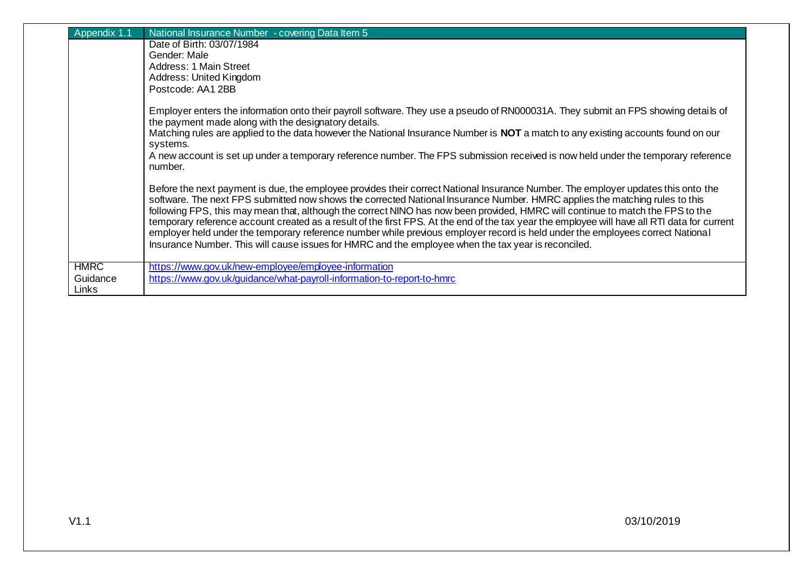| Appendix 1.1      | National Insurance Number - covering Data Item 5                                                                                                                                                                                                                                                                                                                                                                                                                                                                                                                                                                                                                                                                                                                                            |
|-------------------|---------------------------------------------------------------------------------------------------------------------------------------------------------------------------------------------------------------------------------------------------------------------------------------------------------------------------------------------------------------------------------------------------------------------------------------------------------------------------------------------------------------------------------------------------------------------------------------------------------------------------------------------------------------------------------------------------------------------------------------------------------------------------------------------|
|                   | Date of Birth: 03/07/1984                                                                                                                                                                                                                                                                                                                                                                                                                                                                                                                                                                                                                                                                                                                                                                   |
|                   | Gender: Male                                                                                                                                                                                                                                                                                                                                                                                                                                                                                                                                                                                                                                                                                                                                                                                |
|                   | Address: 1 Main Street                                                                                                                                                                                                                                                                                                                                                                                                                                                                                                                                                                                                                                                                                                                                                                      |
|                   | Address: United Kingdom                                                                                                                                                                                                                                                                                                                                                                                                                                                                                                                                                                                                                                                                                                                                                                     |
|                   | Postcode: AA1 2BB                                                                                                                                                                                                                                                                                                                                                                                                                                                                                                                                                                                                                                                                                                                                                                           |
|                   | Employer enters the information onto their payroll software. They use a pseudo of RN000031A. They submit an FPS showing details of<br>the payment made along with the designatory details.                                                                                                                                                                                                                                                                                                                                                                                                                                                                                                                                                                                                  |
|                   | Matching rules are applied to the data however the National Insurance Number is NOT a match to any existing accounts found on our<br>systems.                                                                                                                                                                                                                                                                                                                                                                                                                                                                                                                                                                                                                                               |
|                   | A new account is set up under a temporary reference number. The FPS submission received is now held under the temporary reference<br>number.                                                                                                                                                                                                                                                                                                                                                                                                                                                                                                                                                                                                                                                |
|                   | Before the next payment is due, the employee provides their correct National Insurance Number. The employer updates this onto the<br>software. The next FPS submitted now shows the corrected National Insurance Number. HMRC applies the matching rules to this<br>following FPS, this may mean that, although the correct NINO has now been provided, HMRC will continue to match the FPS to the<br>temporary reference account created as a result of the first FPS. At the end of the tax year the employee will have all RTI data for current<br>employer held under the temporary reference number while previous employer record is held under the employees correct National<br>Insurance Number. This will cause issues for HMRC and the employee when the tax year is reconciled. |
| <b>HMRC</b>       | https://www.gov.uk/new-employee/employee-information                                                                                                                                                                                                                                                                                                                                                                                                                                                                                                                                                                                                                                                                                                                                        |
| Guidance<br>Links | https://www.gov.uk/guidance/what-payroll-information-to-report-to-hmrc                                                                                                                                                                                                                                                                                                                                                                                                                                                                                                                                                                                                                                                                                                                      |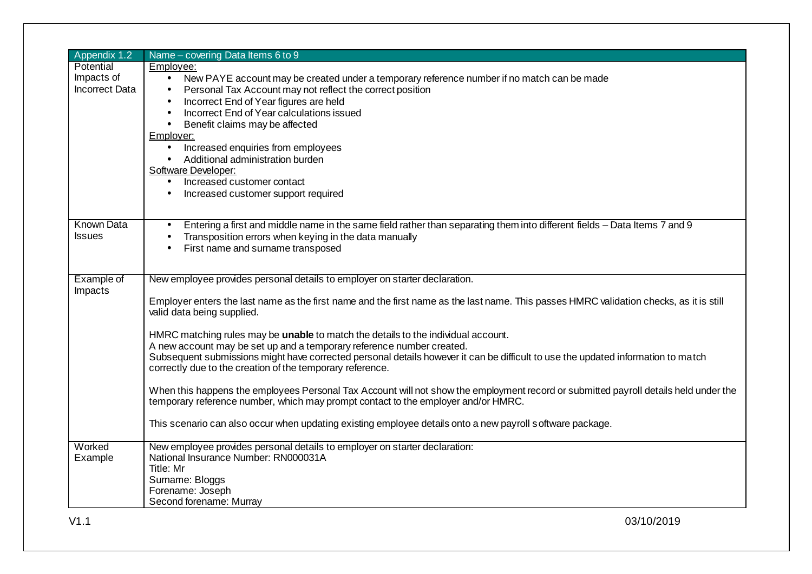| Appendix 1.2          | Name - covering Data Items 6 to 9                                                                                                       |
|-----------------------|-----------------------------------------------------------------------------------------------------------------------------------------|
| Potential             | Employee:                                                                                                                               |
| Impacts of            | New PAYE account may be created under a temporary reference number if no match can be made<br>$\bullet$                                 |
| <b>Incorrect Data</b> | Personal Tax Account may not reflect the correct position                                                                               |
|                       | Incorrect End of Year figures are held                                                                                                  |
|                       | Incorrect End of Year calculations issued<br>$\bullet$                                                                                  |
|                       | Benefit claims may be affected<br>$\bullet$                                                                                             |
|                       | Employer:                                                                                                                               |
|                       | Increased enquiries from employees                                                                                                      |
|                       | Additional administration burden                                                                                                        |
|                       | Software Developer:                                                                                                                     |
|                       | Increased customer contact                                                                                                              |
|                       | Increased customer support required                                                                                                     |
|                       |                                                                                                                                         |
| <b>Known Data</b>     | Entering a first and middle name in the same field rather than separating them into different fields – Data Items 7 and 9               |
| <b>Issues</b>         | Transposition errors when keying in the data manually                                                                                   |
|                       | First name and surname transposed<br>$\bullet$                                                                                          |
|                       |                                                                                                                                         |
| Example of            | New employee provides personal details to employer on starter declaration.                                                              |
| Impacts               |                                                                                                                                         |
|                       | Employer enters the last name as the first name and the first name as the last name. This passes HMRC validation checks, as it is still |
|                       | valid data being supplied.                                                                                                              |
|                       |                                                                                                                                         |
|                       | HMRC matching rules may be unable to match the details to the individual account.                                                       |
|                       | A new account may be set up and a temporary reference number created.                                                                   |
|                       | Subsequent submissions might have corrected personal details however it can be difficult to use the updated information to match        |
|                       | correctly due to the creation of the temporary reference.                                                                               |
|                       | When this happens the employees Personal Tax Account will not show the employment record or submitted payroll details held under the    |
|                       | temporary reference number, which may prompt contact to the employer and/or HMRC.                                                       |
|                       |                                                                                                                                         |
|                       | This scenario can also occur when updating existing employee details onto a new payroll software package.                               |
|                       |                                                                                                                                         |
| Worked                | New employee provides personal details to employer on starter declaration:                                                              |
| Example               | National Insurance Number: RN000031A                                                                                                    |
|                       | Title: Mr                                                                                                                               |
|                       | Surname: Bloggs                                                                                                                         |
|                       | Forename: Joseph                                                                                                                        |
|                       | Second forename: Murray                                                                                                                 |
| V1.1                  | 03/10/2019                                                                                                                              |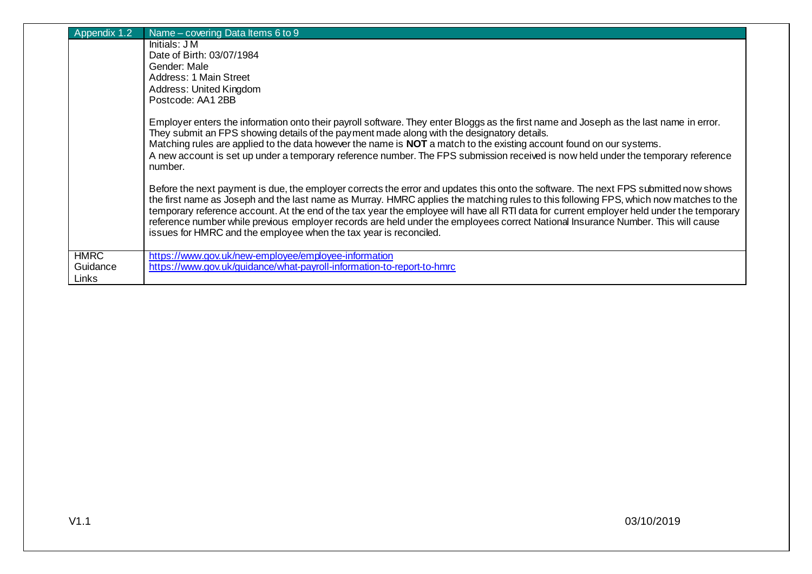| ppendix 1.2                      | Name – covering Data Items 6 to 9                                                                                                                                                                                                                                                                                                                                                                                                                                                                                                                                                                                                   |
|----------------------------------|-------------------------------------------------------------------------------------------------------------------------------------------------------------------------------------------------------------------------------------------------------------------------------------------------------------------------------------------------------------------------------------------------------------------------------------------------------------------------------------------------------------------------------------------------------------------------------------------------------------------------------------|
|                                  | Initials: J M                                                                                                                                                                                                                                                                                                                                                                                                                                                                                                                                                                                                                       |
|                                  | Date of Birth: 03/07/1984                                                                                                                                                                                                                                                                                                                                                                                                                                                                                                                                                                                                           |
|                                  | Gender: Male                                                                                                                                                                                                                                                                                                                                                                                                                                                                                                                                                                                                                        |
|                                  | Address: 1 Main Street                                                                                                                                                                                                                                                                                                                                                                                                                                                                                                                                                                                                              |
|                                  | Address: United Kingdom                                                                                                                                                                                                                                                                                                                                                                                                                                                                                                                                                                                                             |
|                                  | Postcode: AA1 2BB                                                                                                                                                                                                                                                                                                                                                                                                                                                                                                                                                                                                                   |
|                                  | Employer enters the information onto their payroll software. They enter Bloggs as the first name and Joseph as the last name in error.<br>They submit an FPS showing details of the payment made along with the designatory details.<br>Matching rules are applied to the data however the name is <b>NOT</b> a match to the existing account found on our systems.<br>A new account is set up under a temporary reference number. The FPS submission received is now held under the temporary reference<br>number.                                                                                                                 |
|                                  | Before the next payment is due, the employer corrects the error and updates this onto the software. The next FPS submitted now shows<br>the first name as Joseph and the last name as Murray. HMRC applies the matching rules to this following FPS, which now matches to the<br>temporary reference account. At the end of the tax year the employee will have all RTI data for current employer held under the temporary<br>reference number while previous employer records are held under the employees correct National Insurance Number. This will cause<br>issues for HMRC and the employee when the tax year is reconciled. |
| <b>HMRC</b><br>Guidance<br>Links | https://www.gov.uk/new-employee/employee-information<br>https://www.gov.uk/guidance/what-payroll-information-to-report-to-hmrc                                                                                                                                                                                                                                                                                                                                                                                                                                                                                                      |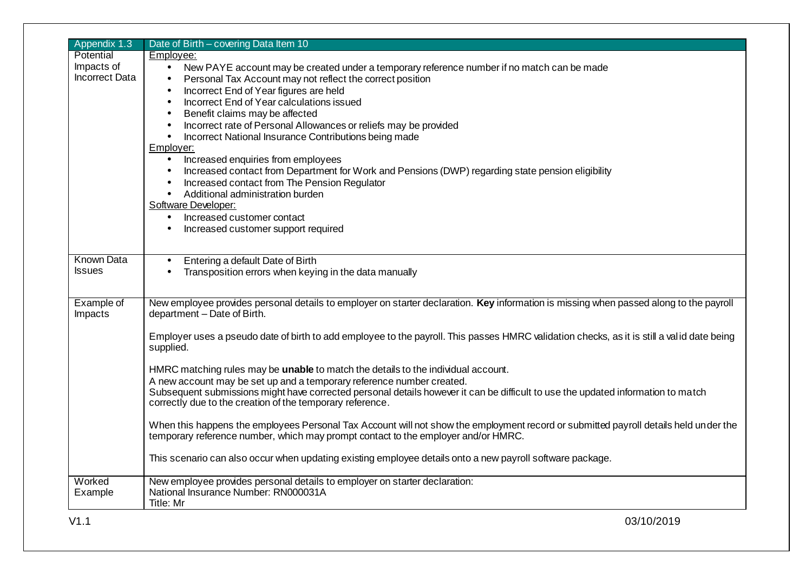| Appendix 1.3          | Date of Birth - covering Data Item 10                                                                                                                                                                                     |
|-----------------------|---------------------------------------------------------------------------------------------------------------------------------------------------------------------------------------------------------------------------|
| Potential             | Employee:                                                                                                                                                                                                                 |
| Impacts of            | New PAYE account may be created under a temporary reference number if no match can be made                                                                                                                                |
| <b>Incorrect Data</b> | Personal Tax Account may not reflect the correct position<br>$\bullet$                                                                                                                                                    |
|                       | Incorrect End of Year figures are held<br>$\bullet$                                                                                                                                                                       |
|                       | Incorrect End of Year calculations issued<br>$\bullet$                                                                                                                                                                    |
|                       | Benefit claims may be affected<br>$\bullet$                                                                                                                                                                               |
|                       | Incorrect rate of Personal Allowances or reliefs may be provided<br>$\bullet$                                                                                                                                             |
|                       | Incorrect National Insurance Contributions being made<br>$\bullet$                                                                                                                                                        |
|                       | Employer:                                                                                                                                                                                                                 |
|                       | Increased enquiries from employees<br>$\bullet$                                                                                                                                                                           |
|                       | Increased contact from Department for Work and Pensions (DWP) regarding state pension eligibility<br>$\bullet$                                                                                                            |
|                       | Increased contact from The Pension Regulator<br>$\bullet$                                                                                                                                                                 |
|                       | Additional administration burden<br>$\bullet$                                                                                                                                                                             |
|                       | Software Developer:                                                                                                                                                                                                       |
|                       | Increased customer contact<br>$\bullet$                                                                                                                                                                                   |
|                       | Increased customer support required<br>$\bullet$                                                                                                                                                                          |
|                       |                                                                                                                                                                                                                           |
| <b>Known Data</b>     | Entering a default Date of Birth<br>$\bullet$                                                                                                                                                                             |
| <b>Issues</b>         | Transposition errors when keying in the data manually                                                                                                                                                                     |
|                       |                                                                                                                                                                                                                           |
| Example of            | New employee provides personal details to employer on starter declaration. Key information is missing when passed along to the payroll<br>department - Date of Birth.                                                     |
| Impacts               |                                                                                                                                                                                                                           |
|                       | Employer uses a pseudo date of birth to add employee to the payroll. This passes HMRC validation checks, as it is still a valid date being<br>supplied.                                                                   |
|                       |                                                                                                                                                                                                                           |
|                       | HMRC matching rules may be unable to match the details to the individual account.                                                                                                                                         |
|                       | A new account may be set up and a temporary reference number created.                                                                                                                                                     |
|                       | Subsequent submissions might have corrected personal details however it can be difficult to use the updated information to match<br>correctly due to the creation of the temporary reference.                             |
|                       | When this happens the employees Personal Tax Account will not show the employment record or submitted payroll details held under the<br>temporary reference number, which may prompt contact to the employer and/or HMRC. |
|                       | This scenario can also occur when updating existing employee details onto a new payroll software package.                                                                                                                 |
| Worked                | New employee provides personal details to employer on starter declaration:                                                                                                                                                |
| Example               | National Insurance Number: RN000031A                                                                                                                                                                                      |
|                       | Title: Mr                                                                                                                                                                                                                 |
| V1.1                  | 03/10/2019                                                                                                                                                                                                                |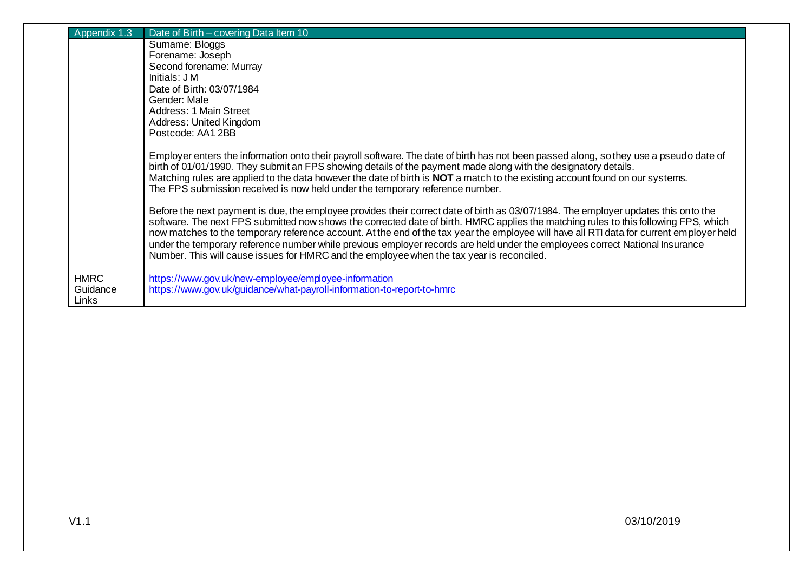| Appendix 1.3                     | Date of Birth - covering Data Item 10                                                                                                                                                                                                                                                                                                                                                                                                                                                                                                                                                                                                                |
|----------------------------------|------------------------------------------------------------------------------------------------------------------------------------------------------------------------------------------------------------------------------------------------------------------------------------------------------------------------------------------------------------------------------------------------------------------------------------------------------------------------------------------------------------------------------------------------------------------------------------------------------------------------------------------------------|
|                                  | Surname: Bloggs                                                                                                                                                                                                                                                                                                                                                                                                                                                                                                                                                                                                                                      |
|                                  | Forename: Joseph                                                                                                                                                                                                                                                                                                                                                                                                                                                                                                                                                                                                                                     |
|                                  | Second forename: Murray                                                                                                                                                                                                                                                                                                                                                                                                                                                                                                                                                                                                                              |
|                                  | Initials: J M                                                                                                                                                                                                                                                                                                                                                                                                                                                                                                                                                                                                                                        |
|                                  | Date of Birth: 03/07/1984                                                                                                                                                                                                                                                                                                                                                                                                                                                                                                                                                                                                                            |
|                                  | Gender: Male                                                                                                                                                                                                                                                                                                                                                                                                                                                                                                                                                                                                                                         |
|                                  | Address: 1 Main Street                                                                                                                                                                                                                                                                                                                                                                                                                                                                                                                                                                                                                               |
|                                  | Address: United Kingdom                                                                                                                                                                                                                                                                                                                                                                                                                                                                                                                                                                                                                              |
|                                  | Postcode: AA1 2BB                                                                                                                                                                                                                                                                                                                                                                                                                                                                                                                                                                                                                                    |
|                                  | Employer enters the information onto their payroll software. The date of birth has not been passed along, so they use a pseudo date of<br>birth of 01/01/1990. They submit an FPS showing details of the payment made along with the designatory details.<br>Matching rules are applied to the data however the date of birth is NOT a match to the existing account found on our systems.<br>The FPS submission received is now held under the temporary reference number.                                                                                                                                                                          |
|                                  | Before the next payment is due, the employee provides their correct date of birth as 03/07/1984. The employer updates this onto the<br>software. The next FPS submitted now shows the corrected date of birth. HMRC applies the matching rules to this following FPS, which<br>now matches to the temporary reference account. At the end of the tax year the employee will have all RTI data for current employer held<br>under the temporary reference number while previous employer records are held under the employees correct National Insurance<br>Number. This will cause issues for HMRC and the employee when the tax year is reconciled. |
| <b>HMRC</b><br>Guidance<br>Links | https://www.gov.uk/new-employee/employee-information<br>https://www.gov.uk/guidance/what-payroll-information-to-report-to-hmrc                                                                                                                                                                                                                                                                                                                                                                                                                                                                                                                       |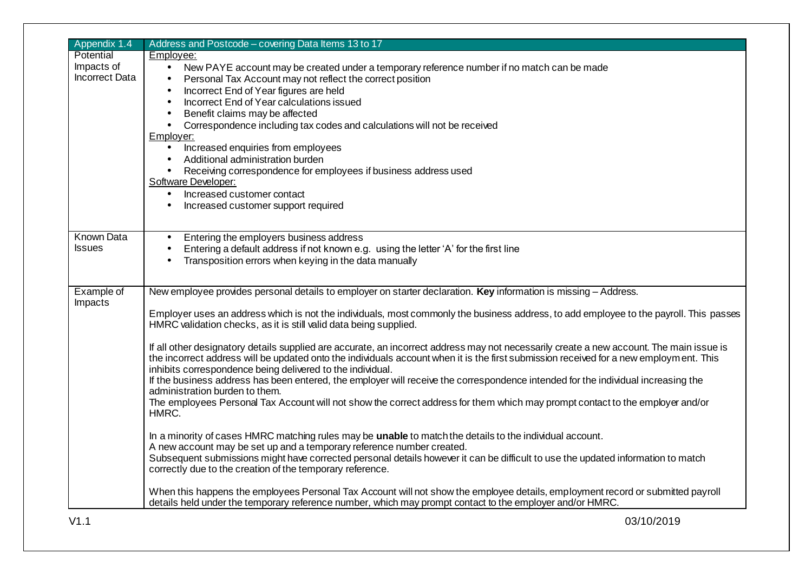| Appendix 1.4                                     | Address and Postcode - covering Data Items 13 to 17                                                                                                                                                                                                                                                                                                                                                                                                                                                                                                                                                                                                                                                                                                                                                                                                                                                                                                                                                                                                                                                                                                                                                                                                                                                                                                                                                                                                                                                                           |
|--------------------------------------------------|-------------------------------------------------------------------------------------------------------------------------------------------------------------------------------------------------------------------------------------------------------------------------------------------------------------------------------------------------------------------------------------------------------------------------------------------------------------------------------------------------------------------------------------------------------------------------------------------------------------------------------------------------------------------------------------------------------------------------------------------------------------------------------------------------------------------------------------------------------------------------------------------------------------------------------------------------------------------------------------------------------------------------------------------------------------------------------------------------------------------------------------------------------------------------------------------------------------------------------------------------------------------------------------------------------------------------------------------------------------------------------------------------------------------------------------------------------------------------------------------------------------------------------|
| Potential<br>Impacts of<br><b>Incorrect Data</b> | Employee:<br>New PAYE account may be created under a temporary reference number if no match can be made<br>$\bullet$<br>Personal Tax Account may not reflect the correct position<br>Incorrect End of Year figures are held<br>Incorrect End of Year calculations issued<br>Benefit claims may be affected<br>Correspondence including tax codes and calculations will not be received<br>$\bullet$<br>Employer:<br>Increased enquiries from employees<br>$\bullet$<br>Additional administration burden<br>Receiving correspondence for employees if business address used<br>$\bullet$<br>Software Developer:<br>Increased customer contact<br>$\bullet$<br>Increased customer support required                                                                                                                                                                                                                                                                                                                                                                                                                                                                                                                                                                                                                                                                                                                                                                                                                              |
| <b>Known Data</b><br><b>Issues</b>               | Entering the employers business address<br>$\bullet$<br>Entering a default address if not known e.g. using the letter 'A' for the first line<br>Transposition errors when keying in the data manually<br>$\bullet$                                                                                                                                                                                                                                                                                                                                                                                                                                                                                                                                                                                                                                                                                                                                                                                                                                                                                                                                                                                                                                                                                                                                                                                                                                                                                                            |
| Example of<br>Impacts                            | New employee provides personal details to employer on starter declaration. Key information is missing - Address.<br>Employer uses an address which is not the individuals, most commonly the business address, to add employee to the payroll. This passes<br>HMRC validation checks, as it is still valid data being supplied.<br>If all other designatory details supplied are accurate, an incorrect address may not necessarily create a new account. The main issue is<br>the incorrect address will be updated onto the individuals account when it is the first submission received for a new employment. This<br>inhibits correspondence being delivered to the individual.<br>If the business address has been entered, the employer will receive the correspondence intended for the individual increasing the<br>administration burden to them.<br>The employees Personal Tax Account will not show the correct address for them which may prompt contact to the employer and/or<br>HMRC.<br>In a minority of cases HMRC matching rules may be unable to match the details to the individual account.<br>A new account may be set up and a temporary reference number created.<br>Subsequent submissions might have corrected personal details however it can be difficult to use the updated information to match<br>correctly due to the creation of the temporary reference.<br>When this happens the employees Personal Tax Account will not show the employee details, employment record or submitted payroll |
| V1.1                                             | details held under the temporary reference number, which may prompt contact to the employer and/or HMRC.<br>03/10/2019                                                                                                                                                                                                                                                                                                                                                                                                                                                                                                                                                                                                                                                                                                                                                                                                                                                                                                                                                                                                                                                                                                                                                                                                                                                                                                                                                                                                        |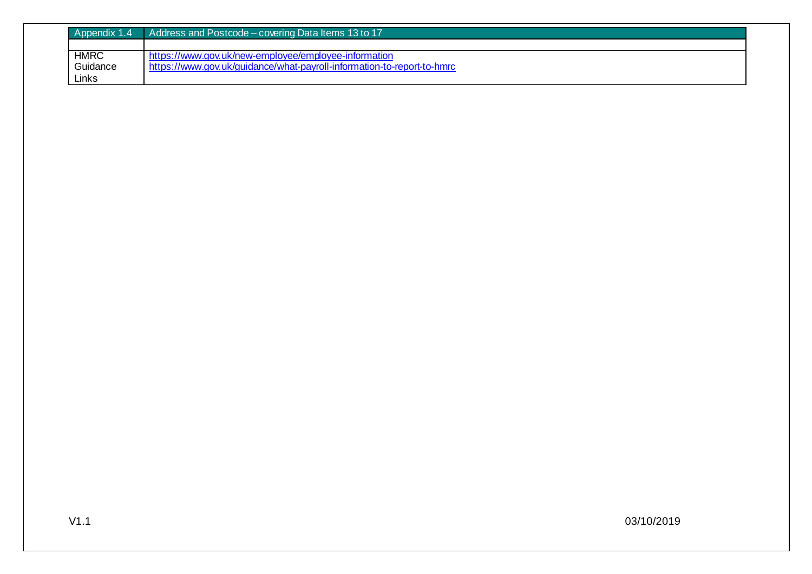| Appendix 1.4 | Address and Postcode – covering Data Items 13 to 17                    |
|--------------|------------------------------------------------------------------------|
|              |                                                                        |
| <b>HMRC</b>  | https://www.gov.uk/new-employee/employee-information                   |
| Guidance     | https://www.gov.uk/guidance/what-payroll-information-to-report-to-hmrc |
| Links        |                                                                        |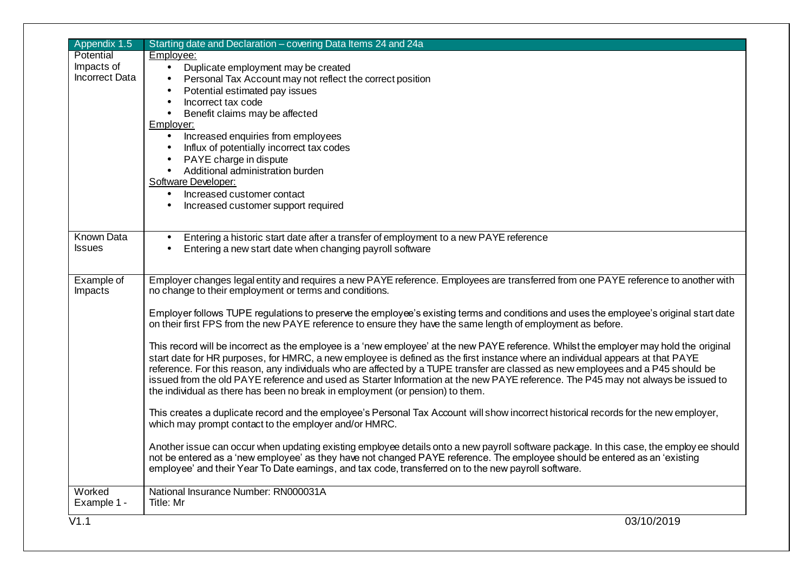| Potential<br>Employee:<br>Impacts of<br>$\bullet$<br>Duplicate employment may be created<br><b>Incorrect Data</b><br>Personal Tax Account may not reflect the correct position<br>Potential estimated pay issues<br>Incorrect tax code<br>Benefit claims may be affected<br>$\bullet$<br>Employer:<br>Increased enquiries from employees<br>$\bullet$<br>Influx of potentially incorrect tax codes<br>PAYE charge in dispute<br>$\bullet$<br>Additional administration burden<br>$\bullet$<br>Software Developer:<br>Increased customer contact<br>$\bullet$<br>Increased customer support required<br>$\bullet$<br><b>Known Data</b><br>Entering a historic start date after a transfer of employment to a new PAYE reference<br><b>Issues</b><br>Entering a new start date when changing payroll software<br>Employer changes legal entity and requires a new PAYE reference. Employees are transferred from one PAYE reference to another with<br>Example of<br>no change to their employment or terms and conditions.<br>Impacts<br>Employer follows TUPE regulations to preserve the employee's existing terms and conditions and uses the employee's original start date<br>on their first FPS from the new PAYE reference to ensure they have the same length of employment as before.<br>This record will be incorrect as the employee is a 'new employee' at the new PAYE reference. Whilst the employer may hold the original<br>start date for HR purposes, for HMRC, a new employee is defined as the first instance where an individual appears at that PAYE<br>reference. For this reason, any individuals who are affected by a TUPE transfer are classed as new employees and a P45 should be<br>issued from the old PAYE reference and used as Starter Information at the new PAYE reference. The P45 may not always be issued to<br>the individual as there has been no break in employment (or pension) to them.<br>This creates a duplicate record and the employee's Personal Tax Account will show incorrect historical records for the new employer,<br>which may prompt contact to the employer and/or HMRC.<br>Another issue can occur when updating existing employee details onto a new payroll software package. In this case, the employ ee should<br>not be entered as a 'new employee' as they have not changed PAYE reference. The employee should be entered as an 'existing<br>employee' and their Year To Date earnings, and tax code, transferred on to the new payroll software.<br>Worked<br>National Insurance Number: RN000031A<br>Example 1 -<br>Title: Mr<br>03/10/2019 | Appendix 1.5 | Starting date and Declaration - covering Data Items 24 and 24a |
|-------------------------------------------------------------------------------------------------------------------------------------------------------------------------------------------------------------------------------------------------------------------------------------------------------------------------------------------------------------------------------------------------------------------------------------------------------------------------------------------------------------------------------------------------------------------------------------------------------------------------------------------------------------------------------------------------------------------------------------------------------------------------------------------------------------------------------------------------------------------------------------------------------------------------------------------------------------------------------------------------------------------------------------------------------------------------------------------------------------------------------------------------------------------------------------------------------------------------------------------------------------------------------------------------------------------------------------------------------------------------------------------------------------------------------------------------------------------------------------------------------------------------------------------------------------------------------------------------------------------------------------------------------------------------------------------------------------------------------------------------------------------------------------------------------------------------------------------------------------------------------------------------------------------------------------------------------------------------------------------------------------------------------------------------------------------------------------------------------------------------------------------------------------------------------------------------------------------------------------------------------------------------------------------------------------------------------------------------------------------------------------------------------------------------------------------------------------------------------------------------------------------------------------------------------------------------------------------------------------------|--------------|----------------------------------------------------------------|
|                                                                                                                                                                                                                                                                                                                                                                                                                                                                                                                                                                                                                                                                                                                                                                                                                                                                                                                                                                                                                                                                                                                                                                                                                                                                                                                                                                                                                                                                                                                                                                                                                                                                                                                                                                                                                                                                                                                                                                                                                                                                                                                                                                                                                                                                                                                                                                                                                                                                                                                                                                                                                   |              |                                                                |
|                                                                                                                                                                                                                                                                                                                                                                                                                                                                                                                                                                                                                                                                                                                                                                                                                                                                                                                                                                                                                                                                                                                                                                                                                                                                                                                                                                                                                                                                                                                                                                                                                                                                                                                                                                                                                                                                                                                                                                                                                                                                                                                                                                                                                                                                                                                                                                                                                                                                                                                                                                                                                   |              |                                                                |
|                                                                                                                                                                                                                                                                                                                                                                                                                                                                                                                                                                                                                                                                                                                                                                                                                                                                                                                                                                                                                                                                                                                                                                                                                                                                                                                                                                                                                                                                                                                                                                                                                                                                                                                                                                                                                                                                                                                                                                                                                                                                                                                                                                                                                                                                                                                                                                                                                                                                                                                                                                                                                   |              |                                                                |
|                                                                                                                                                                                                                                                                                                                                                                                                                                                                                                                                                                                                                                                                                                                                                                                                                                                                                                                                                                                                                                                                                                                                                                                                                                                                                                                                                                                                                                                                                                                                                                                                                                                                                                                                                                                                                                                                                                                                                                                                                                                                                                                                                                                                                                                                                                                                                                                                                                                                                                                                                                                                                   |              |                                                                |
|                                                                                                                                                                                                                                                                                                                                                                                                                                                                                                                                                                                                                                                                                                                                                                                                                                                                                                                                                                                                                                                                                                                                                                                                                                                                                                                                                                                                                                                                                                                                                                                                                                                                                                                                                                                                                                                                                                                                                                                                                                                                                                                                                                                                                                                                                                                                                                                                                                                                                                                                                                                                                   |              |                                                                |
|                                                                                                                                                                                                                                                                                                                                                                                                                                                                                                                                                                                                                                                                                                                                                                                                                                                                                                                                                                                                                                                                                                                                                                                                                                                                                                                                                                                                                                                                                                                                                                                                                                                                                                                                                                                                                                                                                                                                                                                                                                                                                                                                                                                                                                                                                                                                                                                                                                                                                                                                                                                                                   |              |                                                                |
|                                                                                                                                                                                                                                                                                                                                                                                                                                                                                                                                                                                                                                                                                                                                                                                                                                                                                                                                                                                                                                                                                                                                                                                                                                                                                                                                                                                                                                                                                                                                                                                                                                                                                                                                                                                                                                                                                                                                                                                                                                                                                                                                                                                                                                                                                                                                                                                                                                                                                                                                                                                                                   |              |                                                                |
|                                                                                                                                                                                                                                                                                                                                                                                                                                                                                                                                                                                                                                                                                                                                                                                                                                                                                                                                                                                                                                                                                                                                                                                                                                                                                                                                                                                                                                                                                                                                                                                                                                                                                                                                                                                                                                                                                                                                                                                                                                                                                                                                                                                                                                                                                                                                                                                                                                                                                                                                                                                                                   |              |                                                                |
|                                                                                                                                                                                                                                                                                                                                                                                                                                                                                                                                                                                                                                                                                                                                                                                                                                                                                                                                                                                                                                                                                                                                                                                                                                                                                                                                                                                                                                                                                                                                                                                                                                                                                                                                                                                                                                                                                                                                                                                                                                                                                                                                                                                                                                                                                                                                                                                                                                                                                                                                                                                                                   |              |                                                                |
|                                                                                                                                                                                                                                                                                                                                                                                                                                                                                                                                                                                                                                                                                                                                                                                                                                                                                                                                                                                                                                                                                                                                                                                                                                                                                                                                                                                                                                                                                                                                                                                                                                                                                                                                                                                                                                                                                                                                                                                                                                                                                                                                                                                                                                                                                                                                                                                                                                                                                                                                                                                                                   |              |                                                                |
|                                                                                                                                                                                                                                                                                                                                                                                                                                                                                                                                                                                                                                                                                                                                                                                                                                                                                                                                                                                                                                                                                                                                                                                                                                                                                                                                                                                                                                                                                                                                                                                                                                                                                                                                                                                                                                                                                                                                                                                                                                                                                                                                                                                                                                                                                                                                                                                                                                                                                                                                                                                                                   |              |                                                                |
|                                                                                                                                                                                                                                                                                                                                                                                                                                                                                                                                                                                                                                                                                                                                                                                                                                                                                                                                                                                                                                                                                                                                                                                                                                                                                                                                                                                                                                                                                                                                                                                                                                                                                                                                                                                                                                                                                                                                                                                                                                                                                                                                                                                                                                                                                                                                                                                                                                                                                                                                                                                                                   |              |                                                                |
|                                                                                                                                                                                                                                                                                                                                                                                                                                                                                                                                                                                                                                                                                                                                                                                                                                                                                                                                                                                                                                                                                                                                                                                                                                                                                                                                                                                                                                                                                                                                                                                                                                                                                                                                                                                                                                                                                                                                                                                                                                                                                                                                                                                                                                                                                                                                                                                                                                                                                                                                                                                                                   |              |                                                                |
|                                                                                                                                                                                                                                                                                                                                                                                                                                                                                                                                                                                                                                                                                                                                                                                                                                                                                                                                                                                                                                                                                                                                                                                                                                                                                                                                                                                                                                                                                                                                                                                                                                                                                                                                                                                                                                                                                                                                                                                                                                                                                                                                                                                                                                                                                                                                                                                                                                                                                                                                                                                                                   |              |                                                                |
|                                                                                                                                                                                                                                                                                                                                                                                                                                                                                                                                                                                                                                                                                                                                                                                                                                                                                                                                                                                                                                                                                                                                                                                                                                                                                                                                                                                                                                                                                                                                                                                                                                                                                                                                                                                                                                                                                                                                                                                                                                                                                                                                                                                                                                                                                                                                                                                                                                                                                                                                                                                                                   |              |                                                                |
|                                                                                                                                                                                                                                                                                                                                                                                                                                                                                                                                                                                                                                                                                                                                                                                                                                                                                                                                                                                                                                                                                                                                                                                                                                                                                                                                                                                                                                                                                                                                                                                                                                                                                                                                                                                                                                                                                                                                                                                                                                                                                                                                                                                                                                                                                                                                                                                                                                                                                                                                                                                                                   |              |                                                                |
|                                                                                                                                                                                                                                                                                                                                                                                                                                                                                                                                                                                                                                                                                                                                                                                                                                                                                                                                                                                                                                                                                                                                                                                                                                                                                                                                                                                                                                                                                                                                                                                                                                                                                                                                                                                                                                                                                                                                                                                                                                                                                                                                                                                                                                                                                                                                                                                                                                                                                                                                                                                                                   |              |                                                                |
|                                                                                                                                                                                                                                                                                                                                                                                                                                                                                                                                                                                                                                                                                                                                                                                                                                                                                                                                                                                                                                                                                                                                                                                                                                                                                                                                                                                                                                                                                                                                                                                                                                                                                                                                                                                                                                                                                                                                                                                                                                                                                                                                                                                                                                                                                                                                                                                                                                                                                                                                                                                                                   |              |                                                                |
|                                                                                                                                                                                                                                                                                                                                                                                                                                                                                                                                                                                                                                                                                                                                                                                                                                                                                                                                                                                                                                                                                                                                                                                                                                                                                                                                                                                                                                                                                                                                                                                                                                                                                                                                                                                                                                                                                                                                                                                                                                                                                                                                                                                                                                                                                                                                                                                                                                                                                                                                                                                                                   |              |                                                                |
|                                                                                                                                                                                                                                                                                                                                                                                                                                                                                                                                                                                                                                                                                                                                                                                                                                                                                                                                                                                                                                                                                                                                                                                                                                                                                                                                                                                                                                                                                                                                                                                                                                                                                                                                                                                                                                                                                                                                                                                                                                                                                                                                                                                                                                                                                                                                                                                                                                                                                                                                                                                                                   |              |                                                                |
|                                                                                                                                                                                                                                                                                                                                                                                                                                                                                                                                                                                                                                                                                                                                                                                                                                                                                                                                                                                                                                                                                                                                                                                                                                                                                                                                                                                                                                                                                                                                                                                                                                                                                                                                                                                                                                                                                                                                                                                                                                                                                                                                                                                                                                                                                                                                                                                                                                                                                                                                                                                                                   |              |                                                                |
|                                                                                                                                                                                                                                                                                                                                                                                                                                                                                                                                                                                                                                                                                                                                                                                                                                                                                                                                                                                                                                                                                                                                                                                                                                                                                                                                                                                                                                                                                                                                                                                                                                                                                                                                                                                                                                                                                                                                                                                                                                                                                                                                                                                                                                                                                                                                                                                                                                                                                                                                                                                                                   |              |                                                                |
|                                                                                                                                                                                                                                                                                                                                                                                                                                                                                                                                                                                                                                                                                                                                                                                                                                                                                                                                                                                                                                                                                                                                                                                                                                                                                                                                                                                                                                                                                                                                                                                                                                                                                                                                                                                                                                                                                                                                                                                                                                                                                                                                                                                                                                                                                                                                                                                                                                                                                                                                                                                                                   |              |                                                                |
|                                                                                                                                                                                                                                                                                                                                                                                                                                                                                                                                                                                                                                                                                                                                                                                                                                                                                                                                                                                                                                                                                                                                                                                                                                                                                                                                                                                                                                                                                                                                                                                                                                                                                                                                                                                                                                                                                                                                                                                                                                                                                                                                                                                                                                                                                                                                                                                                                                                                                                                                                                                                                   |              |                                                                |
|                                                                                                                                                                                                                                                                                                                                                                                                                                                                                                                                                                                                                                                                                                                                                                                                                                                                                                                                                                                                                                                                                                                                                                                                                                                                                                                                                                                                                                                                                                                                                                                                                                                                                                                                                                                                                                                                                                                                                                                                                                                                                                                                                                                                                                                                                                                                                                                                                                                                                                                                                                                                                   |              |                                                                |
|                                                                                                                                                                                                                                                                                                                                                                                                                                                                                                                                                                                                                                                                                                                                                                                                                                                                                                                                                                                                                                                                                                                                                                                                                                                                                                                                                                                                                                                                                                                                                                                                                                                                                                                                                                                                                                                                                                                                                                                                                                                                                                                                                                                                                                                                                                                                                                                                                                                                                                                                                                                                                   |              |                                                                |
|                                                                                                                                                                                                                                                                                                                                                                                                                                                                                                                                                                                                                                                                                                                                                                                                                                                                                                                                                                                                                                                                                                                                                                                                                                                                                                                                                                                                                                                                                                                                                                                                                                                                                                                                                                                                                                                                                                                                                                                                                                                                                                                                                                                                                                                                                                                                                                                                                                                                                                                                                                                                                   |              |                                                                |
|                                                                                                                                                                                                                                                                                                                                                                                                                                                                                                                                                                                                                                                                                                                                                                                                                                                                                                                                                                                                                                                                                                                                                                                                                                                                                                                                                                                                                                                                                                                                                                                                                                                                                                                                                                                                                                                                                                                                                                                                                                                                                                                                                                                                                                                                                                                                                                                                                                                                                                                                                                                                                   |              |                                                                |
|                                                                                                                                                                                                                                                                                                                                                                                                                                                                                                                                                                                                                                                                                                                                                                                                                                                                                                                                                                                                                                                                                                                                                                                                                                                                                                                                                                                                                                                                                                                                                                                                                                                                                                                                                                                                                                                                                                                                                                                                                                                                                                                                                                                                                                                                                                                                                                                                                                                                                                                                                                                                                   |              |                                                                |
|                                                                                                                                                                                                                                                                                                                                                                                                                                                                                                                                                                                                                                                                                                                                                                                                                                                                                                                                                                                                                                                                                                                                                                                                                                                                                                                                                                                                                                                                                                                                                                                                                                                                                                                                                                                                                                                                                                                                                                                                                                                                                                                                                                                                                                                                                                                                                                                                                                                                                                                                                                                                                   |              |                                                                |
|                                                                                                                                                                                                                                                                                                                                                                                                                                                                                                                                                                                                                                                                                                                                                                                                                                                                                                                                                                                                                                                                                                                                                                                                                                                                                                                                                                                                                                                                                                                                                                                                                                                                                                                                                                                                                                                                                                                                                                                                                                                                                                                                                                                                                                                                                                                                                                                                                                                                                                                                                                                                                   |              |                                                                |
|                                                                                                                                                                                                                                                                                                                                                                                                                                                                                                                                                                                                                                                                                                                                                                                                                                                                                                                                                                                                                                                                                                                                                                                                                                                                                                                                                                                                                                                                                                                                                                                                                                                                                                                                                                                                                                                                                                                                                                                                                                                                                                                                                                                                                                                                                                                                                                                                                                                                                                                                                                                                                   |              |                                                                |
|                                                                                                                                                                                                                                                                                                                                                                                                                                                                                                                                                                                                                                                                                                                                                                                                                                                                                                                                                                                                                                                                                                                                                                                                                                                                                                                                                                                                                                                                                                                                                                                                                                                                                                                                                                                                                                                                                                                                                                                                                                                                                                                                                                                                                                                                                                                                                                                                                                                                                                                                                                                                                   |              |                                                                |
|                                                                                                                                                                                                                                                                                                                                                                                                                                                                                                                                                                                                                                                                                                                                                                                                                                                                                                                                                                                                                                                                                                                                                                                                                                                                                                                                                                                                                                                                                                                                                                                                                                                                                                                                                                                                                                                                                                                                                                                                                                                                                                                                                                                                                                                                                                                                                                                                                                                                                                                                                                                                                   |              |                                                                |
|                                                                                                                                                                                                                                                                                                                                                                                                                                                                                                                                                                                                                                                                                                                                                                                                                                                                                                                                                                                                                                                                                                                                                                                                                                                                                                                                                                                                                                                                                                                                                                                                                                                                                                                                                                                                                                                                                                                                                                                                                                                                                                                                                                                                                                                                                                                                                                                                                                                                                                                                                                                                                   |              |                                                                |
|                                                                                                                                                                                                                                                                                                                                                                                                                                                                                                                                                                                                                                                                                                                                                                                                                                                                                                                                                                                                                                                                                                                                                                                                                                                                                                                                                                                                                                                                                                                                                                                                                                                                                                                                                                                                                                                                                                                                                                                                                                                                                                                                                                                                                                                                                                                                                                                                                                                                                                                                                                                                                   |              |                                                                |
|                                                                                                                                                                                                                                                                                                                                                                                                                                                                                                                                                                                                                                                                                                                                                                                                                                                                                                                                                                                                                                                                                                                                                                                                                                                                                                                                                                                                                                                                                                                                                                                                                                                                                                                                                                                                                                                                                                                                                                                                                                                                                                                                                                                                                                                                                                                                                                                                                                                                                                                                                                                                                   |              |                                                                |
|                                                                                                                                                                                                                                                                                                                                                                                                                                                                                                                                                                                                                                                                                                                                                                                                                                                                                                                                                                                                                                                                                                                                                                                                                                                                                                                                                                                                                                                                                                                                                                                                                                                                                                                                                                                                                                                                                                                                                                                                                                                                                                                                                                                                                                                                                                                                                                                                                                                                                                                                                                                                                   |              |                                                                |
|                                                                                                                                                                                                                                                                                                                                                                                                                                                                                                                                                                                                                                                                                                                                                                                                                                                                                                                                                                                                                                                                                                                                                                                                                                                                                                                                                                                                                                                                                                                                                                                                                                                                                                                                                                                                                                                                                                                                                                                                                                                                                                                                                                                                                                                                                                                                                                                                                                                                                                                                                                                                                   |              |                                                                |
|                                                                                                                                                                                                                                                                                                                                                                                                                                                                                                                                                                                                                                                                                                                                                                                                                                                                                                                                                                                                                                                                                                                                                                                                                                                                                                                                                                                                                                                                                                                                                                                                                                                                                                                                                                                                                                                                                                                                                                                                                                                                                                                                                                                                                                                                                                                                                                                                                                                                                                                                                                                                                   | V1.1         |                                                                |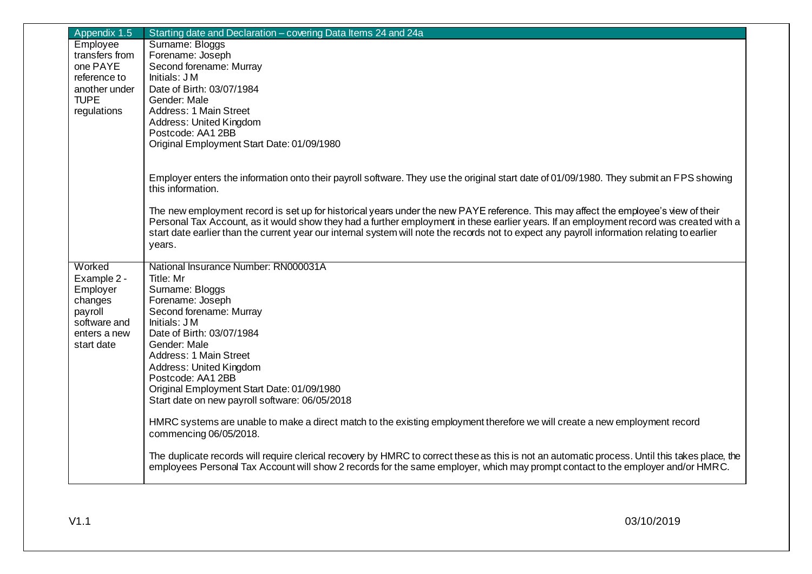| Appendix 1.5   | Starting date and Declaration - covering Data Items 24 and 24a                                                                                                                                                                                                                 |
|----------------|--------------------------------------------------------------------------------------------------------------------------------------------------------------------------------------------------------------------------------------------------------------------------------|
| Employee       | Surname: Bloggs                                                                                                                                                                                                                                                                |
| transfers from | Forename: Joseph                                                                                                                                                                                                                                                               |
| one PAYE       | Second forename: Murray                                                                                                                                                                                                                                                        |
| reference to   | Initials: J M                                                                                                                                                                                                                                                                  |
| another under  | Date of Birth: 03/07/1984                                                                                                                                                                                                                                                      |
| <b>TUPE</b>    | Gender: Male                                                                                                                                                                                                                                                                   |
| regulations    | Address: 1 Main Street                                                                                                                                                                                                                                                         |
|                | Address: United Kingdom                                                                                                                                                                                                                                                        |
|                | Postcode: AA1 2BB                                                                                                                                                                                                                                                              |
|                | Original Employment Start Date: 01/09/1980                                                                                                                                                                                                                                     |
|                |                                                                                                                                                                                                                                                                                |
|                | Employer enters the information onto their payroll software. They use the original start date of 01/09/1980. They submit an FPS showing                                                                                                                                        |
|                | this information.                                                                                                                                                                                                                                                              |
|                |                                                                                                                                                                                                                                                                                |
|                | The new employment record is set up for historical years under the new PAYE reference. This may affect the employee's view of their<br>Personal Tax Account, as it would show they had a further employment in these earlier years. If an employment record was created with a |
|                | start date earlier than the current year our internal system will note the records not to expect any payroll information relating to earlier                                                                                                                                   |
|                | years.                                                                                                                                                                                                                                                                         |
|                |                                                                                                                                                                                                                                                                                |
| Worked         | National Insurance Number: RN000031A                                                                                                                                                                                                                                           |
| Example 2 -    | Title: Mr                                                                                                                                                                                                                                                                      |
| Employer       | Surname: Bloggs                                                                                                                                                                                                                                                                |
| changes        | Forename: Joseph                                                                                                                                                                                                                                                               |
| payroll        | Second forename: Murray                                                                                                                                                                                                                                                        |
| software and   | Initials: J M                                                                                                                                                                                                                                                                  |
| enters a new   | Date of Birth: 03/07/1984                                                                                                                                                                                                                                                      |
| start date     | Gender: Male                                                                                                                                                                                                                                                                   |
|                | Address: 1 Main Street                                                                                                                                                                                                                                                         |
|                | Address: United Kingdom                                                                                                                                                                                                                                                        |
|                | Postcode: AA1 2BB                                                                                                                                                                                                                                                              |
|                | Original Employment Start Date: 01/09/1980                                                                                                                                                                                                                                     |
|                | Start date on new payroll software: 06/05/2018                                                                                                                                                                                                                                 |
|                | HMRC systems are unable to make a direct match to the existing employment therefore we will create a new employment record                                                                                                                                                     |
|                | commencing 06/05/2018.                                                                                                                                                                                                                                                         |
|                |                                                                                                                                                                                                                                                                                |
|                | The duplicate records will require clerical recovery by HMRC to correct these as this is not an automatic process. Until this takes place, the                                                                                                                                 |
|                | employees Personal Tax Account will show 2 records for the same employer, which may prompt contact to the employer and/or HMRC.                                                                                                                                                |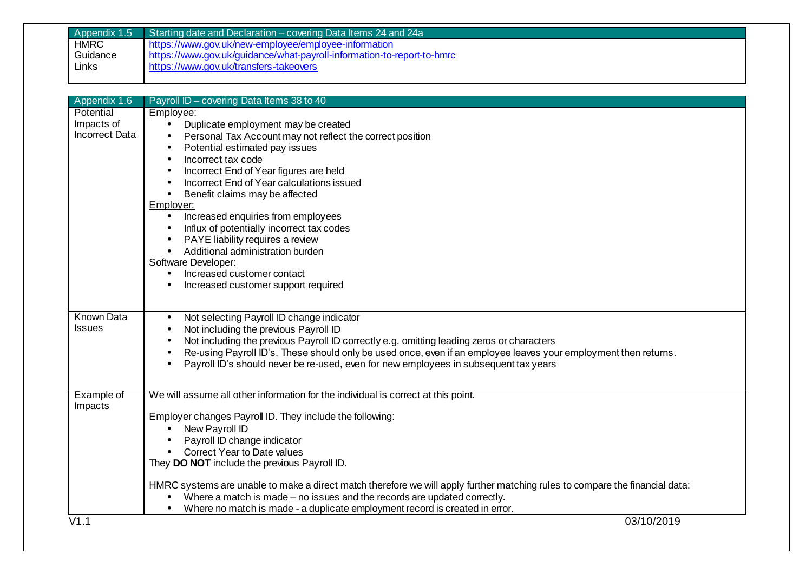| Appendix 1.5      | Starting date and Declaration – covering Data Items 24 and 24a                                                               |
|-------------------|------------------------------------------------------------------------------------------------------------------------------|
| <b>HMRC</b>       | https://www.gov.uk/new-employee/employee-information                                                                         |
| Guidance          | https://www.gov.uk/guidance/what-payroll-information-to-report-to-hmrc                                                       |
| Links             | https://www.gov.uk/transfers-takeovers                                                                                       |
|                   |                                                                                                                              |
|                   |                                                                                                                              |
| Appendix 1.6      | Payroll ID - covering Data Items 38 to 40                                                                                    |
| Potential         | Employee:                                                                                                                    |
| Impacts of        | Duplicate employment may be created<br>$\bullet$                                                                             |
| Incorrect Data    | Personal Tax Account may not reflect the correct position                                                                    |
|                   | Potential estimated pay issues<br>$\bullet$                                                                                  |
|                   | Incorrect tax code<br>$\bullet$                                                                                              |
|                   | Incorrect End of Year figures are held                                                                                       |
|                   | Incorrect End of Year calculations issued<br>$\bullet$                                                                       |
|                   | Benefit claims may be affected<br>$\bullet$                                                                                  |
|                   | Employer:                                                                                                                    |
|                   | Increased enquiries from employees<br>$\bullet$                                                                              |
|                   | Influx of potentially incorrect tax codes<br>$\bullet$                                                                       |
|                   | PAYE liability requires a review<br>$\bullet$                                                                                |
|                   | Additional administration burden<br>$\bullet$                                                                                |
|                   | Software Developer:                                                                                                          |
|                   | Increased customer contact<br>$\bullet$                                                                                      |
|                   | Increased customer support required                                                                                          |
|                   |                                                                                                                              |
|                   |                                                                                                                              |
| <b>Known Data</b> | Not selecting Payroll ID change indicator<br>$\bullet$                                                                       |
| <b>Issues</b>     | Not including the previous Payroll ID<br>$\bullet$                                                                           |
|                   | Not including the previous Payroll ID correctly e.g. omitting leading zeros or characters<br>$\bullet$                       |
|                   | Re-using Payroll ID's. These should only be used once, even if an employee leaves your employment then returns.              |
|                   | Payroll ID's should never be re-used, even for new employees in subsequent tax years<br>$\bullet$                            |
|                   |                                                                                                                              |
|                   |                                                                                                                              |
| Example of        | We will assume all other information for the individual is correct at this point.                                            |
| Impacts           |                                                                                                                              |
|                   | Employer changes Payroll ID. They include the following:                                                                     |
|                   | New Payroll ID<br>$\bullet$                                                                                                  |
|                   | Payroll ID change indicator                                                                                                  |
|                   | • Correct Year to Date values                                                                                                |
|                   | They DO NOT include the previous Payroll ID.                                                                                 |
|                   |                                                                                                                              |
|                   | HMRC systems are unable to make a direct match therefore we will apply further matching rules to compare the financial data: |
|                   | Where a match is made – no issues and the records are updated correctly.                                                     |
|                   | Where no match is made - a duplicate employment record is created in error.<br>$\bullet$                                     |
| V1.1              | 03/10/2019                                                                                                                   |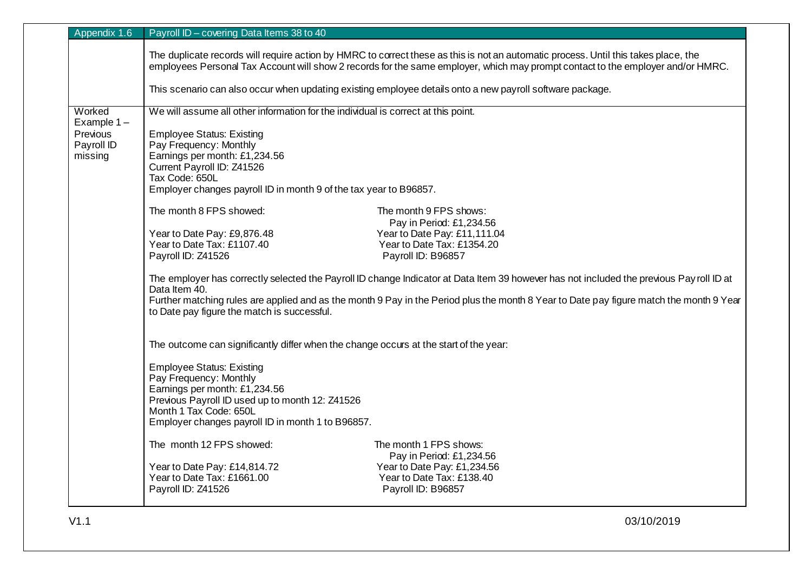| Appendix 1.6                        | Payroll ID - covering Data Items 38 to 40                                                                                                                                                                                                                                                                                                          |                                                                                  |  |
|-------------------------------------|----------------------------------------------------------------------------------------------------------------------------------------------------------------------------------------------------------------------------------------------------------------------------------------------------------------------------------------------------|----------------------------------------------------------------------------------|--|
|                                     | The duplicate records will require action by HMRC to correct these as this is not an automatic process. Until this takes place, the<br>employees Personal Tax Account will show 2 records for the same employer, which may prompt contact to the employer and/or HMRC.                                                                             |                                                                                  |  |
|                                     | This scenario can also occur when updating existing employee details onto a new payroll software package.                                                                                                                                                                                                                                          |                                                                                  |  |
| Worked<br>Example $1 -$<br>Previous | We will assume all other information for the individual is correct at this point.<br><b>Employee Status: Existing</b>                                                                                                                                                                                                                              |                                                                                  |  |
| Payroll ID<br>missing               | Pay Frequency: Monthly<br>Earnings per month: £1,234.56<br>Current Payroll ID: Z41526<br>Tax Code: 650L                                                                                                                                                                                                                                            |                                                                                  |  |
|                                     | Employer changes payroll ID in month 9 of the tax year to B96857.                                                                                                                                                                                                                                                                                  |                                                                                  |  |
|                                     | The month 8 FPS showed:                                                                                                                                                                                                                                                                                                                            | The month 9 FPS shows:<br>Pay in Period: £1,234.56                               |  |
|                                     | Year to Date Pay: £9,876.48<br>Year to Date Tax: £1107.40<br>Payroll ID: Z41526                                                                                                                                                                                                                                                                    | Year to Date Pay: £11,111.04<br>Year to Date Tax: £1354.20<br>Payroll ID: B96857 |  |
|                                     | The employer has correctly selected the Payroll ID change Indicator at Data Item 39 however has not included the previous Payroll ID at<br>Data Item 40.<br>Further matching rules are applied and as the month 9 Pay in the Period plus the month 8 Year to Date pay figure match the month 9 Year<br>to Date pay figure the match is successful. |                                                                                  |  |
|                                     | The outcome can significantly differ when the change occurs at the start of the year:                                                                                                                                                                                                                                                              |                                                                                  |  |
|                                     | <b>Employee Status: Existing</b><br>Pay Frequency: Monthly<br>Earnings per month: £1,234.56<br>Previous Payroll ID used up to month 12: Z41526<br>Month 1 Tax Code: 650L<br>Employer changes payroll ID in month 1 to B96857.                                                                                                                      |                                                                                  |  |
|                                     | The month 12 FPS showed:                                                                                                                                                                                                                                                                                                                           | The month 1 FPS shows:<br>Pay in Period: £1,234.56                               |  |
|                                     | Year to Date Pay: £14,814.72<br>Year to Date Tax: £1661.00<br>Payroll ID: Z41526                                                                                                                                                                                                                                                                   | Year to Date Pay: £1,234.56<br>Year to Date Tax: £138.40<br>Payroll ID: B96857   |  |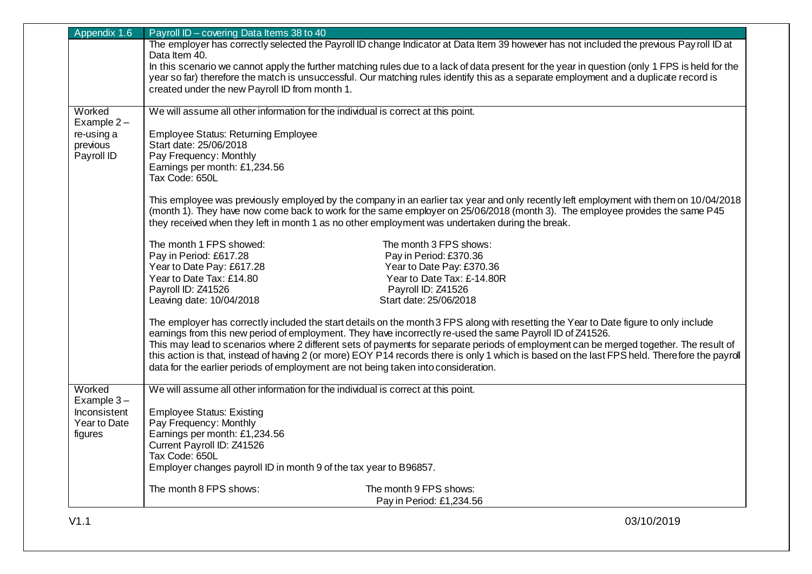| Appendix 1.6 | Payroll ID - covering Data Items 38 to 40                                                                                                                                                                                                                                                                                                                                                            |  |
|--------------|------------------------------------------------------------------------------------------------------------------------------------------------------------------------------------------------------------------------------------------------------------------------------------------------------------------------------------------------------------------------------------------------------|--|
|              | The employer has correctly selected the Payroll ID change Indicator at Data Item 39 however has not included the previous Payroll ID at                                                                                                                                                                                                                                                              |  |
|              | Data Item 40.                                                                                                                                                                                                                                                                                                                                                                                        |  |
|              | In this scenario we cannot apply the further matching rules due to a lack of data present for the year in question (only 1 FPS is held for the                                                                                                                                                                                                                                                       |  |
|              | year so far) therefore the match is unsuccessful. Our matching rules identify this as a separate employment and a duplicate record is                                                                                                                                                                                                                                                                |  |
|              | created under the new Payroll ID from month 1.                                                                                                                                                                                                                                                                                                                                                       |  |
| Worked       |                                                                                                                                                                                                                                                                                                                                                                                                      |  |
| Example $2-$ | We will assume all other information for the individual is correct at this point.                                                                                                                                                                                                                                                                                                                    |  |
| re-using a   | <b>Employee Status: Returning Employee</b>                                                                                                                                                                                                                                                                                                                                                           |  |
| previous     | Start date: 25/06/2018                                                                                                                                                                                                                                                                                                                                                                               |  |
| Payroll ID   | Pay Frequency: Monthly                                                                                                                                                                                                                                                                                                                                                                               |  |
|              | Earnings per month: £1,234.56                                                                                                                                                                                                                                                                                                                                                                        |  |
|              | Tax Code: 650L                                                                                                                                                                                                                                                                                                                                                                                       |  |
|              |                                                                                                                                                                                                                                                                                                                                                                                                      |  |
|              | This employee was previously employed by the company in an earlier tax year and only recently left employment with them on 10/04/2018                                                                                                                                                                                                                                                                |  |
|              | (month 1). They have now come back to work for the same employer on 25/06/2018 (month 3). The employee provides the same P45                                                                                                                                                                                                                                                                         |  |
|              | they received when they left in month 1 as no other employment was undertaken during the break.                                                                                                                                                                                                                                                                                                      |  |
|              | The month 1 FPS showed:<br>The month 3 FPS shows:                                                                                                                                                                                                                                                                                                                                                    |  |
|              | Pay in Period: £617.28<br>Pay in Period: £370.36                                                                                                                                                                                                                                                                                                                                                     |  |
|              | Year to Date Pay: £617.28<br>Year to Date Pay: £370.36                                                                                                                                                                                                                                                                                                                                               |  |
|              | Year to Date Tax: £14.80<br>Year to Date Tax: £-14.80R                                                                                                                                                                                                                                                                                                                                               |  |
|              | Payroll ID: Z41526<br>Payroll ID: Z41526                                                                                                                                                                                                                                                                                                                                                             |  |
|              | Start date: 25/06/2018<br>Leaving date: 10/04/2018                                                                                                                                                                                                                                                                                                                                                   |  |
|              | The employer has correctly included the start details on the month 3 FPS along with resetting the Year to Date figure to only include                                                                                                                                                                                                                                                                |  |
|              | earnings from this new period of employment. They have incorrectly re-used the same Payroll ID of Z41526.<br>This may lead to scenarios where 2 different sets of payments for separate periods of employment can be merged together. The result of<br>this action is that, instead of having 2 (or more) EOY P14 records there is only 1 which is based on the last FPS held. Therefore the payroll |  |
|              |                                                                                                                                                                                                                                                                                                                                                                                                      |  |
|              |                                                                                                                                                                                                                                                                                                                                                                                                      |  |
|              | data for the earlier periods of employment are not being taken into consideration.                                                                                                                                                                                                                                                                                                                   |  |
|              |                                                                                                                                                                                                                                                                                                                                                                                                      |  |
| Worked       | We will assume all other information for the individual is correct at this point.                                                                                                                                                                                                                                                                                                                    |  |
| Example $3-$ |                                                                                                                                                                                                                                                                                                                                                                                                      |  |
| Inconsistent | <b>Employee Status: Existing</b>                                                                                                                                                                                                                                                                                                                                                                     |  |
| Year to Date | Pay Frequency: Monthly<br>Earnings per month: £1,234.56                                                                                                                                                                                                                                                                                                                                              |  |
| figures      | Current Payroll ID: Z41526                                                                                                                                                                                                                                                                                                                                                                           |  |
|              | Tax Code: 650L                                                                                                                                                                                                                                                                                                                                                                                       |  |
|              | Employer changes payroll ID in month 9 of the tax year to B96857.                                                                                                                                                                                                                                                                                                                                    |  |
|              |                                                                                                                                                                                                                                                                                                                                                                                                      |  |
|              | The month 8 FPS shows:<br>The month 9 FPS shows:                                                                                                                                                                                                                                                                                                                                                     |  |
|              | Pay in Period: £1,234.56                                                                                                                                                                                                                                                                                                                                                                             |  |
|              |                                                                                                                                                                                                                                                                                                                                                                                                      |  |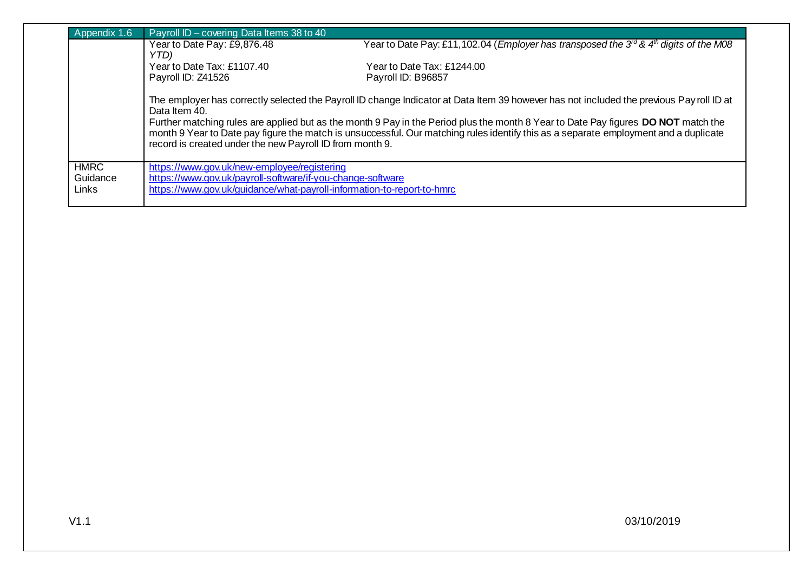| Appendix 1.6            | Payroll ID - covering Data Items 38 to 40                                                                                                                                                                                                                                                                                                                                                                                                                                                          |                                                                                                               |
|-------------------------|----------------------------------------------------------------------------------------------------------------------------------------------------------------------------------------------------------------------------------------------------------------------------------------------------------------------------------------------------------------------------------------------------------------------------------------------------------------------------------------------------|---------------------------------------------------------------------------------------------------------------|
|                         | Year to Date Pay: £9,876.48<br>YTD)                                                                                                                                                                                                                                                                                                                                                                                                                                                                | Year to Date Pay: £11,102.04 (Employer has transposed the 3 <sup>rd</sup> & 4 <sup>th</sup> digits of the M08 |
|                         | Year to Date Tax: £1107.40                                                                                                                                                                                                                                                                                                                                                                                                                                                                         | Year to Date Tax: £1244.00                                                                                    |
|                         | Payroll ID: Z41526                                                                                                                                                                                                                                                                                                                                                                                                                                                                                 | Payroll ID: B96857                                                                                            |
|                         | The employer has correctly selected the Payroll ID change Indicator at Data Item 39 however has not included the previous Payroll ID at<br>Data Item 40.<br>Further matching rules are applied but as the month 9 Pay in the Period plus the month 8 Year to Date Pay figures DO NOT match the<br>month 9 Year to Date pay figure the match is unsuccessful. Our matching rules identify this as a separate employment and a duplicate<br>record is created under the new Payroll ID from month 9. |                                                                                                               |
|                         |                                                                                                                                                                                                                                                                                                                                                                                                                                                                                                    |                                                                                                               |
| <b>HMRC</b><br>Guidance | https://www.gov.uk/new-employee/registering<br>https://www.gov.uk/payroll-software/if-you-change-software                                                                                                                                                                                                                                                                                                                                                                                          |                                                                                                               |
| Links                   | https://www.gov.uk/guidance/what-payroll-information-to-report-to-hmrc                                                                                                                                                                                                                                                                                                                                                                                                                             |                                                                                                               |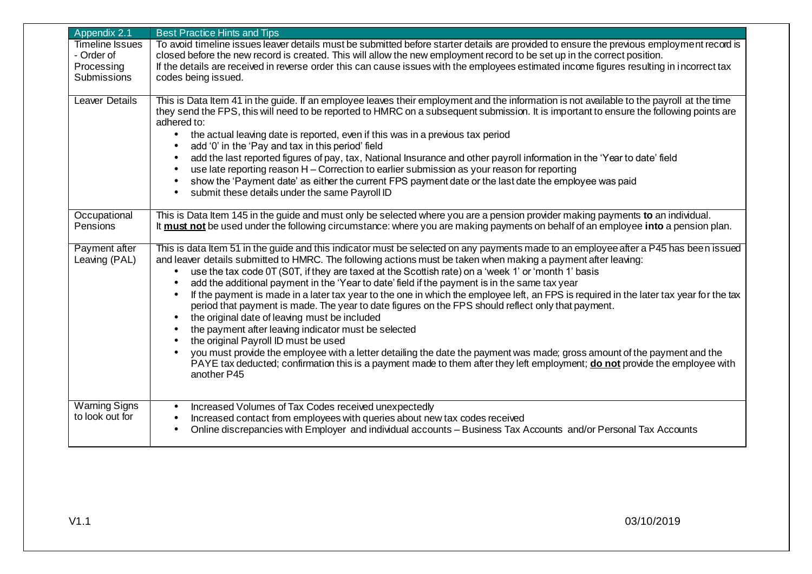| Appendix 2.1                                                      | <b>Best Practice Hints and Tips</b>                                                                                                                                                                                                                                                                                                                                                                                                                                                                                                                                                                                                                                                                                                                                                                                                                                                                                                                                                                                                                                                                                                                                              |
|-------------------------------------------------------------------|----------------------------------------------------------------------------------------------------------------------------------------------------------------------------------------------------------------------------------------------------------------------------------------------------------------------------------------------------------------------------------------------------------------------------------------------------------------------------------------------------------------------------------------------------------------------------------------------------------------------------------------------------------------------------------------------------------------------------------------------------------------------------------------------------------------------------------------------------------------------------------------------------------------------------------------------------------------------------------------------------------------------------------------------------------------------------------------------------------------------------------------------------------------------------------|
| <b>Timeline Issues</b><br>- Order of<br>Processing<br>Submissions | To avoid timeline issues leaver details must be submitted before starter details are provided to ensure the previous employment record is<br>closed before the new record is created. This will allow the new employment record to be set up in the correct position.<br>If the details are received in reverse order this can cause issues with the employees estimated income figures resulting in incorrect tax<br>codes being issued.                                                                                                                                                                                                                                                                                                                                                                                                                                                                                                                                                                                                                                                                                                                                        |
| Leaver Details                                                    | This is Data Item 41 in the guide. If an employee leaves their employment and the information is not available to the payroll at the time<br>they send the FPS, this will need to be reported to HMRC on a subsequent submission. It is important to ensure the following points are<br>adhered to:<br>the actual leaving date is reported, even if this was in a previous tax period<br>$\bullet$<br>add '0' in the 'Pay and tax in this period' field<br>add the last reported figures of pay, tax, National Insurance and other payroll information in the 'Year to date' field<br>use late reporting reason H - Correction to earlier submission as your reason for reporting<br>show the 'Payment date' as either the current FPS payment date or the last date the employee was paid<br>submit these details under the same Payroll ID<br>$\bullet$                                                                                                                                                                                                                                                                                                                        |
| Occupational<br>Pensions                                          | This is Data Item 145 in the guide and must only be selected where you are a pension provider making payments to an individual.<br>It must not be used under the following circumstance: where you are making payments on behalf of an employee into a pension plan.                                                                                                                                                                                                                                                                                                                                                                                                                                                                                                                                                                                                                                                                                                                                                                                                                                                                                                             |
| Payment after<br>Leaving (PAL)                                    | This is data Item 51 in the guide and this indicator must be selected on any payments made to an employee after a P45 has been issued<br>and leaver details submitted to HMRC. The following actions must be taken when making a payment after leaving:<br>use the tax code OT (SOT, if they are taxed at the Scottish rate) on a 'week 1' or 'month 1' basis<br>$\bullet$<br>add the additional payment in the 'Year to date' field if the payment is in the same tax year<br>If the payment is made in a later tax year to the one in which the employee left, an FPS is required in the later tax year for the tax<br>period that payment is made. The year to date figures on the FPS should reflect only that payment.<br>the original date of leaving must be included<br>$\bullet$<br>the payment after leaving indicator must be selected<br>$\bullet$<br>the original Payroll ID must be used<br>you must provide the employee with a letter detailing the date the payment was made; gross amount of the payment and the<br>PAYE tax deducted; confirmation this is a payment made to them after they left employment; do not provide the employee with<br>another P45 |
| <b>Warning Signs</b><br>to look out for                           | Increased Volumes of Tax Codes received unexpectedly<br>$\bullet$<br>Increased contact from employees with queries about new tax codes received<br>$\bullet$<br>Online discrepancies with Employer and individual accounts - Business Tax Accounts and/or Personal Tax Accounts                                                                                                                                                                                                                                                                                                                                                                                                                                                                                                                                                                                                                                                                                                                                                                                                                                                                                                  |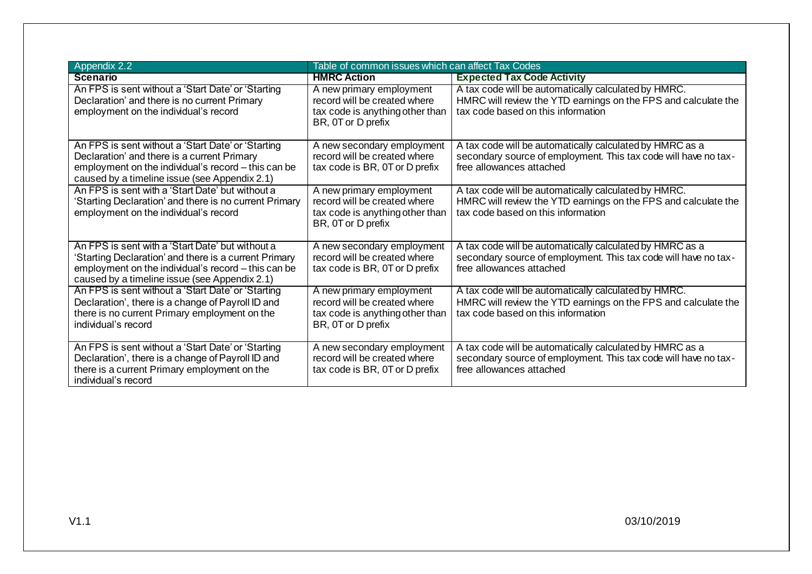| Appendix 2.2                                                                                                                                                                                                      | Table of common issues which can affect Tax Codes                                                                 |                                                                                                                                                              |
|-------------------------------------------------------------------------------------------------------------------------------------------------------------------------------------------------------------------|-------------------------------------------------------------------------------------------------------------------|--------------------------------------------------------------------------------------------------------------------------------------------------------------|
| <b>Scenario</b>                                                                                                                                                                                                   | <b>HMRC Action</b>                                                                                                | <b>Expected Tax Code Activity</b>                                                                                                                            |
| An FPS is sent without a 'Start Date' or 'Starting<br>Declaration' and there is no current Primary<br>employment on the individual's record                                                                       | A new primary employment<br>record will be created where<br>tax code is anything other than<br>BR, 0T or D prefix | A tax code will be automatically calculated by HMRC.<br>HMRC will review the YTD earnings on the FPS and calculate the<br>tax code based on this information |
| An FPS is sent without a 'Start Date' or 'Starting<br>Declaration' and there is a current Primary<br>employment on the individual's record – this can be<br>caused by a timeline issue (see Appendix 2.1)         | A new secondary employment<br>record will be created where<br>tax code is BR, 0T or D prefix                      | A tax code will be automatically calculated by HMRC as a<br>secondary source of employment. This tax code will have no tax-<br>free allowances attached      |
| An FPS is sent with a 'Start Date' but without a<br>'Starting Declaration' and there is no current Primary<br>employment on the individual's record                                                               | A new primary employment<br>record will be created where<br>tax code is anything other than<br>BR, 0T or D prefix | A tax code will be automatically calculated by HMRC.<br>HMRC will review the YTD earnings on the FPS and calculate the<br>tax code based on this information |
| An FPS is sent with a 'Start Date' but without a<br>'Starting Declaration' and there is a current Primary<br>employment on the individual's record - this can be<br>caused by a timeline issue (see Appendix 2.1) | A new secondary employment<br>record will be created where<br>tax code is BR, 0T or D prefix                      | A tax code will be automatically calculated by HMRC as a<br>secondary source of employment. This tax code will have no tax-<br>free allowances attached      |
| An FPS is sent without a 'Start Date' or 'Starting<br>Declaration', there is a change of Payroll ID and<br>there is no current Primary employment on the<br>individual's record                                   | A new primary employment<br>record will be created where<br>tax code is anything other than<br>BR, 0T or D prefix | A tax code will be automatically calculated by HMRC.<br>HMRC will review the YTD earnings on the FPS and calculate the<br>tax code based on this information |
| An FPS is sent without a 'Start Date' or 'Starting<br>Declaration', there is a change of Payroll ID and<br>there is a current Primary employment on the<br>individual's record                                    | A new secondary employment<br>record will be created where<br>tax code is BR, 0T or D prefix                      | A tax code will be automatically calculated by HMRC as a<br>secondary source of employment. This tax code will have no tax-<br>free allowances attached      |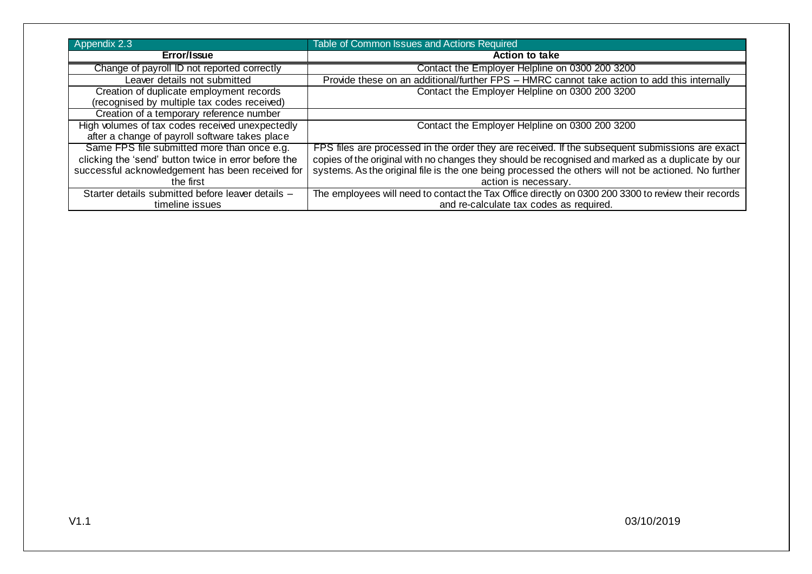| Appendix 2.3                                                                            | Table of Common Issues and Actions Required                                                          |
|-----------------------------------------------------------------------------------------|------------------------------------------------------------------------------------------------------|
| Error/Issue                                                                             | <b>Action to take</b>                                                                                |
| Change of payroll ID not reported correctly                                             | Contact the Employer Helpline on 0300 200 3200                                                       |
| Leaver details not submitted                                                            | Provide these on an additional/further FPS - HMRC cannot take action to add this internally          |
| Creation of duplicate employment records<br>(recognised by multiple tax codes received) | Contact the Employer Helpline on 0300 200 3200                                                       |
| Creation of a temporary reference number                                                |                                                                                                      |
| High volumes of tax codes received unexpectedly                                         | Contact the Employer Helpline on 0300 200 3200                                                       |
| after a change of payroll software takes place                                          |                                                                                                      |
| Same FPS file submitted more than once e.g.                                             | FPS files are processed in the order they are received. If the subsequent submissions are exact      |
| clicking the 'send' button twice in error before the                                    | copies of the original with no changes they should be recognised and marked as a duplicate by our    |
| successful acknowledgement has been received for                                        | systems. As the original file is the one being processed the others will not be actioned. No further |
| the first                                                                               | action is necessary.                                                                                 |
| Starter details submitted before leaver details -                                       | The employees will need to contact the Tax Office directly on 0300 200 3300 to review their records  |
| timeline issues                                                                         | and re-calculate tax codes as required.                                                              |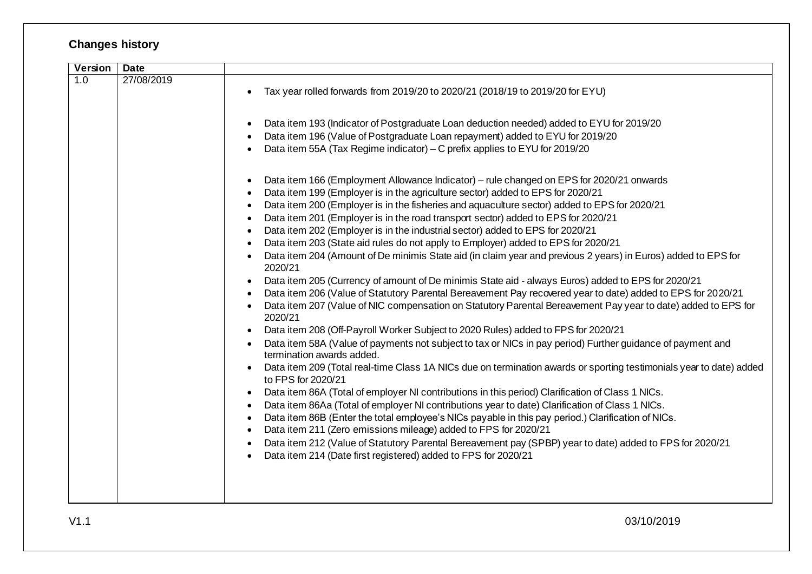## **Changes history**

| Version          | <b>Date</b> |                                                                                                                                                                                                                                                                                                                                                                                                                                                                                                                                                                                                                                                                                                                                                                                                                                                                                                                                                                                                                                                                                                                                                                                                                                                                                                                                                                                                                                                                                                                                                                                                                                                                                                                                                                                                                                                                                                                                                                                                                                                                                    |
|------------------|-------------|------------------------------------------------------------------------------------------------------------------------------------------------------------------------------------------------------------------------------------------------------------------------------------------------------------------------------------------------------------------------------------------------------------------------------------------------------------------------------------------------------------------------------------------------------------------------------------------------------------------------------------------------------------------------------------------------------------------------------------------------------------------------------------------------------------------------------------------------------------------------------------------------------------------------------------------------------------------------------------------------------------------------------------------------------------------------------------------------------------------------------------------------------------------------------------------------------------------------------------------------------------------------------------------------------------------------------------------------------------------------------------------------------------------------------------------------------------------------------------------------------------------------------------------------------------------------------------------------------------------------------------------------------------------------------------------------------------------------------------------------------------------------------------------------------------------------------------------------------------------------------------------------------------------------------------------------------------------------------------------------------------------------------------------------------------------------------------|
| $\overline{1.0}$ | 27/08/2019  | Tax year rolled forwards from 2019/20 to 2020/21 (2018/19 to 2019/20 for EYU)                                                                                                                                                                                                                                                                                                                                                                                                                                                                                                                                                                                                                                                                                                                                                                                                                                                                                                                                                                                                                                                                                                                                                                                                                                                                                                                                                                                                                                                                                                                                                                                                                                                                                                                                                                                                                                                                                                                                                                                                      |
|                  |             | Data item 193 (Indicator of Postgraduate Loan deduction needed) added to EYU for 2019/20<br>$\bullet$<br>Data item 196 (Value of Postgraduate Loan repayment) added to EYU for 2019/20<br>Data item 55A (Tax Regime indicator) - C prefix applies to EYU for 2019/20                                                                                                                                                                                                                                                                                                                                                                                                                                                                                                                                                                                                                                                                                                                                                                                                                                                                                                                                                                                                                                                                                                                                                                                                                                                                                                                                                                                                                                                                                                                                                                                                                                                                                                                                                                                                               |
|                  |             | Data item 166 (Employment Allowance Indicator) – rule changed on EPS for 2020/21 onwards<br>$\bullet$<br>Data item 199 (Employer is in the agriculture sector) added to EPS for 2020/21<br>Data item 200 (Employer is in the fisheries and aquaculture sector) added to EPS for 2020/21<br>$\bullet$<br>Data item 201 (Employer is in the road transport sector) added to EPS for 2020/21<br>Data item 202 (Employer is in the industrial sector) added to EPS for 2020/21<br>Data item 203 (State aid rules do not apply to Employer) added to EPS for 2020/21<br>Data item 204 (Amount of De minimis State aid (in claim year and previous 2 years) in Euros) added to EPS for<br>2020/21<br>Data item 205 (Currency of amount of De minimis State aid - always Euros) added to EPS for 2020/21<br>$\bullet$<br>Data item 206 (Value of Statutory Parental Bereavement Pay recovered year to date) added to EPS for 2020/21<br>Data item 207 (Value of NIC compensation on Statutory Parental Bereavement Pay year to date) added to EPS for<br>2020/21<br>Data item 208 (Off-Payroll Worker Subject to 2020 Rules) added to FPS for 2020/21<br>$\bullet$<br>Data item 58A (Value of payments not subject to tax or NICs in pay period) Further guidance of payment and<br>termination awards added.<br>Data item 209 (Total real-time Class 1A NICs due on termination awards or sporting testimonials year to date) added<br>to FPS for 2020/21<br>Data item 86A (Total of employer NI contributions in this period) Clarification of Class 1 NICs.<br>Data item 86Aa (Total of employer NI contributions year to date) Clarification of Class 1 NICs.<br>$\bullet$<br>Data item 86B (Enter the total employee's NICs payable in this pay period.) Clarification of NICs.<br>$\bullet$<br>Data item 211 (Zero emissions mileage) added to FPS for 2020/21<br>$\bullet$<br>Data item 212 (Value of Statutory Parental Bereavement pay (SPBP) year to date) added to FPS for 2020/21<br>$\bullet$<br>Data item 214 (Date first registered) added to FPS for 2020/21<br>$\bullet$ |
|                  |             |                                                                                                                                                                                                                                                                                                                                                                                                                                                                                                                                                                                                                                                                                                                                                                                                                                                                                                                                                                                                                                                                                                                                                                                                                                                                                                                                                                                                                                                                                                                                                                                                                                                                                                                                                                                                                                                                                                                                                                                                                                                                                    |